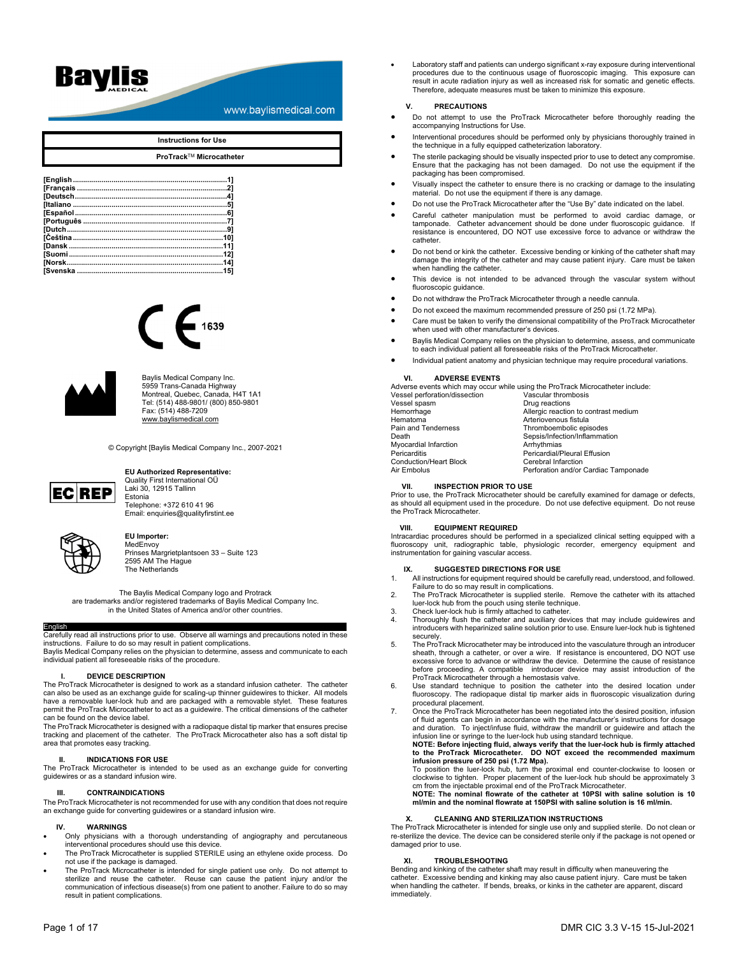# Baylis

www.baylismedical.com

## **Instructions for Use**

**ProTrack**TM **Microcatheter** 

| [Norsk………………………………………………………………14] |  |
|-----------------------------------|--|
|                                   |  |
|                                   |  |





Baylis Medical Company Inc. 5959 Trans-Canada Highway Montreal, Quebec, Canada, H4T 1A1 Tel: (514) 488-9801/ (800) 850-9801 Fax: (514) 488-7209 www.baylismedical.com

© Copyright [Baylis Medical Company Inc., 2007-2021



## **EU Authorized Representative:**

Quality First International OÜ Laki 30, 12915 Tallinn **Estonia** Telephone: +372 610 41 96 Email: enquiries@qualityfirstint.ee



## **EU Importer:**

**MedEnvoy** Prinses Margrietplantsoen 33 – Suite 123 2595 AM The Hague The Netherlands

The Baylis Medical Company logo and Protrack are trademarks and/or registered trademarks of Baylis Medical Company Inc. in the United States of America and/or other countries.

**English**<br>Carefully read all instructions prior to use. Observe all warnings and precautions noted in these instructions. Failure to do so may result in patient complications. Baylis Medical Company relies on the physician to determine, assess and communicate to each individual patient all foreseeable risks of the procedure.

### **I. DEVICE DESCRIPTION**

The ProTrack Microcatheter is designed to work as a standard infusion catheter. The catheter can also be used as an exchange guide for scaling-up thinner guidewires to thicker. All models have a removable luer-lock hub and are packaged with a removable stylet. These features permit the ProTrack Microcatheter to act as a guidewire. The critical dimensions of the catheter can be found on the device label.

The ProTrack Microcatheter is designed with a radiopaque distal tip marker that ensures precise tracking and placement of the catheter. The ProTrack Microcatheter also has a soft distal tip area that promotes easy tracking.

### **II. INDICATIONS FOR USE**

The ProTrack Microcatheter is intended to be used as an exchange guide for converting guidewires or as a standard infusion wire.

## **III. CONTRAINDICATIONS**

The ProTrack Microcatheter is not recommended for use with any condition that does not require an exchange guide for converting guidewires or a standard infusion wire.

## **IV. WARNINGS**

- Only physicians with a thorough understanding of angiography and percutaneous interventional procedures should use this device.
- The ProTrack Microcatheter is supplied STERILE using an ethylene oxide process. Do not use if the package is damaged.
- The ProTrack Microcatheter is intended for single patient use only. Do not attempt to sterilize and reuse the catheter. Reuse can cause the patient injury and/or the communication of infectious disease(s) from one patient to another. Failure to do so may result in patient complications.

 Laboratory staff and patients can undergo significant x-ray exposure during interventional procedures due to the continuous usage of fluoroscopic imaging. This exposure can result in acute radiation injury as well as increased risk for somatic and genetic effects. Therefore, adequate measures must be taken to minimize this exposure.

## **V. PRECAUTIONS**

- Do not attempt to use the ProTrack Microcatheter before thoroughly reading the accompanying Instructions for Use.
- Interventional procedures should be performed only by physicians thoroughly trained in the technique in a fully equipped catheterization laboratory.
- The sterile packaging should be visually inspected prior to use to detect any compromise. Ensure that the packaging has not been damaged. Do not use the equipment if the packaging has been compromised.
- Visually inspect the catheter to ensure there is no cracking or damage to the insulating material. Do not use the equipment if there is any damage.
- Do not use the ProTrack Microcatheter after the "Use By" date indicated on the label.
- Careful catheter manipulation must be performed to avoid cardiac damage, or tamponade. Catheter advancement should be done under fluoroscopic guidance. If resistance is encountered, DO NOT use excessive force to advance or withdraw the catheter.
- Do not bend or kink the catheter. Excessive bending or kinking of the catheter shaft may damage the integrity of the catheter and may cause patient injury. Care must be taken when handling the catheter.
- This device is not intended to be advanced through the vascular system without fluoroscopic guidance.
- Do not withdraw the ProTrack Microcatheter through a needle cannula.
- Do not exceed the maximum recommended pressure of 250 psi (1.72 MPa).
- Care must be taken to verify the dimensional compatibility of the ProTrack Microcatheter when used with other manufacturer's devices.
- Baylis Medical Company relies on the physician to determine, assess, and communicate to each individual patient all foreseeable risks of the ProTrack Microcatheter.
- Individual patient anatomy and physician technique may require procedural variations.

## **VI. ADVERSE EVENTS**

Adverse events which may occur while using the ProTrack Microcatheter include:

| Vascular thrombosis                  |
|--------------------------------------|
| Drug reactions                       |
| Allergic reaction to contrast medium |
| Arteriovenous fistula                |
| Thromboembolic episodes              |
| Sepsis/Infection/Inflammation        |
| Arrhythmias                          |
| Pericardial/Pleural Effusion         |
| Cerebral Infarction                  |
| Perforation and/or Cardiac Tamponade |
|                                      |

## **VII. INSPECTION PRIOR TO USE**

Prior to use, the ProTrack Microcatheter should be carefully examined for damage or defects, as should all equipment used in the procedure. Do not use defective equipment. Do not reuse the ProTrack Microcatheter.

## **VIII. EQUIPMENT REQUIRED**

Intracardiac procedures should be performed in a specialized clinical setting equipped with a fluoroscopy unit, radiographic table, physiologic recorder, emergency equipment and instrumentation for gaining vascular access.

## **IX. SUGGESTED DIRECTIONS FOR USE**

- 1. All instructions for equipment required should be carefully read, understood, and followed. Failure to do so may result in complications.
- 2. The ProTrack Microcatheter is supplied sterile. Remove the catheter with its attached luer-lock hub from the pouch using sterile technique. 3. Check luer-lock hub is firmly attached to catheter.
- 
- 4. Thoroughly flush the catheter and auxiliary devices that may include guidewires and introducers with heparinized saline solution prior to use. Ensure luer-lock hub is tightened securely.
- 5. The ProTrack Microcatheter may be introduced into the vasculature through an introducer sheath, through a catheter, or over a wire. If resistance is encountered, DO NOT use excessive force to advance or withdraw the device. Determine the cause of resistance<br>before proceeding. A compatible introducer device may assist introduction of the<br>ProTrack Microcatheter through a hemostasis valve.
- 6. Use standard technique to position the catheter into the desired location under fluoroscopy. The radiopaque distal tip marker aids in fluoroscopic visualization during procedural placement.
- 7. Once the ProTrack Microcatheter has been negotiated into the desired position, infusion of fluid agents can begin in accordance with the manufacturer's instructions for dosage and duration. To inject/infuse fluid, withdraw the mandrill or guidewire and attach the infusion line or syringe to the luer-lock hub using standard technique.

**NOTE: Before injecting fluid, always verify that the luer-lock hub is firmly attached to the ProTrack Microcatheter. DO NOT exceed the recommended maximum infusion pressure of 250 psi (1.72 Mpa).** 

To position the luer-lock hub, turn the proximal end counter-clockwise to loosen or clockwise to tighten. Proper placement of the luer-lock hub should be approximately 3 cm from the injectable proximal end of the ProTrack Microcatheter.

**NOTE: The nominal flowrate of the catheter at 10PSI with saline solution is 10 ml/min and the nominal flowrate at 150PSI with saline solution is 16 ml/min.** 

## **CLEANING AND STERILIZATION INSTRUCTIONS**

The ProTrack Microcatheter is intended for single use only and supplied sterile. Do not clean or re-sterilize the device. The device can be considered sterile only if the package is not opened or damaged prior to use.

## **XI. TROUBLESHOOTING**

Bending and kinking of the catheter shaft may result in difficulty when maneuvering the catheter. Excessive bending and kinking may also cause patient injury. Care must be taken when handling the catheter. If bends, breaks, or kinks in the catheter are apparent, discard immediately.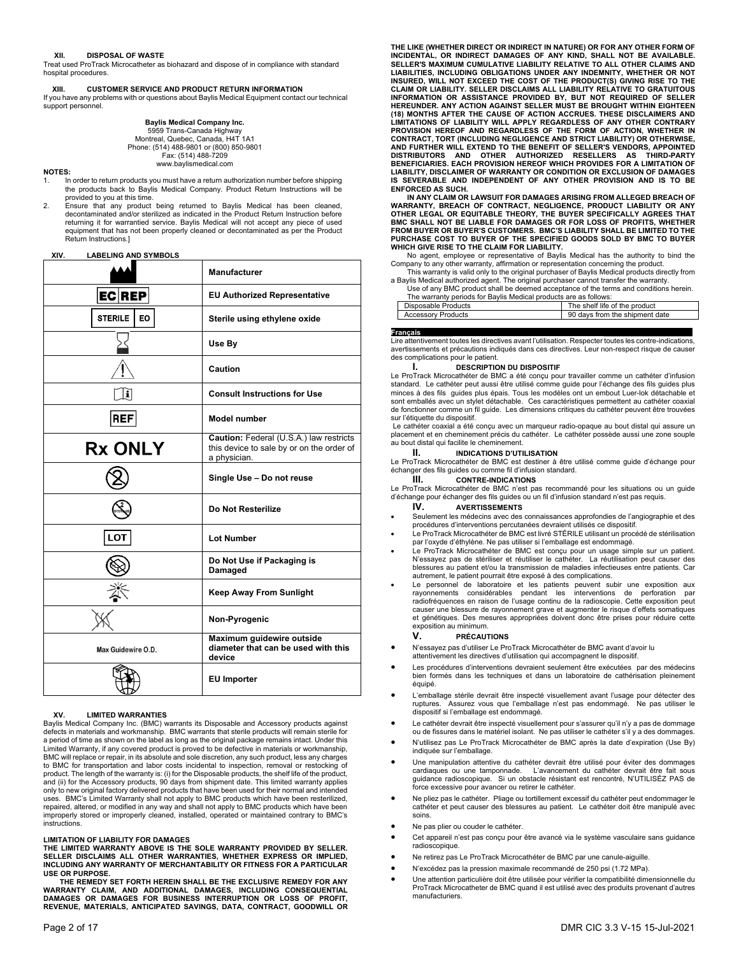## **XII. DISPOSAL OF WASTE**

Treat used ProTrack Microcatheter as biohazard and dispose of in compliance with standard hospital procedures.

## **XIII. CUSTOMER SERVICE AND PRODUCT RETURN INFORMATION**  If you have any problems with or questions about Baylis Medical Equipment contact our technical support personnel.

**Baylis Medical Company Inc.**  5959 Trans-Canada Highway Montreal, Quebec, Canada, H4T 1A1 Phone: (514) 488-9801 or (800) 850-9801 Fax: (514) 488-7209 www.baylismedical.com

## **NOTES:**

- In order to return products you must have a return authorization number before shipping the products back to Baylis Medical Company. Product Return Instructions will be provided to you at this time.
- 2. Ensure that any product being returned to Baylis Medical has been cleaned, decontaminated and/or sterilized as indicated in the Product Return Instruction before returning it for warrantied service. Baylis Medical will not accept any piece of used equipment that has not been properly cleaned or decontaminated as per the Product Return Instructions.]

## **XIV. LABELING AND SYMBOLS**

|                    | <b>Manufacturer</b>                                                                                  |
|--------------------|------------------------------------------------------------------------------------------------------|
| EC REP             | <b>EU Authorized Representative</b>                                                                  |
| STERILE<br>EO      | Sterile using ethylene oxide                                                                         |
|                    | Use By                                                                                               |
|                    | Caution                                                                                              |
| i                  | <b>Consult Instructions for Use</b>                                                                  |
| <b>REF</b>         | Model number                                                                                         |
| <b>Rx ONLY</b>     | Caution: Federal (U.S.A.) law restricts<br>this device to sale by or on the order of<br>a physician. |
|                    | Single Use - Do not reuse                                                                            |
|                    | Do Not Resterilize                                                                                   |
| LOT                | <b>Lot Number</b>                                                                                    |
|                    | Do Not Use if Packaging is<br>Damaged                                                                |
|                    | <b>Keep Away From Sunlight</b>                                                                       |
|                    | Non-Pyrogenic                                                                                        |
| Max Guidewire O.D. | Maximum guidewire outside<br>diameter that can be used with this<br>device                           |
|                    | <b>EU Importer</b>                                                                                   |

## **XV. LIMITED WARRANTIES**

Baylis Medical Company Inc. (BMC) warrants its Disposable and Accessory products against defects in materials and workmanship. BMC warrants that sterile products will remain sterile for a period of time as shown on the label as long as the original package remains intact. Under this Limited Warranty, if any covered product is proved to be defective in materials or workmanship, BMC will replace or repair, in its absolute and sole discretion, any such product, less any charges to BMC for transportation and labor costs incidental to inspection, removal or restocking of product. The length of the warranty is: (i) for the Disposable products, the shelf life of the product, and (ii) for the Accessory products, 90 days from shipment date. This limited warranty applies only to new original factory delivered products that have been used for their normal and intended<br>uses. BMC's Limited Warranty shall not apply to BMC products which have been resterilized,<br>repaired, altered, or modified i instructions.

## **LIMITATION OF LIABILITY FOR DAMAGES**

**THE LIMITED WARRANTY ABOVE IS THE SOLE WARRANTY PROVIDED BY SELLER. SELLER DISCLAIMS ALL OTHER WARRANTIES, WHETHER EXPRESS OR IMPLIED, INCLUDING ANY WARRANTY OF MERCHANTABILITY OR FITNESS FOR A PARTICULAR USE OR PURPOSE.** 

 **THE REMEDY SET FORTH HEREIN SHALL BE THE EXCLUSIVE REMEDY FOR ANY WARRANTY CLAIM, AND ADDITIONAL DAMAGES, INCLUDING CONSEQUENTIAL DAMAGES OR DAMAGES FOR BUSINESS INTERRUPTION OR LOSS OF PROFIT, REVENUE, MATERIALS, ANTICIPATED SAVINGS, DATA, CONTRACT, GOODWILL OR** 

**THE LIKE (WHETHER DIRECT OR INDIRECT IN NATURE) OR FOR ANY OTHER FORM OF INCIDENTAL, OR INDIRECT DAMAGES OF ANY KIND, SHALL NOT BE AVAILABLE. SELLER'S MAXIMUM CUMULATIVE LIABILITY RELATIVE TO ALL OTHER CLAIMS AND LIABILITIES, INCLUDING OBLIGATIONS UNDER ANY INDEMNITY, WHETHER OR NOT INSURED, WILL NOT EXCEED THE COST OF THE PRODUCT(S) GIVING RISE TO THE CLAIM OR LIABILITY. SELLER DISCLAIMS ALL LIABILITY RELATIVE TO GRATUITOUS INFORMATION OR ASSISTANCE PROVIDED BY, BUT NOT REQUIRED OF SELLER HEREUNDER. ANY ACTION AGAINST SELLER MUST BE BROUGHT WITHIN EIGHTEEN (18) MONTHS AFTER THE CAUSE OF ACTION ACCRUES. THESE DISCLAIMERS AND LIMITATIONS OF LIABILITY WILL APPLY REGARDLESS OF ANY OTHER CONTRARY PROVISION HEREOF AND REGARDLESS OF THE FORM OF ACTION, WHETHER IN CONTRACT, TORT (INCLUDING NEGLIGENCE AND STRICT LIABILITY) OR OTHERWISE, AND FURTHER WILL EXTEND TO THE BENEFIT OF SELLER'S VENDORS, APPOINTED DISTRIBUTORS AND OTHER AUTHORIZED RESELLERS AS THIRD-PARTY BENEFICIARIES. EACH PROVISION HEREOF WHICH PROVIDES FOR A LIMITATION OF LIABILITY, DISCLAIMER OF WARRANTY OR CONDITION OR EXCLUSION OF DAMAGES IS SEVERABLE AND INDEPENDENT OF ANY OTHER PROVISION AND IS TO BE ENFORCED AS SUCH.**

 **IN ANY CLAIM OR LAWSUIT FOR DAMAGES ARISING FROM ALLEGED BREACH OF WARRANTY, BREACH OF CONTRACT, NEGLIGENCE, PRODUCT LIABILITY OR ANY OTHER LEGAL OR EQUITABLE THEORY, THE BUYER SPECIFICALLY AGREES THAT BMC SHALL NOT BE LIABLE FOR DAMAGES OR FOR LOSS OF PROFITS, WHETHER FROM BUYER OR BUYER'S CUSTOMERS. BMC'S LIABILITY SHALL BE LIMITED TO THE PURCHASE COST TO BUYER OF THE SPECIFIED GOODS SOLD BY BMC TO BUYER WHICH GIVE RISE TO THE CLAIM FOR LIABILITY.** 

No agent, employee or representative of Baylis Medical has the authority to bind the Company to any other warranty, affirmation or representation concerning the product.

This warranty is valid only to the original purchaser of Baylis Medical products directly from<br>A Baylis Medical authorized agent. The original purchaser cannot transfer the warranty.<br>Use of any BMC product shall be deemed

| Use of any BMC product shall be deemed acceptance of the terms and conditions herein. |                               |
|---------------------------------------------------------------------------------------|-------------------------------|
| The warranty periods for Baylis Medical products are as follows:                      |                               |
| Disposable Products                                                                   | The shelf life of the product |
|                                                                                       |                               |

|   | Accessory Products | days from the shipment date<br>90 |  |
|---|--------------------|-----------------------------------|--|
|   |                    |                                   |  |
| _ |                    |                                   |  |

**Français**<br>Lire attentivement toutes les directives avant l'utilisation. Respecter toutes les contre-indications, avertissements et précautions indiqués dans ces directives. Leur non-respect risque de causer des complications pour le patient.

## **I. DESCRIPTION DU DISPOSITIF**

Le ProTrack Microcathéter de BMC a été conçu pour travailler comme un cathéter d'infusion standard. Le cathéter peut aussi être utilisé comme guide pour l'échange des fils guides plus minces à des fils guides plus épais. Tous les modèles ont un embout Luer-lok détachable et sont emballés avec un stylet détachable. Ces caractéristiques permettent au cathéter coaxial de fonctionner comme un fil guide. Les dimensions critiques du cathéter peuvent être trouvées sur l'étiquette du dispositif.

 Le cathéter coaxial a été conçu avec un marqueur radio-opaque au bout distal qui assure un placement et en cheminement précis du cathéter. Le cathéter possède aussi une zone souple au bout distal qui facilite le cheminement.

## **II. INDICATIONS D'UTILISATION**

Le ProTrack Microcathéter de BMC est destiner à être utilisé comme guide d'échange pour échanger des fils guides ou comme fil d'infusion standard.

## **III. CONTRE-INDICATIONS**

Le ProTrack Microcathéter de BMC n'est pas recommandé pour les situations ou un guide d'échange pour échanger des fils guides ou un fil d'infusion standard n'est pas requis.

- **IV. AVERTISSEMENTS**  Seulement les médecins avec des connaissances approfondies de l'angiographie et des
- procédures d'interventions percutanées devraient utilisés ce dispositif. Le ProTrack Microcathéter de BMC est livré STÉRILE utilisant un procédé de stérilisation par l'oxyde d'éthylène. Ne pas utiliser si l'emballage est endommagé.
- Le ProTrack Microcathéter de BMC est conçu pour un usage simple sur un patient. N'essayez pas de stériliser et réutiliser le cathéter. La réutilisation peut causer des blessures au patient et/ou la transmission de maladies infectieuses entre patients. Car autrement, le patient pourrait être exposé à des complications.
- Le personnel de laboratoire et les patients peuvent subir une exposition aux rayonnements considérables pendant les interventions de perforation par radiofréquences en raison de l'usage continu de la radioscopie. Cette exposition peut causer une blessure de rayonnement grave et augmenter le risque d'effets somatiques et génétiques. Des mesures appropriées doivent donc être prises pour réduire cette exposition au minimum.

## **V. PRÉCAUTIONS**

- N'essayez pas d'utiliser Le ProTrack Microcathéter de BMC avant d'avoir lu attentivement les directives d'utilisation qui accompagnent le dispositif.
- Les procédures d'interventions devraient seulement être exécutées par des médecins bien formés dans les techniques et dans un laboratoire de cathérisation pleinement équipé.
- L'emballage stérile devrait être inspecté visuellement avant l'usage pour détecter des ruptures. Assurez vous que l'emballage n'est pas endommagé. Ne pas utiliser le dispositif si l'emballage est endommagé.
- Le cathéter devrait être inspecté visuellement pour s'assurer qu'il n'y a pas de dommage ou de fissures dans le matériel isolant. Ne pas utiliser le cathéter s'il y a des dommages.
- N'utilisez pas Le ProTrack Microcathéter de BMC après la date d'expiration (Use By) indiquée sur l'emballage.
- Une manipulation attentive du cathéter devrait être utilisé pour éviter des dommages cardiaques ou une tamponnade. L'avancement du cathéter devrait être fait sous L'avancement du cathéter devrait être fait sous guidance radioscopique. Si un obstacle résistant est rencontré, N'UTILISÉZ PAS de force excessive pour avancer ou retirer le cathéter.
- Ne pliez pas le cathéter. Pliage ou tortillement excessif du cathéter peut endommager le cathéter et peut causer des blessures au patient. Le cathéter doit être manipulé avec soins.
- Ne pas plier ou couder le cathéter.
- Cet appareil n'est pas conçu pour être avancé via le système vasculaire sans guidance radioscopique.
- Ne retirez pas Le ProTrack Microcathéter de BMC par une canule-aiguille.
- N'excédez pas la pression maximale recommandé de 250 psi (1.72 MPa).
- Une attention particulière doit être utilisée pour vérifier la compatibilité dimensionnelle du ProTrack Microcatheter de BMC quand il est utilisé avec des produits provenant d'autres manufacturiers.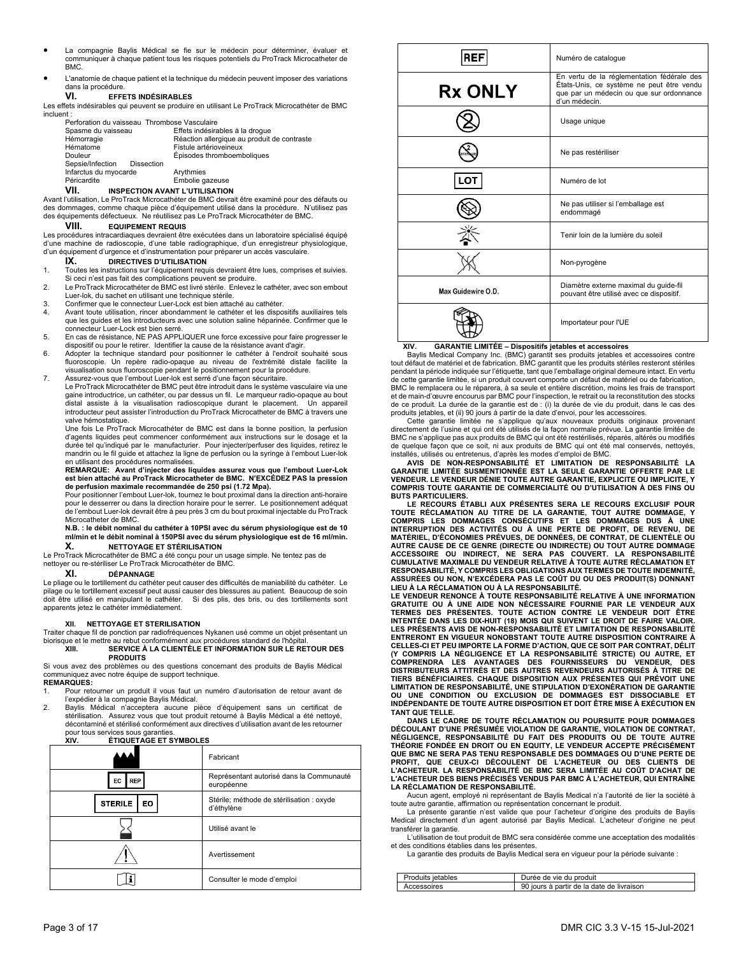- La compagnie Baylis Médical se fie sur le médecin pour déterminer, évaluer et communiquer à chaque patient tous les risques potentiels du ProTrack Microcatheter de BMC.
- L'anatomie de chaque patient et la technique du médecin peuvent imposer des variations dans la procédure.

## **VI. EFFETS INDÉSIRABLES**

Les effets indésirables qui peuvent se produire en utilisant Le ProTrack Microcathéter de BMC incluent :

| Perforation du vaisseau Thrombose Vasculaire |                                             |
|----------------------------------------------|---------------------------------------------|
| Spasme du vaisseau                           | Effets indésirables à la drogue             |
| Hémorragie                                   | Réaction allergique au produit de contraste |
| Hématome                                     | Fistule artérioveineux                      |
| Douleur                                      | Épisodes thromboemboliques                  |
| Sepsie/Infection<br>Dissection               |                                             |
| Infarctus du myocarde                        | Arythmies                                   |
| Péricardite                                  | Embolie gazeuse                             |
|                                              |                                             |

**VII. INSPECTION AVANT L'UTILISATION** 

Avant l'utilisation, Le ProTrack Microcathéter de BMC devrait être examiné pour des défauts ou des dommages, comme chaque pièce d'équipement utilisé dans la procédure. N'utilisez pas ements défectueux. Ne réutilisez pas Le ProTrack Microcathéter de BMC

## **VIII. EQUIPEMENT REQUIS**

Les procédures intracardiaques devraient être exécutées dans un laboratoire spécialisé équipé d'une machine de radioscopie, d'une table radiographique, d'un enregistreur physiologique, d'un équipement d'urgence et d'instrumentation pour préparer un accès vasculaire.

## **IX.** DIRECTIVES D'UTILISATION

- 1. Toutes les instructions sur l'équipement requis devraient être lues, comprises et suivies. Si ceci n'est pas fait des complications peuvent se produire. 2. Le ProTrack Microcathéter de BMC est livré stérile. Enlevez le cathéter, avec son embout
- Luer-lok, du sachet en utilisant une technique stérile.
- 3. Confirmer que le connecteur Luer-Lock est bien attaché au cathéter.
- Avant toute utilisation, rincer abondamment le cathéter et les dispositifs auxiliaires tels que les guides et les introducteurs avec une solution saline héparinée. Confirmer que le connecteur Luer-Lock est bien serré.
- 5. En cas de résistance, NE PAS APPLIQUER une force excessive pour faire progresser le
- dispositif ou pour le retirer. Identifier la cause de la résistance avant d'agir. 6. Adopter la technique standard pour positionner le cathéter à l'endroit souhaité sous fluoroscopie. Un repère radio-opaque au niveau de l'extrémité distale facilite la visualisation sous fluoroscopie pendant le positionnement pour la procédure.
- 7. Assurez-vous que l'embout Luer-lok est serré d'une façon sécuritaire.

Le ProTrack Microcathéter de BMC peut être introduit dans le système vasculaire via une gaine introductrice, un cathéter, ou par dessus un fil. Le marqueur radio-opaque au bout distal assiste à la visualisation radioscopique durant le placement. Un appareil introducteur peut assister l'introduction du ProTrack Microcatheter de BMC à travers une valve hémostatique.

Une fois Le ProTrack Microcathéter de BMC est dans la bonne position, la perfusion d'agents liquides peut commencer conformément aux instructions sur le dosage et la durée tel qu'indiqué par le manufacturier. Pour injecter/perfuser des liquides, r mandrin ou le fil guide et attachez la ligne de perfusion ou la syringe à l'embout Luer-lok en utilisant des procédures normalisées.

## **REMARQUE: Avant d'injecter des liquides assurez vous que l'embout Luer-Lok est bien attaché au ProTrack Microcatheter de BMC. N'EXCÉDEZ PAS la pression de perfusion maximale recommandée de 250 psi (1.72 Mpa).**

Pour positionner l'embout Luer-lok, tournez le bout proximal dans la direction anti-horaire pour le desserrer ou dans la direction horaire pour le serrer. Le positionnement adéquat de l'embout Luer-lok devrait être à peu près 3 cm du bout proximal injectable du ProTrack Microcatheter de BMC.

**N.B. : le débit nominal du cathéter à 10PSI avec du sérum physiologique est de 10 ml/min et le débit nominal à 150PSI avec du sérum physiologique est de 16 ml/min.** 

## **NETTOYAGE ET STÉRILISATION**

Le ProTrack Microcathéter de BMC a été conçu pour un usage simple. Ne tentez pas de nettoyer ou re-stériliser Le ProTrack Microcathéter de BMC.

## **XI. DÉPANNAGE**

Le pliage ou le tortillement du cathéter peut causer des difficultés de maniabilité du cathéter. Le pilage ou le tortillement excessif peut aussi causer des blessures au patient. Beaucoup de soin doit être utilisé en manipulant le cathéter. Si des plis, des bris, ou des tortillements sont apparents jetez le cathéter immédiatement.

## **XII. NETTOYAGE ET STERILISATION**

Traiter chaque fil de ponction par radiofréquences Nykanen usé comme un objet présentant un biorisque et le mettre au rebut conformément aux procédures standard de l'hôpital<br>XIII. SERVICE À LA CLIENTÈLE ET INFORMATION SUR LE RE

## **XIII. SERVICE À LA CLIENTÈLE ET INFORMATION SUR LE RETOUR DES PRODUITS**

Si vous avez des problèmes ou des questions concernant des produits de Baylis Médical communiquez avec notre équipe de support technique.

## **REMARQUES:**

1. Pour retourner un produit il vous faut un numéro d'autorisation de retour avant de l'expédier à la compagnie Baylis Médical.

2. Baylis Médical n'acceptera aucune pièce d'équipement sans un certificat de stérilisation. Assurez vous que tout produit retourné à Baylis Médical a été nettoyé, décontaminé et stérilisé conformément aux directives d'utilisation avant de les retourner pour tous services sous garanties.<br>XIV. FTIQUETAGE FT S

## **XIV. ÉTIQUETAGE ET SYMBOLES**

|                             | Fabricant                                               |
|-----------------------------|---------------------------------------------------------|
| <b>REP</b><br>EC            | Représentant autorisé dans la Communauté<br>européenne  |
| <b>STERILE</b><br><b>EO</b> | Stérile; méthode de stérilisation : oxyde<br>d'éthylène |
|                             | Utilisé avant le                                        |
|                             | Avertissement                                           |
|                             | Consulter le mode d'emploi                              |

| <b>REF</b>         | Numéro de catalogue                                                                                                                                  |
|--------------------|------------------------------------------------------------------------------------------------------------------------------------------------------|
| <b>Rx ONLY</b>     | En vertu de la réglementation fédérale des<br>États-Unis, ce système ne peut être vendu<br>que par un médecin ou que sur ordonnance<br>d'un médecin. |
|                    | Usage unique                                                                                                                                         |
|                    | Ne pas restériliser                                                                                                                                  |
| <b>LOT</b>         | Numéro de lot                                                                                                                                        |
|                    | Ne pas utiliser si l'emballage est<br>endommagé                                                                                                      |
|                    | Tenir loin de la lumière du soleil                                                                                                                   |
|                    | Non-pyrogène                                                                                                                                         |
| Max Guidewire O.D. | Diamètre externe maximal du guide-fil<br>pouvant être utilisé avec ce dispositif.                                                                    |
|                    | Importateur pour l'UE                                                                                                                                |

## **XIV. GARANTIE LIMITÉE – Dispositifs jetables et accessoires**

 Baylis Medical Company Inc. (BMC) garantit ses produits jetables et accessoires contre tout défaut de matériel et de fabrication. BMC garantit que les produits stériles resteront stériles pendant la période indiquée sur l'étiquette, tant que l'emballage original demeure intact. En vertu de cette garantie limitée, si un produit couvert comporte un défaut de matériel ou de fabrication, BMC le remplacera ou le réparera, à sa seule et entière discrétion, moins les frais de transport et de main-d'œuvre encourus par BMC pour l'inspection, le retrait ou la reconstitution des stocks de ce produit. La durée de la garantie est de : (i) la durée de vie du produit, dans le cas des produits jetables, et (ii) 90 jours à partir de la date d'envoi, pour les accessoires.

 Cette garantie limitée ne s'applique qu'aux nouveaux produits originaux provenant directement de l'usine et qui ont été utilisés de la façon normale prévue. La garantie limitée de BMC ne s'applique pas aux produits de BMC qui ont été restérilisés, réparés, altérés ou modifiés de quelque façon que ce soit, ni aux produits de BMC qui ont été mal conservés, nettoyés,

installés, utilisés ou entretenus, d'après les modes d'emploi de BMC. **AVIS DE NON-RESPONSABILITÉ ET LIMITATION DE RESPONSABILITÉ LA GARANTIE LIMITÉE SUSMENTIONNÉE EST LA SEULE GARANTIE OFFERTE PAR LE VENDEUR. LE VENDEUR DÉNIE TOUTE AUTRE GARANTIE, EXPLICITE OU IMPLICITE, Y COMPRIS TOUTE GARANTIE DE COMMERCIALITÉ OU D'UTILISATION À DES FINS OU BUTS PARTICULIERS.** 

**LE RECOURS ÉTABLI AUX PRÉSENTES SERA LE RECOURS EXCLUSIF POUR TOUTE RÉCLAMATION AU TITRE DE LA GARANTIE, TOUT AUTRE DOMMAGE, Y**  COMPRIS LES DOMMAGES CONSÉCUTIFS ET LES DOMMAGES DUS À UNE<br>INTERRUPTION DES ACTIVITÉS OU À UNE PERTE DE PROFIT, DE REVENU, DE<br>MATÉRIEL, D'ÉCONOMIES PRÉVUES, DE DONNÉES, DE CONTRAT, DE CLIENTÈLE OU AUTRE CAUSE DE CE GENRE (DIRECTE OU INDIRECTE) OU TOUT AUTRE DOMMAGE<br>ACCESSOIRE OU INDIRECT, NE SERA PAS COUVERT. LA RESPONSABILITÉ<br>CUMULATIVE MAXIMALE DU VENDEUR RELATIVE À TOUTE AUTRE RÉCLAMATION ET<br>RESPO **ASSURÉES OU NON, N'EXCÉDERA PAS LE COÛT DU OU DES PRODUIT(S) DONNANT** 

**LIEU À LA RÉCLAMATION OU À LA RESPONSABILITÉ. LE VENDEUR RENONCE À TOUTE RESPONSABILITÉ RELATIVE À UNE INFORMATION GRATUITE OU À UNE AIDE NON NÉCESSAIRE FOURNIE PAR LE VENDEUR AUX TERMES DES PRÉSENTES. TOUTE ACTION CONTRE LE VENDEUR DOIT ÊTRE INTENTÉE DANS LES DIX-HUIT (18) MOIS QUI SUIVENT LE DROIT DE FAIRE VALOIR. LES PRÉSENTS AVIS DE NON-RESPONSABILITÉ ET LIMITATION DE RESPONSABILITÉ ENTRERONT EN VIGUEUR NONOBSTANT TOUTE AUTRE DISPOSITION CONTRAIRE À CELLES-CI ET PEU IMPORTE LA FORME D'ACTION, QUE CE SOIT PAR CONTRAT, DÉLIT (Y COMPRIS LA NÉGLIGENCE ET LA RESPONSABILITÉ STRICTE) OU AUTRE, ET COMPRENDRA LES AVANTAGES DES FOURNISSEURS DU VENDEUR, DES DISTRIBUTEURS ATTITRÉS ET DES AUTRES REVENDEURS AUTORISÉS À TITRE DE TIERS BÉNÉFICIAIRES. CHAQUE DISPOSITION AUX PRÉSENTES QUI PRÉVOIT UNE LIMITATION DE RESPONSABILITÉ, UNE STIPULATION D'EXONÉRATION DE GARANTIE OU UNE CONDITION OU EXCLUSION DE DOMMAGES EST DISSOCIABLE ET INDÉPENDANTE DE TOUTE AUTRE DISPOSITION ET DOIT ÊTRE MISE À EXÉCUTION EN TANT QUE TELLE.** 

 **DANS LE CADRE DE TOUTE RÉCLAMATION OU POURSUITE POUR DOMMAGES DÉCOULANT D'UNE PRÉSUMÉE VIOLATION DE GARANTIE, VIOLATION DE CONTRAT, NÉGLIGENCE, RESPONSABILITÉ DU FAIT DES PRODUITS OU DE TOUTE AUTRE THÉORIE FONDÉE EN DROIT OU EN EQUITY, LE VENDEUR ACCEPTE PRÉCISÉMENT QUE BMC NE SERA PAS TENU RESPONSABLE DES DOMMAGES OU D'UNE PERTE DE**  PROFIT, QUE CEUX-CI DÉCOULENT DE L'ACHETEUR OU DES CLIENTS DE<br>L'ACHETEUR. LA RESPONSABILITÉ DE BMC SERA LIMITÉE AU COÛT D'ACHAT DE<br>L'ACHETEUR DES BIENSPRÉCISÉS VENDUS PAR BMC À L'ACHETEUR, QUI ENTRAÎNE **LA RÉCLAMATION DE RESPONSABILITÉ.** 

 Aucun agent, employé ni représentant de Baylis Medical n'a l'autorité de lier la société à toute autre garantie, affirmation ou représentation concernant le produit. La présente garantie n'est valide que pour l'acheteur d'origine des produits de Baylis

Medical directement d'un agent autorisé par Baylis Medical. L'acheteur d'origine ne peut transférer la garantie.

L'utilisation de tout produit de BMC sera considérée comme une acceptation des modalités et des conditions établies dans les présentes.

La garantie des produits de Baylis Medical sera en vigueur pour la période suivante :

| <b>Produits ietables</b> | Durée de vie du produit                   |
|--------------------------|-------------------------------------------|
| Accessoires              | 90 iours à partir de la date de livraison |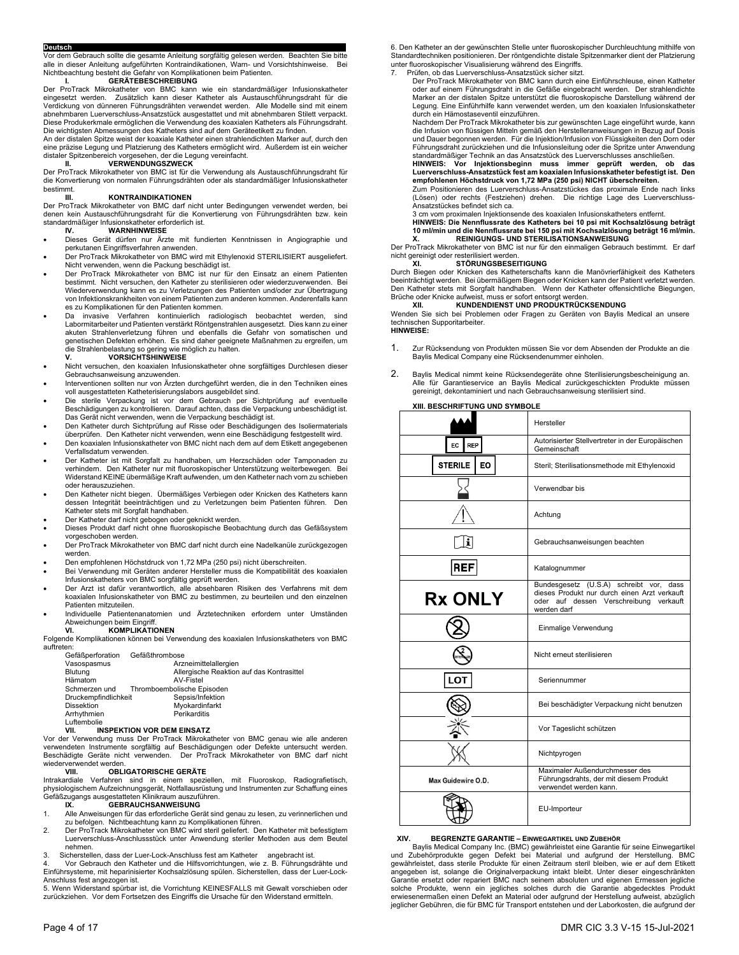Deutsch<br>Vor dem Gebrauch sollte die gesamte Anleitung sorgfältig gelesen werden. Beachten Sie bitte<br>alle in dieser Anleitung aufgeführten Kontraindikationen, Warn- und Vorsichtshinweise. Bei<br>Nichteachtung besteht die Gefah

Der ProTrack Mikrokatheter von BMC kann wie ein standardmäßiger Infusionskatheter eingesetzt werden. Zusätzlich kann dieser Katheter als Austauschführungsdraht für die Verdickung von dünneren Führungsdrähten verwendet werden. Alle Modelle sind mit einem abnehmbaren Luerverschluss-Ansatzstück ausgestattet und mit abnehmbaren Stilett verpackt. Diese Produkerkmale ermöglichen die Verwendung des koaxialen Katheters als Führungsdraht. Die wichtigsten Abmessungen des Katheters sind auf dem Geräteetikett zu finden.

An der distalen Spitze weist der koaxiale Katheter einen strahlendichten Marker auf, durch den<br>eine präzise Legung und Platzierung des Katheters ermöglicht wird. Außerdem ist ein weicher<br>distaler Spitzenbereich vorgesehen

Der ProTrack Mikrokatheter von BMC ist für die Verwendung als Austauschführungsdraht für die Konvertierung von normalen Führungsdrähten oder als standardmäßiger Infusionskatheter bestimmt.

## **KONTRAINDIKATIONEN**

Der ProTrack Mikrokatheter von BMC darf nicht unter Bedingungen verwendet werden, bei<br>denen kein Austauschführungsdraht für die Konvertierung von Führungsdrähten bzw. kein<br>standardmäßiger Infusionskatheter erforderlich ist

- Dieses Gerät dürfen nur Ärzte mit fundierten Kenntnissen in Angiographie und perkutanen Eingriffsverfahren anwenden.
- Der ProTrack Mikrokatheter von BMC wird mit Ethylenoxid STERILISIERT ausgeliefert. Nicht verwenden, wenn die Packung beschädigt ist.
- Der ProTrack Mikrokatheter von BMC ist nur für den Einsatz an einem Patienten bestimmt. Nicht versuchen, den Katheter zu sterilisieren oder wiederzuverwenden. Bei Wiederverwendung kann es zu Verletzungen des Patienten und/oder zur Übertragung von Infektionskrankheiten von einem Patienten zum anderen kommen. Anderenfalls kann es zu Komplikationen für den Patienten kommen.
- Da invasive Verfahren kontinuierlich radiologisch beobachtet werden, sind Labormitarbeiter und Patienten verstärkt Röntgenstrahlen ausgesetzt. Dies kann zu einer akuten Strahlenverletzung führen und ebenfalls die Gefahr von somatischen und genetischen Defekten erhöhen. Es sind daher geeignete Maßnahmen zu ergreifen, um die Strahlenbelastung so gering wie möglich zu halten. **V. VORSICHTSHINWEISE**
- Nicht versuchen, den koaxialen Infusionskatheter ohne sorgfältiges Durchlesen dieser Gebrauchsanweisung anzuwenden.
- Interventionen sollten nur von Ärzten durchgeführt werden, die in den Techniken eines voll ausgestatteten Katheterisierungslabors ausgebildet sind.
- Die sterile Verpackung ist vor dem Gebrauch per Sichtprüfung auf eventuelle<br>Beschädigungen zu kontrollieren. Darauf achten, dass die Verpackung unbeschädigt ist.<br>Das Gerät nicht verwenden, wenn die Verpackung beschädigt
- Den Katheter durch Sichtprüfung auf Risse oder Beschädigungen des Isoliermaterials überprüfen. Den Katheter nicht verwenden, wenn eine Beschädigung festgestellt wird.
- Den koaxialen Infusionskatheter von BMC nicht nach dem auf dem Etikett angegebenen Verfallsdatum verwenden.
- Der Katheter ist mit Sorgfalt zu handhaben, um Herzschäden oder Tamponaden zu verhindern. Den Katheter nur mit fluoroskopischer Unterstützung weiterbewegen. Bei Widerstand KEINE übermäßige Kraft aufwenden, um den Katheter nach vorn zu schieben oder herauszuziehen.
- Den Katheter nicht biegen. Übermäßiges Verbiegen oder Knicken des Katheters kann dessen Integrität beeinträchtigen und zu Verletzungen beim Patienten führen. Den Katheter stets mit Sorgfalt handhaben. Der Katheter darf nicht gebogen oder geknickt werden.
- 
- Dieses Produkt darf nicht ohne fluoroskopische Beobachtung durch das Gefäßsystem vorgeschoben werden.
- Der ProTrack Mikrokatheter von BMC darf nicht durch eine Nadelkanüle zurückgezogen werden.
- Den empfohlenen Höchstdruck von 1,72 MPa (250 psi) nicht überschreiten.
- Bei Verwendung mit Geräten anderer Hersteller muss die Kompatibilität des koaxialen Infusionskatheters von BMC sorgfältig geprüft werden.
- Der Arzt ist dafür verantwortlich, alle absehbaren Risiken des Verfahrens mit dem koaxialen Infusionskatheter von BMC zu bestimmen, zu beurteilen und den einzelnen Patienten mitzuteilen.
- Individuelle Patientenanatomien und Ärztetechniken erfordern unter Umständen Abweichungen beim Eingriff.<br>VI. KOMPLIKATIO

## **VI. KOMPLIKATIONEN**

Folgende Komplikationen können bei Verwendung des koaxialen Infusionskatheters von BMC auftreten: Gefäßperforation Gefäßthrombose

| Geraisperioration    | Gelaistrifornbose                                                                 |
|----------------------|-----------------------------------------------------------------------------------|
| Vasospasmus          | Arzneimittelallergien                                                             |
| Blutuna              | Allergische Reaktion auf das Kontrasittel                                         |
| Hämatom              | AV-Fistel                                                                         |
| Schmerzen und        | Thromboembolische Episoden                                                        |
| Druckempfindlichkeit | Sepsis/Infektion                                                                  |
| <b>Dissektion</b>    | Myokardinfarkt                                                                    |
| Arrhythmien          | Perikarditis                                                                      |
| Luftembolie          |                                                                                   |
| VII.                 | <b>INSPEKTION VOR DEM EINSATZ</b>                                                 |
|                      | Vor der Verwendung muss Der ProTrack Mikrokatheter von BMC genau wie alle anderen |

verwendeten Instrumente sorgfältig auf Beschädigungen oder Defekte untersucht werden. Beschädigte Geräte nicht verwenden. Der ProTrack Mikrokatheter von BMC darf nicht wiederverwendet werden.

### **VIII. OBLIGATORISCHE GERÄTE**

Intrakardiale Verfahren sind in einem speziellen, mit Fluoroskop, Radiografietisch, physiologischem Aufzeichnungsgerät, Notfallausrüstung und Instrumenten zur Schaffung eines Gefäßzugangs ausgestatteten Klinikraum auszuführen.

## **IX. GEBRAUCHSANWEISUNG**

- 1. Alle Anweisungen für das erforderliche Gerät sind genau zu lesen, zu verinnerlichen und zu befolgen. Nichtbeachtung kann zu Komplikationen führen.
- 2. Der ProTrack Mikrokatheter von BMC wird steril geliefert. Den Katheter mit befestigtem
- Luerverschluss-Anschlussstück unter Anwendung steriler Methoden aus dem Beutel nehmen.
- 

3. Sicherstellen, dass der Luer-Lock-Anschluss fest am Katheter angebracht ist.<br>4. Vor Gebrauch den Katheter und die Hilfsvorrichtungen, wie z. B. Führungsdrähte und<br>Einführsysteme, mit heparinisierter Kochsa

Anschluss fest angezogen ist. 5. Wenn Widerstand spürbar ist, die Vorrichtung KEINESFALLS mit Gewalt vorschieben oder zurückziehen. Vor dem Fortsetzen des Eingriffs die Ursache für den Widerstand ermitteln.

6. Den Katheter an der gewünschten Stelle unter fluoroskopischer Durchleuchtung mithilfe von Standardtechniken positionieren. Der röntgendichte distale Spitzenmarker dient der Platzierung<br>unter fluoroskopischer Visualisierung während des Eingriffs.<br>7. Prüfen, ob das Luerverschluss-Ansatzstück sicher sitzt.<br>

oder auf einem Führungsdraht in die Gefäße eingebracht werden. Der strahlendichte Marker an der distalen Spitze unterstützt die fluoroskopische Darstellung während der Legung. Eine Einführhilfe kann verwendet werden, um den koaxialen Infusionskatheter durch ein Hämostaseventil einzuführen.

Nachdem Der ProTrack Mikrokatheter bis zur gewünschten Lage eingeführt wurde, kann die Infusion von flüssigen Mitteln gemäß den Herstelleranweisungen in Bezug auf Dosis und Dauer begonnen werden. Für die Injektion/Infusion von Flüssigkeiten den Dorn oder Führungsdraht zurückziehen und die Infusionsleitung oder die Spritze unter Anwendung standardmäßiger Technik an das Ansatzstück des Luerverschlusses anschließen.

**HINWEIS: Vor Injektionsbeginn muss immer geprüft werden, ob das Luerverschluss-Ansatzstück fest am koaxialen Infusionskatheter befestigt ist. Den** 

**empfohlenen Höchstdruck von 1,72 MPa (250 psi) NICHT überschreiten.**<br>Zum Positionieren des Luerverschluss-Ansatzstückes das proximale Ende nach links (Lösen) oder rechts (Festziehen) drehen. Die richtige Lage des Luerverschluss-Ansatzstückes befindet sich ca.

3 cm vom proximalen Injektionsende des koaxialen Infusionskatheters entfernt.

**HINWEIS: Die Nennflussrate des Katheters bei 10 psi mit Kochsalzlösung beträgt 10 ml/min und die Nennflussrate bei 150 psi mit Kochsalzlösung beträgt 16 ml/min. X. REINIGUNGS- UND STERILISATIONSANWEISUNG** 

Der ProTrack Mikrokatheter von BMC ist nur für den einmaligen Gebrauch bestimmt. Er darf nicht gereinigt oder resterilisiert werden.

## **XI. STÖRUNGSBESEITIGUNG**

Durch Biegen oder Knicken des Katheterschafts kann die Manövrierfähigkeit des Katheters beeinträchtigt werden. Bei übermäßigem Biegen oder Knicken kann der Patient verletzt werden. Den Katheter stets mit Sorgfalt handhaben. Wenn der Katheter offensichtliche Biegungen,

## Brüche oder Knicke aufweist, muss er sofort entsorgt werden. **XII. KUNDENDIENST UND PRODUKTRÜCKSENDUNG**

Wenden Sie sich bei Problemen oder Fragen zu Geräten von Baylis Medical an unsere technischen Supporitarbeiter. **HINWEISE:** 

- 1. Zur Rücksendung von Produkten müssen Sie vor dem Absenden der Produkte an die Baylis Medical Company eine Rücksendenummer einholen.
- 2. Baylis Medical nimmt keine Rücksendegeräte ohne Sterilisierungsbescheinigung an. Alle für Garantieservice an Baylis Medical zurückgeschickten Produkte müssen gereinigt, dekontaminiert und nach Gebrauchsanweisung sterilisiert sind.

## **XIII. BESCHRIFTUNG UND SYMBOLE**

|                       | Hersteller                                                                                                                                       |
|-----------------------|--------------------------------------------------------------------------------------------------------------------------------------------------|
| EC<br><b>REP</b>      | Autorisierter Stellvertreter in der Europäischen<br>Gemeinschaft                                                                                 |
| <b>STERILE</b><br>EO. | Steril; Sterilisationsmethode mit Ethylenoxid                                                                                                    |
|                       | Verwendbar bis                                                                                                                                   |
|                       | Achtung                                                                                                                                          |
| i.                    | Gebrauchsanweisungen beachten                                                                                                                    |
| <b>REF</b>            | Katalognummer                                                                                                                                    |
| <b>Rx ONLY</b>        | Bundesgesetz (U.S.A) schreibt vor, dass<br>dieses Produkt nur durch einen Arzt verkauft<br>oder auf dessen Verschreibung verkauft<br>werden darf |
|                       | Einmalige Verwendung                                                                                                                             |
|                       | Nicht erneut sterilisieren                                                                                                                       |
| LOT                   | Seriennummer                                                                                                                                     |
|                       | Bei beschädigter Verpackung nicht benutzen                                                                                                       |
|                       | Vor Tageslicht schützen                                                                                                                          |
|                       | Nichtpyrogen                                                                                                                                     |
| Max Guidewire O.D.    | Maximaler Außendurchmesser des<br>Führungsdrahts, der mit diesem Produkt<br>verwendet werden kann.                                               |
|                       | EU-Importeur                                                                                                                                     |

## **XIV. BEGRENZTE GARANTIE – EINWEGARTIKEL UND ZUBEHÖR**

Baylis Medical Company Inc. (BMC) gewährleistet eine Garantie für seine Einwegartikel<br>und Zubehörprodukte gegen Defekt bei Material und aufgrund der Herstellung. BMC<br>gewährleistet, dass sterile Produkte für einen angegeben ist, solange die Originalverpackung intakt bleibt. Unter dieser eingeschränkten<br>Garantie ersetzt oder repariert BMC nach seinem absoluten und eigenen Ermessen jegliche<br>solche Produkte, wenn ein jegliches solches erwiesenermaßen einen Defekt an Material oder aufgrund der Herstellung aufweist, abzüglich jeglicher Gebühren, die für BMC für Transport entstehen und der Laborkosten, die aufgrund der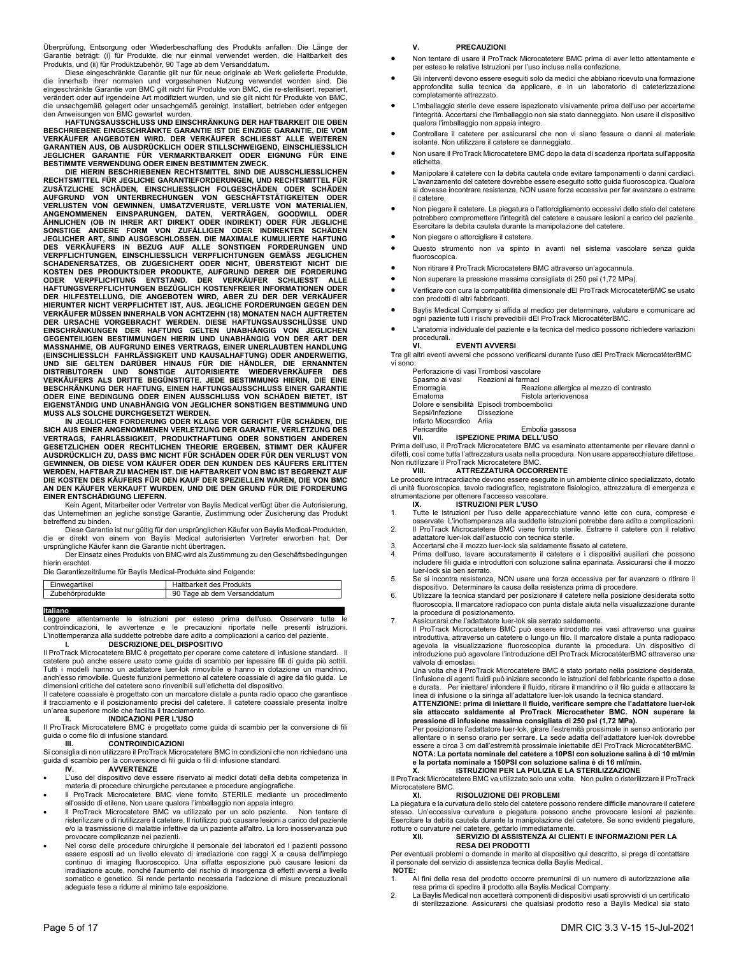Überprüfung, Entsorgung oder Wiederbeschaffung des Produkts anfallen. Die Länge der<br>Garantie beträgt: (i) für Produkte, die nur einmal verwendet werden, die Haltbarkeit des<br>Produkts, und (ii) für Produktzubehör, 90 Tage ab

, Diese eingeschränkte Garantie gilt nur für neue originale ab Werk gelieferte Produkte<br>die innerhalb ihrer normalen und vorgesehenen Nutzung verwendet worden sind. Die<br>eingeschränkte Garantie von BMC gilt nicht verändert oder auf irgendeine Art modifiziert wurden, und sie gilt nicht für Produkte von BMC,<br>die unsachgemäß gelagert oder unsachgemäß gereinigt, installiert, betrieben oder entgegen<br>den Anweisungen von BMC gewartet wurd

**BESCHRIEBENE EINGESCHRÄNKTE GARANTIE IST DIE EINZIGE GARANTIE, DIE VOM VERKÄUFER ANGEBOTEN WIRD. DER VERKÄUFER SCHLIESST ALLE WEITEREN GARANTIEN AUS, OB AUSDRÜCKLICH ODER STILLSCHWEIGEND, EINSCHLIESSLICH JEGLICHER GARANTIE FÜR VERMARKTBARKEIT ODER EIGNUNG FÜR EINE BESTIMMTE VERWENDUNG ODER EINEN BESTIMMTEN ZWECK.**

DIE HIERIN BESCHRIEBENEN RECHTSMITTEL SIND DIE AUSSCHLIESSLICHEN<br>RECHTSMITTEL FÜR JEGLICHE GARANTIEFORDERINGEN, UND RECHTSMITTEL FÜR ZUSÄTZLICHE SCHÄDEN, EINSCHLIESSLICH FOLGESCHÄDEN DODER SCHÄDEN<br>AUFGRUND VON UNTERBRECHUN VERKÄUFER MÜSSEN INNERHALB VON ACHTZEHN (18) MONATEN NACH AUFTRETEN<br>DER URSACHE VORGEBRACHT WERDEN. DIESE HAFTUNGSAUSSCHLÜSSE UND<br>EINSCHRÄNKUNGEN DER HAFTUNG GELTEN UNABHÄNGIG VON JEGLICHEN<br>GEGENTEILIGEN BESTIMMUNGEN HIERI **MUSS ALS SOLCHE DURCHGESETZT WERDEN.** 

IN JEGLICHER FORDERUNG ODER KLAGE VOR GERICHT FÜR SCHÄDEN, DIE<br>SICH AUS EINER ANGENOMMENEN VERLETZUNG DER GARANTIE, VERLETZUNG VERTRAGS, FAHRLÄSSIGKEIT, PRODUKTHAFTUNG ODER<br>GESETZLICHEN ODER RECHTLICHEN THEORIE ERGEBEN, ST **GEWINNEN, OB DIESE VOM KÄUFER ODER DEN KUNDEN DES KÄUFERS ERLITTEN WERDEN, HAFTBAR ZU MACHEN IST. DIE HAFTBARKEIT VON BMC IST BEGRENZT AUF DIE KOSTEN DES KÄUFERS FÜR DEN KAUF DER SPEZIELLEN WAREN, DIE VON BMC AN DEN KÄUFER VERKAUFT WURDEN, UND DIE DEN GRUND FÜR DIE FORDERUNG EINER ENTSCHÄDIGUNG LIEFERN.**

 Kein Agent, Mitarbeiter oder Vertreter von Baylis Medical verfügt über die Autorisierung, das Unternehmen an jegliche sonstige Garantie, Zustimmung oder Zusicherung das Produkt betreffend zu binden.

 Diese Garantie ist nur gültig für den ursprünglichen Käufer von Baylis Medical-Produkten, die er direkt von einem von Baylis Medical autorisierten Vertreter erworben hat. Der ursprüngliche Käufer kann die Garantie nicht übertragen.

 Der Einsatz eines Produkts von BMC wird als Zustimmung zu den Geschäftsbedingungen hierin erachtet.

Die Garantiezeiträume für Baylis Medical-Produkte sind Folgende:

| Einwegartikel   | Haltbarkeit des Produkts    |
|-----------------|-----------------------------|
| Zubehörprodukte | 90 Tage ab dem Versanddatum |
|                 |                             |

Italiano<br>Leggere attentamente le istruzioni per esteso prima dell'uso. Osservare tutte le<br>controindicazioni, le avvertenze e le precauzioni riportate nelle presenti istruzioni.<br>L'inottemperanza alla suddette potrebbe dare

Il ProTrack Microcatetere BMC è progettato per operare come catetere di infusione standard. Il catetere può anche essere usato come guida di scambio per ispessire fili di guida più sottili. Tutti i modelli hanno un adattatore luer-lok rimovibile e hanno in dotazione un mandrino, anch'esso rimovibile. Queste funzioni permettono al catetere coassiale di agire da filo guida. Le dimensioni critiche del catetere sono rinvenibili sull'etichetta del dispositivo.

Il catetere coassiale è progettato con un marcatore distale a punta radio opaco che garantisce il tracciamento e il posizionamento precisi del catetere. Il catetere coassiale presenta inoltre un'area superiore molle che facilita il tracciamento.

**III. ProTrack Microcatetere BMC è progettato come guida di scambio per la conversione di fili<br>Il ProTrack Microcatetere BMC è progettato come guida di scambio per la conversione di fili<br>guida o come filo di infusione stan** 

## **III. CONTROINDICAZIONI**

Si consiglia di non utilizzare il ProTrack Microcatetere BMC in condizioni che non richiedano una guida di scambio per la conversione di fili guida o fili di infusione standard.<br> **NUMERTENZE** 

## **IV. AVVERTENZE**

- L'uso del dispositivo deve essere riservato ai medici dotati della debita competenza in materia di procedure chirurgiche percutanee e procedure angiografiche.
- Il ProTrack Microcatetere BMC viene fornito STERILE mediante un procedimento all'ossido di etilene. Non usare qualora l'imballaggio non appaia integro.
- Il ProTrack Microcatetere BMC va utilizzato per un solo paziente. Non tentare di risterilizzare o di riutilizzare il catetere. Il riutilizzo può causare lesioni a carico del paziente e/o la trasmissione di malattie infettive da un paziente all'altro. La loro inosservanza può provocare complicanze nei pazienti.
- Nel corso delle procedure chirurgiche il personale dei laboratori ed i pazienti possono essere esposti ad un livello elevato di irradiazione con raggi X a causa dell'impiego continuo di imaging fluoroscopico. Una siffatta esposizione può causare lesioni da irradiazione acute, nonché l'aumento del rischio di insorgenza di effetti avversi a livello somatico e genetico. Si rende pertanto necessaria l'adozione di misure precauzionali adeguate tese a ridurre al minimo tale esposizione.

## **V. PRECAUZIONI**

- Non tentare di usare il ProTrack Microcatetere BMC prima di aver letto attentamente e per esteso le relative Istruzioni per l'uso incluse nella confezione.
- Gli interventi devono essere eseguiti solo da medici che abbiano ricevuto una formazione approfondita sulla tecnica da applicare, e in un laboratorio di cateterizzazione completamente attrezzato.
- L'imballaggio sterile deve essere ispezionato visivamente prima dell'uso per accertarne l'integrità. Accertarsi che l'imballaggio non sia stato danneggiato. Non usare il dispositivo qualora l'imballaggio non appaia integro.
- Controllare il catetere per assicurarsi che non vi siano fessure o danni al materiale isolante. Non utilizzare il catetere se danneggiato.
- Non usare il ProTrack Microcatetere BMC dopo la data di scadenza riportata sull'apposita etichetta.
- Manipolare il catetere con la debita cautela onde evitare tamponamenti o danni cardiaci. L'avanzamento del catetere dovrebbe essere eseguito sotto guida fluoroscopica. Qualora si dovesse incontrare resistenza, NON usare forza eccessiva per far avanzare o estrarre il catetere.
- Non piegare il catetere. La piegatura o l'attorcigliamento eccessivi dello stelo del catetere potrebbero compromettere l'integrità del catetere e causare lesioni a carico del paziente. Esercitare la debita cautela durante la manipolazione del catetere.
- Non piegare o attorcigliare il catetere.
- Questo strumento non va spinto in avanti nel sistema vascolare senza guida fluoroscopica.
- Non ritirare il ProTrack Microcatetere BMC attraverso un'agocannula.
- Non superare la pressione massima consigliata di 250 psi (1,72 MPa).
- Verificare con cura la compatibilità dimensionale dEl ProTrack MicrocatéterBMC se usato con prodotti di altri fabbricanti.
- Baylis Medical Company si affida al medico per determinare, valutare e comunicare ad ogni paziente tutti i rischi prevedibili dEl ProTrack MicrocatéterBMC.
- L'anatomia individuale del paziente e la tecnica del medico possono richiedere variazioni procedurali.

## **EVENTI AVVERSI**

Tra gli altri eventi avversi che possono verificarsi durante l'uso dEl ProTrack MicrocatéterBMC vi so

| :מר                        |                                                                                                                                                                                                                                                                                                                                                            |
|----------------------------|------------------------------------------------------------------------------------------------------------------------------------------------------------------------------------------------------------------------------------------------------------------------------------------------------------------------------------------------------------|
|                            | Perforazione di vasi Trombosi vascolare                                                                                                                                                                                                                                                                                                                    |
|                            | Spasmo ai vasi Reazioni ai farmaci                                                                                                                                                                                                                                                                                                                         |
| Emorragia                  | Reazione allergica al mezzo di contrasto                                                                                                                                                                                                                                                                                                                   |
| Ematoma                    | Fistola arteriovenosa                                                                                                                                                                                                                                                                                                                                      |
|                            | Dolore e sensibilità Episodi tromboembolici                                                                                                                                                                                                                                                                                                                |
| Sepsi/Infezione Dissezione |                                                                                                                                                                                                                                                                                                                                                            |
| Infarto Miocardico Ariia   |                                                                                                                                                                                                                                                                                                                                                            |
| Pericardite                | Embolia gassosa                                                                                                                                                                                                                                                                                                                                            |
| VII.                       | <b>ISPEZIONE PRIMA DELL'USO</b>                                                                                                                                                                                                                                                                                                                            |
|                            | $\mathbf{u} = \mathbf{u}$ , $\mathbf{u} = \mathbf{u}$ , $\mathbf{u} = \mathbf{u}$ , $\mathbf{u} = \mathbf{u}$ , $\mathbf{u} = \mathbf{u}$ , $\mathbf{u} = \mathbf{u}$ , $\mathbf{u} = \mathbf{u}$ , $\mathbf{u} = \mathbf{u}$ , $\mathbf{u} = \mathbf{u}$ , $\mathbf{u} = \mathbf{u}$ , $\mathbf{u} = \mathbf{u}$ , $\mathbf{u} = \mathbf{u}$ , $\mathbf{$ |

Prima dell'uso, il ProTrack Microcatetere BMC va esaminato attentamente per rilevare danni o difetti, così come tutta l'attrezzatura usata nella procedura. Non usare apparecchiature difettose. Non riutilizzare il ProTrack Microcatetere BMC.

## **VIII. ATTREZZATURA OCCORRENTE**

Le procedure intracardiache devono essere eseguite in un ambiente clinico specializzato, dotato di unità fluoroscopica, tavolo radiografico, registratore fisiologico, attrezzatura di emergenza e strumentazione per ottenere l'accesso vascolare.

**IX. ISTRUZIONI PER L'USO**  1. Tutte le istruzioni per l'uso delle apparecchiature vanno lette con cura, comprese e osservate. L'inottemperanza alla suddette istruzioni potrebbe dare adito a complicazioni. 2. Il ProTrack Microcatetere BMC viene fornito sterile. Estrarre il catetere con il relativo

- adattatore luer-lok dall'astuccio con tecnica sterile.
- 
- 3. Accertarsi che il mozzo luer-lock sia saldamente fissato al catetere. 4. Prima dell'uso, lavare accuratamente il catetere e i dispositivi ausiliari che possono includere fili guida e introduttori con soluzione salina eparinata. Assicurarsi che il mozzo luer-lock sia ben serrato.
- 5. Se si incontra resistenza, NON usare una forza eccessiva per far avanzare o ritirare il
- dispositivo. Determinare la causa della resistenza prima di procedere. 6. Utilizzare la tecnica standard per posizionare il catetere nella posizione desiderata sotto fluoroscopia. Il marcatore radiopaco con punta distale aiuta nella visualizzazione durante la procedura di posizionamento.
- 7. Assicurarsi che l'adattatore luer-lok sia serrato saldamente.

Il ProTrack Microcatetere BMC può essere introdotto nei vasi attraverso una guaina<br>introduttiva, attraverso un catetere o lungo un filo. Il marcatore distale a punta radiopaco<br>agevola la visualizzazione fluoroscopica duran valvola di emostasi.

Una volta che il ProTrack Microcatetere BMC è stato portato nella posizione desiderata, l'infusione di agenti fluidi può iniziare secondo le istruzioni del fabbricante rispetto a dose e durata. Per iniettare/ infondere il fluido, ritirare il mandrino o il filo guida e attaccare la

linea di infusione o la siringa all'adattatore luer-lok usando la tecnica standard. **ATTENZIONE: prima di iniettare il fluido, verificare sempre che l'adattatore luer-lok sia attaccato saldamente al ProTrack Microcatheter BMC. NON superare la pressione di infusione massima consigliata di 250 psi (1,72 MPa).**<br>Per posizionare l'adattatore luer-lok, girare l'estremità prossimale in senso antiorario per

allentare o in senso orario per serrare. La sede adatta dell'adattatore luer-lok dovrebbe essere a circa 3 cm dall'estremità prossimale iniettabile dEl ProTrack MicrocatéterBMC. **NOTA: La portata nominale del catetere a 10PSI con soluzione salina è di 10 ml/min** 

## **e la portata nominale a 150PSI con soluzione salina è di 16 ml/min. X. ISTRUZIONI PER LA PULIZIA E LA STERILIZZAZIONE**

Il ProTrack Microcatetere BMC va utilizzato solo una volta. Non pulire o risterilizzare il ProTrack Microcatetere BMC.<br>XI.

## **XI. RISOLUZIONE DEI PROBLEMI**

La piegatura e la curvatura dello stelo del catetere possono rendere difficile manovrare il catetere stesso. Un'eccessiva curvatura e piegatura possono anche provocare lesioni al paziente. Esercitare la debita cautela durante la manipolazione del catetere. Se sono evidenti piegature, rotture o curvature nel catetere, gettarlo immediatamente.

## **XII. SERVIZIO DI ASSISTENZA AI CLIENTI E INFORMAZIONI PER LA**

**RESA DEI PRODOTTI**  Per eventuali problemi o domande in merito al dispositivo qui descritto, si prega di contattare il personale del servizio di assistenza tecnica della Baylis Medical. **NOTE:** 

- 1. Ai fini della resa del prodotto occorre premunirsi di un numero di autorizzazione alla
- resa prima di spedire il prodotto alla Baylis Medical Company. 2. La Baylis Medical non accetterà componenti di dispositivi usati sprovvisti di un certificato di sterilizzazione. Assicurarsi che qualsiasi prodotto reso a Baylis Medical sia stato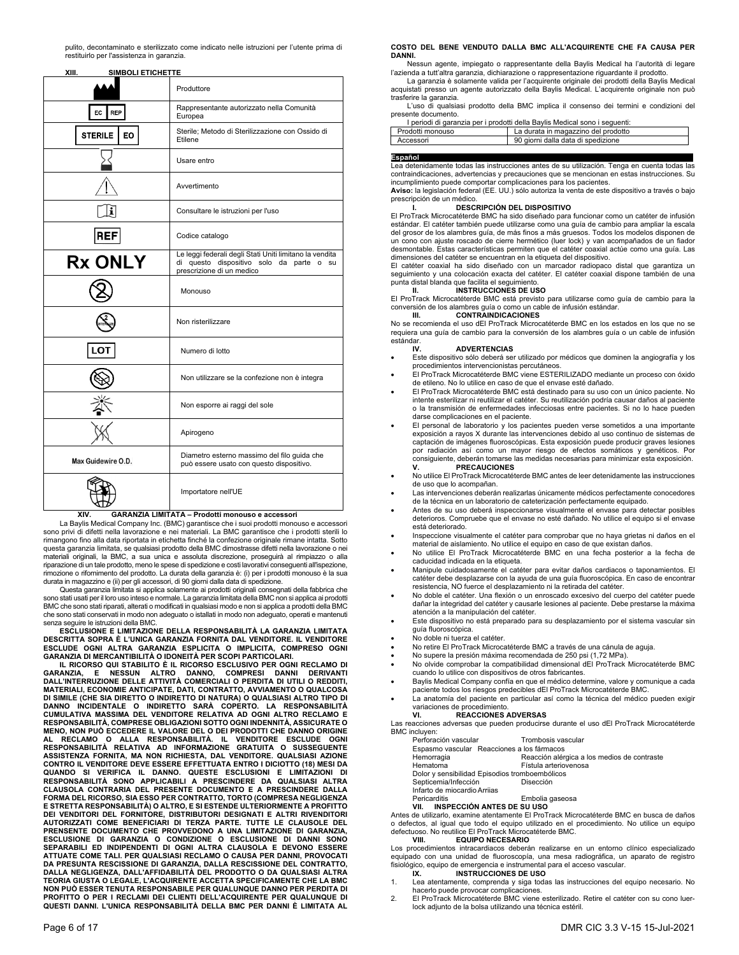pulito, decontaminato e sterilizzato come indicato nelle istruzioni per l'utente prima di restituirlo per l'assistenza in garanzia.

| XIII.<br>SIMBOLI ETICHETTE |                                                                                                                                  |
|----------------------------|----------------------------------------------------------------------------------------------------------------------------------|
|                            | Produttore                                                                                                                       |
| EC  <br><b>REP</b>         | Rappresentante autorizzato nella Comunità<br>Europea                                                                             |
| <b>STERILE</b><br>EO       | Sterile; Metodo di Sterilizzazione con Ossido di<br>Etilene                                                                      |
|                            | Usare entro                                                                                                                      |
|                            | Avvertimento                                                                                                                     |
| i                          | Consultare le istruzioni per l'uso                                                                                               |
| <b>REF</b>                 | Codice catalogo                                                                                                                  |
| <b>Rx ONLY</b>             | Le leggi federali degli Stati Uniti limitano la vendita<br>di questo dispositivo solo da parte o su<br>prescrizione di un medico |
|                            | Monouso                                                                                                                          |
|                            | Non risterilizzare                                                                                                               |
| <b>LOT</b>                 | Numero di lotto                                                                                                                  |
|                            | Non utilizzare se la confezione non è integra                                                                                    |
|                            | Non esporre ai raggi del sole                                                                                                    |
|                            | Apirogeno                                                                                                                        |
| Max Guidewire O.D.         | Diametro esterno massimo del filo guida che<br>può essere usato con questo dispositivo.                                          |
|                            | Importatore nell'UE                                                                                                              |

## **XIV. GARANZIA LIMITATA – Prodotti monouso e accessori**

 La Baylis Medical Company Inc. (BMC) garantisce che i suoi prodotti monouso e accessori sono privi di difetti nella lavorazione e nei materiali. La BMC garantisce che i prodotti sterili lo rimangono fino alla data riportata in etichetta finché la confezione originale rimane intatta. Sotto questa garanzia limitata, se qualsiasi prodotto della BMC dimostrasse difetti nella lavorazione o nei materiali originali, la BMC, a sua unica e assoluta discrezione, proseguirà al rimpiazzo o alla riparazione di un tale prodotto, meno le spese di spedizione e costi lavorativi conseguenti all'ispezione,<br>rimozione o rifornimento del prodotto. La durata della garanzia è: (i) per i prodotti monouso è la sua durata in magazzino e (ii) per gli accessori, di 90 giorni dalla data di spedizione. Questa garanzia limitata si applica solamente ai prodotti originali consegnati della fabbrica che

sono stati usati per il loro uso inteso e normale. La garanzia limitata della BMC non si applica ai prodotti BMC che sono stati riparati, alterati o modificati in qualsiasi modo e non si applica a prodotti della BMC che sono stati conservati in modo non adeguato o istallati in modo non adeguato, operati e mantenuti senza seguire le istruzioni della BMC.

**ESCLUSIONE E LIMITAZIONE DELLA RESPONSABILITÀ LA GARANZIA LIMITATA DESCRITTA SOPRA È L'UNICA GARANZIA FORNITA DAL VENDITORE. IL VENDITORE ESCLUDE OGNI ALTRA GARANZIA ESPLICITA O IMPLICITA, COMPRESO OGNI GARANZIA DI MERCANTIBILITÀ O IDONEITÀ PER SCOPI PARTICOLARI.** 

**IL RICORSO QUI STABILITO È IL RICORSO ESCLUSIVO PER OGNI RECLAMO DI GARANZIA, E NESSUN ALTRO DANNO, COMPRESI DANNI DERIVANTI DALL'INTERRUZIONE DELLE ATTIVITÀ COMERCIALI O PERDITA DI UTILI O REDDITI, MATERIALI, ECONOMIE ANTICIPATE, DATI, CONTRATTO, AVVIAMENTO O QUALCOSA DI SIMILE (CHE SIA DIRETTO O INDIRETTO DI NATURA) O QUALSIASI ALTRO TIPO DI**  DANNO INCIDENTALE O INDIRETTO SARÀ COPERTO. LA RESPONSABILITÀ<br>CUMULATIVA MASSIMA DEL VENDITORE RELATIVA AD OGNI ALTRO RECLAMO E<br>RESPONSABILITÀ,COMPRESE OBLIGAZIONI SOTTO OGNI INDENNITÀ,ASSICURATE O MENO, NON PUÒ ECCEDERE IL VALORE DEL O DEI PRODOTTI CHE DANNO ORIGINE<br>AL RECLAMO I O ALLA RESPONSABILITÀ. IL VENDITORE ESCLUDE OGNI<br>RESPONSABILITÀ RELATIVA AD INFORMAZIONE GRATUITA O SUSSEGUENTE<br>ASSISTENZA FORNITA, MA NON QUANDO SI VERIFICA IL DANNO. QUESTE ESCLUSIONI E LIMITAZIONI DI<br>RESPONSABILITÀ SONO APPLICABILI A PRESCINDERE DA QUALSIASI ALTRA<br>CLAUSOLA CONTRARIA DEL PRESENTE DOCUMENTO E A PRESCINDERE DALLA<br>FORMA DEL RICORSO, SIA ESSO P AUTORIZZATI COME BENEFICIARI DI TERZA PARTE. TUTTE LE CLAUSOLE DEL<br>PRENSENTE DOCUMENTO CHE PROVVEDONO A UNA LIMITAZIONE DI GARANZIA,<br>ESCLUSIONE DI GARANZIA O CONDIZIONE O ESCLUSIONE DI DANNI SONO<br>SEPARABILI ED INDIPENDENTI **DA PRESUNTA RESCISSIONE DI GARANZIA, DALLA RESCISSIONE DEL CONTRATTO, DALLA NEGLIGENZA, DALL'AFFIDABILITÀ DEL PRODOTTO O DA QUALSIASI ALTRA TEORIA GIUSTA O LEGALE, L'ACQUIRENTE ACCETTA SPECIFICAMENTE CHE LA BMC NON PUÒ ESSER TENUTA RESPONSABILE PER QUALUNQUE DANNO PER PERDITA DI PROFITTO O PER I RECLAMI DEI CLIENTI DELL'ACQUIRENTE PER QUALUNQUE DI QUESTI DANNI. L'UNICA RESPONSABILITÀ DELLA BMC PER DANNI È LIMITATA AL** 

## **COSTO DEL BENE VENDUTO DALLA BMC ALL'ACQUIRENTE CHE FA CAUSA PER DANNI.**

Nessun agente, impiegato o rappresentante della Baylis Medical ha l'autorità di legare

l'azienda a tutt'altra garanzia, dichiarazione o rappresentazione riguardante il prodotto. La garanzia è solamente valida per l'acquirente originale dei prodotti della Baylis Medical acquistati presso un agente autorizzato della Baylis Medical. L'acquirente originale non può trasferire la garanzia.

 L'uso di qualsiasi prodotto della BMC implica il consenso dei termini e condizioni del presente documento.

|                  | I periodi di garanzia per i prodotti della Baylis Medical sono i seguenti: |
|------------------|----------------------------------------------------------------------------|
| Prodotti monouso | La durata in magazzino del prodotto                                        |
| Accessori        | 90 giorni dalla data di spedizione                                         |

**Español**<br>Lea detenidamente todas las instrucciones antes de su utilización. Tenga en cuenta todas las contraindicaciones, advertencias y precauciones que se mencionan en estas instrucciones. Su incumplimiento puede comportar complicaciones para los pacientes.

**Aviso:** la legislación federal (EE. UU.) sólo autoriza la venta de este dispositivo a través o bajo prescripción de un médico.

## **I. DESCRIPCIÓN DEL DISPOSITIVO**

El ProTrack Microcatéterde BMC ha sido diseñado para funcionar como un catéter de infusión estándar. El catéter también puede utilizarse como una guía de cambio para ampliar la escala del grosor de los alambres guía, de más finos a más gruesos. Todos los modelos disponen de un cono con ajuste roscado de cierre hermético (luer lock) y van acompañados de un fiador desmontable. Estas características permiten que el catéter coaxial actúe como una guía. Las dimensiones del catéter se encuentran en la etiqueta del dispositivo.

El catéter coaxial ha sido diseñado con un marcador radiopaco distal que garantiza un seguimiento y una colocación exacta del catéter. El catéter coaxial dispone también de una punta distal blanda que facilita el seguimiento. **II. INSTRUCCIONES DE USO** 

El ProTrack Microcatéterde BMC está previsto para utilizarse como guía de cambio para la conversión de los alambres guía o como un cable de infusión estándar. **III. CONTRAINDICACIONES** 

No se recomienda el uso dEl ProTrack Microcatéterde BMC en los estados en los que no se requiera una guía de cambio para la conversión de los alambres guía o un cable de infusión estándar.<br>W.

## **ADVERTENCIAS**

- Este dispositivo sólo deberá ser utilizado por médicos que dominen la angiografía y los procedimientos intervencionistas percutáneos.
- El ProTrack Microcatéterde BMC viene ESTERILIZADO mediante un proceso con óxido de etileno. No lo utilice en caso de que el envase esté dañado. El ProTrack Microcatéterde BMC está destinado para su uso con un único paciente. No
- intente esterilizar ni reutilizar el catéter. Su reutilización podría causar daños al paciente o la transmisión de enfermedades infecciosas entre pacientes. Si no lo hace pueden darse complicaciones en el paciente.
- El personal de laboratorio y los pacientes pueden verse sometidos a una importante exposición a rayos X durante las intervenciones debido al uso continuo de sistemas de captación de imágenes fluoroscópicas. Esta exposición puede producir graves lesiones por radiación así como un mayor riesgo de efectos somáticos y genéticos. Por consiguiente, deberán tomarse las medidas necesarias para minimizar esta exposición. **V. PRECAUCIONES**
- No utilice El ProTrack Microcatéterde BMC antes de leer detenidamente las instrucciones de uso que lo acompañan.
- Las intervenciones deberán realizarlas únicamente médicos perfectamente conocedores de la técnica en un laboratorio de cateterización perfectamente equipado.
- Antes de su uso deberá inspeccionarse visualmente el envase para detectar posibles deterioros. Compruebe que el envase no esté dañado. No utilice el equipo si el envase está deteriorado.
- Inspeccione visualmente el catéter para comprobar que no haya grietas ni daños en el material de aislamiento. No utilice el equipo en caso de que existan daños.
- No utilice El ProTrack Microcatéterde BMC en una fecha posterior a la fecha de caducidad indicada en la etiqueta.
- Manipule cuidadosamente el catéter para evitar daños cardiacos o taponamientos. El catéter debe desplazarse con la ayuda de una guía fluoroscópica. En caso de encontrar resistencia, NO fuerce el desplazamiento ni la retirada del catéter.
- No doble el catéter. Una flexión o un enroscado excesivo del cuerpo del catéter puede dañar la integridad del catéter y causarle lesiones al paciente. Debe prestarse la máxima atención a la manipulación del catéter.
- Este dispositivo no está preparado para su desplazamiento por el sistema vascular sin guía fluoroscópica.
- No doble ni tuerza el catéter.
- No retire El ProTrack Microcatéterde BMC a través de una cánula de aguja.
- No supere la presión máxima recomendada de 250 psi (1,72 MPa).
- No olvide comprobar la compatibilidad dimensional dEl ProTrack Microcatéterde BMC cuando lo utilice con dispositivos de otros fabricantes.
- Baylis Medical Company confía en que el médico determine, valore y comunique a cada paciente todos los riesgos predecibles dEl ProTrack Microcatéterde BMC.
- La anatomía del paciente en particular así como la técnica del médico pueden exigir variaciones de procedimiento.<br>VI PEACCIONES

**VI. REACCIONES ADVERSAS**  Las reacciones adversas que pueden producirse durante el uso dEl ProTrack Microcatéterde BMC incluyen:

| .                                              |                                             |
|------------------------------------------------|---------------------------------------------|
| Perforación vascular                           | Trombosis vascular                          |
| Espasmo vascular Reacciones a los fármacos     |                                             |
| Hemorragia                                     | Reacción alérgica a los medios de contraste |
| Hematoma                                       | Fístula arteriovenosa                       |
| Dolor y sensibilidad Episodios tromboembólicos |                                             |
| Septicemia/Infección                           | Disección                                   |
| Infarto de miocardio Arrijas                   |                                             |
| Pericarditis                                   | Embolia gaseosa                             |
| INSPECCIÓN ANTES DE SU HSO<br>VIL              |                                             |

**VII. INSPECCIÓN ANTES DE SU USO**  Antes de utilizarlo, examine atentamente El ProTrack Microcatéterde BMC en busca de daños o defectos, al igual que todo el equipo utilizado en el procedimiento. No utilice un equipo defectuoso. No reutilice El ProTrack Microcatéterde BMC.

## **VIII. EQUIPO NECESARIO**

Los procedimientos intracardiacos deberán realizarse en un entorno clínico especializado equipado con una unidad de fluoroscopía, una mesa radiográfica, un aparato de registro fisiológico, equipo de emergencia e instrumental para el acceso vascular.<br>IX. INSTRUCCIONES DE USO **INSTRUCCIONES DE USO** 

- Lea atentamente, comprenda y siga todas las instrucciones del equipo necesario. No hacerlo puede provocar complicaciones.
- 2. El ProTrack Microcatéterde BMC viene esterilizado. Retire el catéter con su cono luerlock adjunto de la bolsa utilizando una técnica estéril.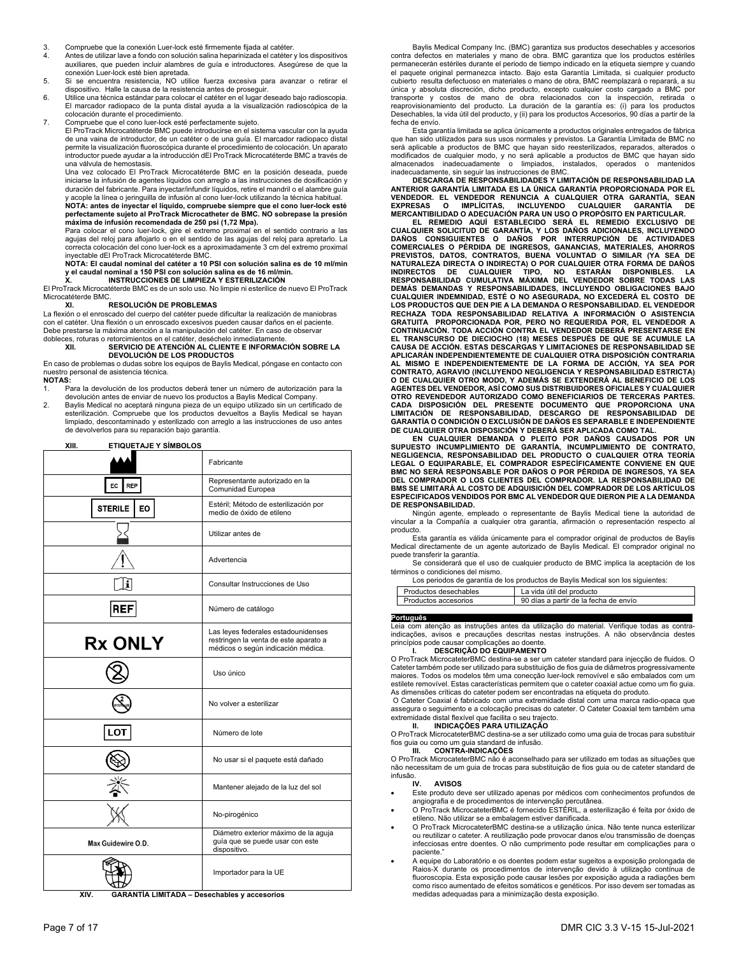- 3. Compruebe que la conexión Luer-lock esté firmemente fijada al catéter.
- 4. Antes de utilizar lave a fondo con solución salina heparinizada el catéter y los dispositivos auxiliares, que pueden incluir alambres de guía e introductores. Asegúrese de que la conexión Luer-lock esté bien apretada.
- 5. Si se encuentra resistencia, NO utilice fuerza excesiva para avanzar o retirar el dispositivo. Halle la causa de la resistencia antes de proseguir.
- 6. Utilice una técnica estándar para colocar el catéter en el lugar deseado bajo radioscopia. El marcador radiopaco de la punta distal ayuda a la visualización radioscópica de la colocación durante el procedimiento.
- 7. Compruebe que el cono luer-lock esté perfectamente sujeto.

El ProTrack Microcatéterde BMC puede introducirse en el sistema vascular con la ayuda de una vaina de introductor, de un catéter o de una guía. El marcador radiopaco distal permite la visualización fluoroscópica durante el procedimiento de colocación. Un aparato introductor puede ayudar a la introducción dEl ProTrack Microcatéterde BMC a través de una válvula de hemostasis.

Una vez colocado El ProTrack Microcatéterde BMC en la posición deseada, puede iniciarse la infusión de agentes líquidos con arreglo a las instrucciones de dosificación y duración del fabricante. Para inyectar/infundir líquidos, retire el mandril o el alambre guía y acople la línea o jeringuilla de infusión al cono luer-lock utilizando la técnica habitual. **NOTA: antes de inyectar el líquido, compruebe siempre que el cono luer-lock esté perfectamente sujeto al ProTrack Microcatheter de BMC. NO sobrepase la presión** 

**máxima de infusión recomendada de 250 psi (1,72 Mpa).**  Para colocar el cono luer-lock, gire el extremo proximal en el sentido contrario a las agujas del reloj para aflojarlo o en el sentido de las agujas del reloj para apretarlo. La

correcta colocación del cono luer-lock es a aproximadamente 3 cm del extremo proximal inyectable dEl ProTrack Microcatéterde BMC.

**NOTA: El caudal nominal del catéter a 10 PSI con solución salina es de 10 ml/min y el caudal nominal a 150 PSI con solución salina es de 16 ml/min. X. INSTRUCCIONES DE LIMPIEZA Y ESTERILIZACIÓN** 

El ProTrack Microcatéterde BMC es de un solo uso. No limpie ni esterilice de nuevo El ProTrack

### Microcatéterde BMC.<br>**XI. XI. RESOLUCIÓN DE PROBLEMAS**

La flexión o el enroscado del cuerpo del catéter puede dificultar la realización de maniobras con el catéter. Una flexión o un enroscado excesivos pueden causar daños en el paciente. Debe prestarse la máxima atención a la manipulación del catéter. En caso de observar

## dobleces, roturas o retorcimientos en el catéter, deséchelo inmediatamente. **XII. SERVICIO DE ATENCIÓN AL CLIENTE E INFORMACIÓN SOBRE LA DEVOLUCIÓN DE LOS PRODUCTOS**

En caso de problemas o dudas sobre los equipos de Baylis Medical, póngase en contacto con nuestro personal de asistencia técnica.

### **NOTAS:**

1. Para la devolución de los productos deberá tener un número de autorización para la devolución antes de enviar de nuevo los productos a Baylis Medical Company.

2. Baylis Medical no aceptará ninguna pieza de un equipo utilizado sin un certificado de esterilización. Compruebe que los productos devueltos a Baylis Medical se hayan limpiado, descontaminado y esterilizado con arreglo a las instrucciones de uso antes de devolverlos para su reparación bajo garantía.

| <b>ETIQUETAJE Y SÍMBOLOS</b><br>XIII. |                                                                                                                    |
|---------------------------------------|--------------------------------------------------------------------------------------------------------------------|
|                                       | Fabricante                                                                                                         |
| EC  <br>REP                           | Representante autorizado en la<br>Comunidad Europea                                                                |
| <b>STERILE</b><br>EO.                 | Estéril; Método de esterilización por<br>medio de óxido de etileno                                                 |
|                                       | Utilizar antes de                                                                                                  |
|                                       | Advertencia                                                                                                        |
| i                                     | Consultar Instrucciones de Uso                                                                                     |
| REF                                   | Número de catálogo                                                                                                 |
| <b>Rx ONLY</b>                        | Las leyes federales estadounidenses<br>restringen la venta de este aparato a<br>médicos o según indicación médica. |
|                                       | Uso único                                                                                                          |
|                                       | No volver a esterilizar                                                                                            |
| LOT                                   | Número de lote                                                                                                     |
|                                       | No usar si el paquete está dañado                                                                                  |
|                                       | Mantener alejado de la luz del sol                                                                                 |
|                                       | No-pirogénico                                                                                                      |
| Max Guidewire O.D.                    | Diámetro exterior máximo de la aguja<br>guía que se puede usar con este<br>dispositivo.                            |
|                                       | Importador para la UE                                                                                              |

 **XIV. GARANTÍA LIMITADA – Desechables y accesorios** 

 Baylis Medical Company Inc. (BMC) garantiza sus productos desechables y accesorios contra defectos en materiales y mano de obra. BMC garantiza que los productos estériles permanecerán estériles durante el periodo de tiempo indicado en la etiqueta siempre y cuando el paquete original permanezca intacto. Bajo esta Garantía Limitada, si cualquier producto cubierto resulta defectuoso en materiales o mano de obra, BMC reemplazará o reparará, a su única y absoluta discreción, dicho producto, excepto cualquier costo cargado a BMC por transporte y costos de mano de obra relacionados con la inspección, retirada o reaprovisionamiento del producto. La duración de la garantía es: (i) para los productos Desechables, la vida útil del producto, y (ii) para los productos Accesorios, 90 días a partir de la fecha de envío.

 Esta garantía limitada se aplica únicamente a productos originales entregados de fábrica que han sido utilizados para sus usos normales y previstos. La Garantía Limitada de BMC no será aplicable a productos de BMC que hayan sido reesterilizados, reparados, alterados o modificados de cualquier modo, y no será aplicable a productos de BMC que hayan sido almacenados inadecuadamente o limpiados, instalados, operados o mantenidos inadecuadamente, sin seguir las instrucciones de BMC.

**DESCARGA DE RESPONSABILIDADES Y LIMITACIÓN DE RESPONSABILIDAD LA ANTERIOR GARANTÍA LIMITADA ES LA ÚNICA GARANTÍA PROPORCIONADA POR EL**  VENDEDOR. EL VENDEDOR RENUNCIA A CUALQUIER OTRA GARANTIA, SEAN<br>EXPRESAS O IMPLÍCITAS, INCLUYENDO CUALQUIER GARANTÍA D<br>MERCANTIBILIDAD**O ADECUACIÓN PARA UN USO O PROPÓSITO EN P**ARTICULAR.

EL REMEDIO AQUI ESTABLECIDO SERA EL REMEDIO EXCLUSIVO DE<br>CUALQUIER SOLICITUD DE GARANTÍA, Y LOS DAÑOS ADICIONALES, INCLUYENDO<br>DAÑOS CONSIGUIENTES O DAÑOS POR INTERRUPCIÓN DE ACTIVIDADES<br>COMERCIALES O PÉRDIDA DE INGRESOS, G **DEMÁS DEMANDAS Y RESPONSABILIDADES, INCLUYENDO OBLIGACIONES BAJO CUALQUIER INDEMNIDAD, ESTÉ O NO ASEGURADA, NO EXCEDERÁ EL COSTO DE LOS PRODUCTOS QUE DEN PIE A LA DEMANDA O RESPONSABILIDAD. EL VENDEDOR RECHAZA TODA RESPONSABILIDAD RELATIVA A INFORMACIÓN O ASISTENCIA GRATUITA PROPORCIONADA POR, PERO NO REQUERIDA POR, EL VENDEDOR A CONTINUACIÓN. TODA ACCIÓN CONTRA EL VENDEDOR DEBERÁ PRESENTARSE EN EL TRANSCURSO DE DIECIOCHO (18) MESES DESPUÉS DE QUE SE ACUMULE LA CAUSA DE ACCIÓN. ESTAS DESCARGAS Y LIMITACIONES DE RESPONSABILIDAD SE**  APLICARÀN INDEPENDIENTEMENTE DE CUALQUIER OTRA DISPOSICIÓN CONTRARIA<br>AL MISMO E INDEPENDIENTEMENTE DE LA FORMA DE ACCIÓN, YA SEA POR<br>CONTRATO, AGRAVIO (INCLUYENDO NEGLIGENCIA Y RESPONSABILIDAD ESTRICTA) **O DE CUALQUIER OTRO MODO, Y ADEMÁS SE EXTENDERÁ AL BENEFICIO DE LOS AGENTES DEL VENDEDOR, ASÍ COMO SUS DISTRIBUIDORES OFICIALES Y CUALQUIER OTRO REVENDEDOR AUTORIZADO COMO BENEFICIARIOS DE TERCERAS PARTES. CADA DISPOSICIÓN DEL PRESENTE DOCUMENTO QUE PROPORCIONA UNA LIMITACIÓN DE RESPONSABILIDAD, DESCARGO DE RESPONSABILIDAD DE** 

GARANTIA O CONDICION O EXCLUSION DE DANOS ES SEPARABLE E INDEPENDIENTE<br>DE CUALQUIER OTRA DISPOSICIÓN Y DEBERÁ SER APLICADA COMO TAL.<br>EN CUALQUIER OTRA DISPOSICIÓN Y DEBERÁ SER APLICADA CAUSADOS POR UN<br>SUPUESTO INCUMPLIMIEN **LEGAL O EQUIPARABLE, EL COMPRADOR ESPECÍFICAMENTE CONVIENE EN QUE BMC NO SERÁ RESPONSABLE POR DAÑOS O POR PÉRDIDA DE INGRESOS, YA SEA DEL COMPRADOR O LOS CLIENTES DEL COMPRADOR. LA RESPONSABILIDAD DE BMS SE LIMITARÁ AL COSTO DE ADQUISICIÓN DEL COMPRADOR DE LOS ARTÍCULOS ESPECIFICADOS VENDIDOS POR BMC AL VENDEDOR QUE DIERON PIE A LA DEMANDA DE RESPONSABILIDAD.** 

 Ningún agente, empleado o representante de Baylis Medical tiene la autoridad de vincular a la Compañía a cualquier otra garantía, afirmación o representación respecto al producto.

 Esta garantía es válida únicamente para el comprador original de productos de Baylis Medical directamente de un agente autorizado de Baylis Medical. El comprador original no puede transferir la garantía.

 Se considerará que el uso de cualquier producto de BMC implica la aceptación de los términos o condiciones del mismo

Los periodos de garantía de los productos de Baylis Medical son los siguientes:

| Productos desechables | La vida útil del producto             |
|-----------------------|---------------------------------------|
| Productos accesorios  | 90 días a partir de la fecha de envío |

## **Português\_\_\_\_\_\_\_ \_\_\_\_\_\_\_\_\_\_\_\_\_\_\_\_\_\_\_\_\_**

Leia com atenção as instruções antes da utilização do material. Verifique todas as contraindicações, avisos e precauções descritas nestas instruções. A não observância destes princípios pode causar complicações ao doente.

## **I. DESCRIÇÃO DO EQUIPAMENTO**

O ProTrack MicrocateterBMC destina-se a ser um cateter standard para injecção de fluidos. O Cateter também pode ser utilizado para substituição de fios guia de diâmetros progressivamente maiores. Todos os modelos têm uma conecção luer-lock removível e são embalados com um estilete removível. Estas características permitem que o cateter coaxial actue como um fio guia.

As dimensões críticas do cateter podem ser encontradas na etiqueta do produto. O Cateter Coaxial é fabricado com uma extremidade distal com uma marca radio-opaca que assegura o seguimento e a colocação precisas do cateter. O Cateter Coaxial tem também uma<br>extremidade distal flexível que facilita o seu trajecto.<br>**II. Distal flue de la para utrajector de la para con**temporar de la propor

O ProTrack MicrocateterBMC destina-se a ser utilizado como uma guia de trocas para substituir fios guia ou como um guia standard de infusão.

**III. CONTRA-INDICAÇÕES**  O ProTrack MicrocateterBMC não é aconselhado para ser utilizado em todas as situações que

não necessitam de um guia de trocas para substituição de fios guia ou de cateter standard de infusão.<br>IV

## **AVISOS**

- Este produto deve ser utilizado apenas por médicos com conhecimentos profundos de angiografia e de procedimentos de intervenção percutânea.
- O ProTrack MicrocateterBMC é fornecido ESTÉRIL, a esterilização é feita por óxido de etileno. Não utilizar se a embalagem estiver danificada.
- O ProTrack MicrocateterBMC destina-se a utilização única. Não tente nunca esterilizar ou reutilizar o cateter. A reutilização pode provocar danos e/ou transmissão de doenças infecciosas entre doentes. O não cumprimento pode resultar em complicações para o paciente."
- A equipe do Laboratório e os doentes podem estar sugeitos a exposição prolongada de Raios-X durante os procedimentos de intervenção devido à utilização contínua de fluoroscopia. Esta exposição pode causar lesões por exposição aguda a radiações bem como risco aumentado de efeitos somáticos e genéticos. Por isso devem ser tomadas as medidas adequadas para a minimização desta exposição.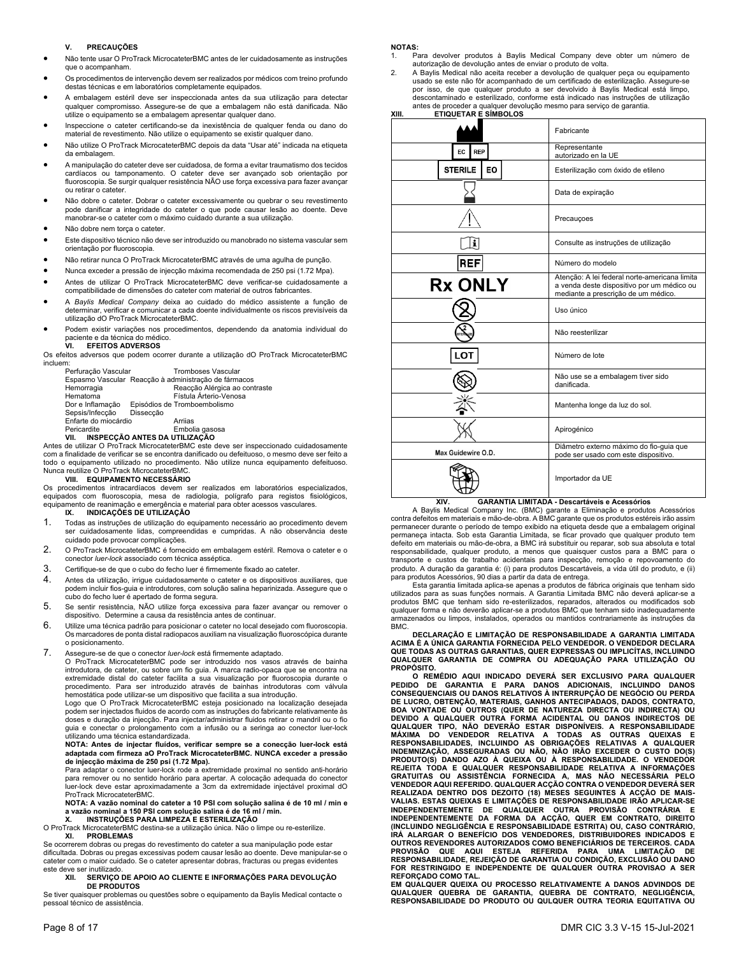## **V. PRECAUÇÕES**

- Não tente usar O ProTrack MicrocateterBMC antes de ler cuidadosamente as instruções que o acompanham.
- Os procedimentos de intervenção devem ser realizados por médicos com treino profundo destas técnicas e em laboratórios completamente equipados.
- A embalagem estéril deve ser inspeccionada antes da sua utilização para detectar qualquer compromisso. Assegure-se de que a embalagem não está danificada. Não utilize o equipamento se a embalagem apresentar qualquer dano.
- Inspeccione o cateter certificando-se da inexistência de qualquer fenda ou dano do material de revestimento. Não utilize o equipamento se existir qualquer dano.
- Não utilize O ProTrack MicrocateterBMC depois da data "Usar até" indicada na etiqueta da embalagem.
- A manipulação do cateter deve ser cuidadosa, de forma a evitar traumatismo dos tecidos cardíacos ou tamponamento. O cateter deve ser avançado sob orientação por fluoroscopia. Se surgir qualquer resistência NÃO use força excessiva para fazer avançar ou retirar o cateter.
- Não dobre o cateter. Dobrar o cateter excessivamente ou quebrar o seu revestimento pode danificar a integridade do cateter o que pode causar lesão ao doente. Deve manobrar-se o cateter com o máximo cuidado durante a sua utilização.
- Não dobre nem torça o cateter.
- Este dispositivo técnico não deve ser introduzido ou manobrado no sistema vascular sem orientação por fluoroscopia.
- Não retirar nunca O ProTrack MicrocateterBMC através de uma agulha de punção.
- Nunca exceder a pressão de injecção máxima recomendada de 250 psi (1.72 Mpa).
- Antes de utilizar O ProTrack MicrocateterBMC deve verificar-se cuidadosamente a compatibilidade de dimensões do cateter com material de outros fabricantes.
- A *Baylis Medical Company* deixa ao cuidado do médico assistente a função de determinar, verificar e comunicar a cada doente individualmente os riscos previsíveis da utilização dO ProTrack MicrocateterBMC.
- Podem existir variações nos procedimentos, dependendo da anatomia individual do paciente e da técnica do médico.<br>VI. EFEITOS ADVERSOS
	- **VI. EFEITOS ADVERSOS**

Os efeitos adversos que podem ocorrer durante a utilização dO ProTrack MicrocateterBMC incluem:

| Perfuração Vascular                                  | <b>Tromboses Vascular</b>     |
|------------------------------------------------------|-------------------------------|
| Espasmo Vascular Reacção à administração de fármacos |                               |
| Hemorragia                                           | Reacção Alérgica ao contraste |
| Hematoma                                             | Fístula Árterio-Venosa        |
| Dor e Inflamação                                     | Episódios de Tromboembolismo  |
| Sepsis/Infecção<br>Dissecção                         |                               |
| Enfarte do miocárdio                                 | Arrijas                       |
| Pericardite                                          | Embolia gasosa                |
| VII. INSPECÇÃO ANTES DA UTILIZAÇÃO                   |                               |

**VII. INSPECÇÃO ANTES DA UTILIZAÇÃO**  Antes de utilizar O ProTrack MicrocateterBMC este deve ser inspeccionado cuidadosamente com a finalidade de verificar se se encontra danificado ou defeituoso, o mesmo deve ser feito a todo o equipamento utilizado no procedimento. Não utilize nunca equipamento defeituoso. Nunca reutilize O ProTrack MicrocateterBMC.

## **VIII. EQUIPAMENTO NECESSÁRIO**

Os procedimentos intracardíacos devem ser realizados em laboratórios especializados, equipados com fluoroscopia, mesa de radiologia, polígrafo para registos fisiológicos, equipamento de reanimação e emergência e material para obter acessos vasculares.<br>IX. INDICACÕES DE UTILIZACÃO

## **IX. INDICAÇÕES DE UTILIZAÇÃO**

- 1. Todas as instruções de utilização do equipamento necessário ao procedimento devem ser cuidadosamente lidas, compreendidas e cumpridas. A não observância deste cuidado pode provocar complicações.
- 2. O ProTrack MicrocateterBMC é fornecido em embalagem estéril. Remova o cateter e o conector *luer-lock* associado com técnica asséptica.
- 3. Certifique-se de que o cubo do fecho luer é firmemente fixado ao cateter.
- 4. Antes da utilização, irrigue cuidadosamente o cateter e os dispositivos auxiliares, que podem incluir fios-guia e introdutores, com solução salina heparinizada. Assegure que o cubo do fecho luer é apertado de forma segura.
- 5. Se sentir resistência, NÃO utilize força excessiva para fazer avançar ou remover o dispositivo. Determine a causa da resistência antes de continuar.
- 6. Utilize uma técnica padrão para posicionar o cateter no local desejado com fluoroscopia. Os marcadores de ponta distal radiopacos auxiliam na visualização fluoroscópica durante o posicionamento.
- 7. Assegure-se de que o conector *luer-lock* está firmemente adaptado.

O ProTrack MicrocateterBMC pode ser introduzido nos vasos através de bainha introdutora, de cateter, ou sobre um fio guia. A marca radio-opaca que se encontra na extremidade distal do cateter facilita a sua visualização por fluoroscopia durante o procedimento. Para ser introduzido através de bainhas introdutoras com válvula hemostática pode utilizar-se um dispositivo que facilita a sua introdução.

Logo que O ProTrack MicrocateterBMC esteja posicionado na localização desejada podem ser injectados fluidos de acordo com as instruções do fabricante relativamente às doses e duração da injecção. Para injectar/administrar fluidos retirar o mandril ou o fio guia e conectar o prolongamento com a infusão ou a seringa ao conector luer-lock utilizando uma técnica estandardizada.

**NOTA: Antes de injectar fluídos, verificar sempre se a conecção luer-lock está adaptada com firmeza aO ProTrack MicrocateterBMC. NUNCA exceder a pressão de injecção máxima de 250 psi (1.72 Mpa).**<br>Para adaptar o conector luer-lock rode a extremidade proximal no sentido anti-horário

para remover ou no sentido horário para apertar. A colocação adequada do conector luer-lock deve estar aproximadamente a 3cm da extremidade injectável proximal dO ProTrack MicrocateterBMC.

**NOTA: A vazão nominal do cateter a 10 PSI com solução salina é de 10 ml / min e a vazão nominal a 150 PSI com solução salina é de 16 ml / min. X. INSTRUÇÕES PARA LIMPEZA E ESTERILIZAÇÃO** 

O ProTrack MicrocateterBMC destina-se a utilização única. Não o limpe ou re-esterilize. **XI. PROBLEMAS** 

Se ocorrerem dobras ou pregas do revestimento do cateter a sua manipulação pode estar dificultada. Dobras ou pregas excessivas podem causar lesão ao doente. Deve manipular-se o cateter com o maior cuidado. Se o cateter apresentar dobras, fracturas ou pregas evidentes este deve ser inutilizado.

## **XII. SERVIÇO DE APOIO AO CLIENTE E INFORMAÇÕES PARA DEVOLUÇÃO DE PRODUTOS**

Se tiver quaisquer problemas ou questões sobre o equipamento da Baylis Medical contacte o pessoal técnico de assistência.

## **NOTAS:**

- 1. Para devolver produtos à Baylis Medical Company deve obter um número de autorização de devolução antes de enviar o produto de volta.
- 2. A Baylis Medical não aceita receber a devolução de qualquer peça ou equipamento usado se este não fôr acompanhado de um certificado de esterilização. Assegure-se por isso, de que qualquer produto a ser devolvido à Baylis Medical está limpo, descontaminado e esterilizado, conforme está indicado nas instruções de utilização antes de proceder a qualquer devolução mesmo para serviço de garantia. **XIII. ETIQUETAR E SÍMBOLOS**

| Fabricante                                                                                                                         |
|------------------------------------------------------------------------------------------------------------------------------------|
| Representante<br>autorizado en la UE                                                                                               |
| Esterilização com óxido de etileno                                                                                                 |
| Data de expiração                                                                                                                  |
| Precauçoes                                                                                                                         |
| Consulte as instruções de utilização                                                                                               |
| Número do modelo                                                                                                                   |
| Atenção: A lei federal norte-americana limita<br>a venda deste dispositivo por um médico ou<br>mediante a prescrição de um médico. |
| Uso único                                                                                                                          |
| Não reesterilizar                                                                                                                  |
| Número de lote                                                                                                                     |
| Não use se a embalagem tiver sido<br>danificada                                                                                    |
| Mantenha longe da luz do sol.                                                                                                      |
| Apirogénico                                                                                                                        |
| Diâmetro externo máximo do fio-guia que<br>pode ser usado com este dispositivo.                                                    |
| Importador da UE                                                                                                                   |
|                                                                                                                                    |

## **XIV. GARANTIA LIMITADA - Descartáveis e Acessórios**

 A Baylis Medical Company Inc. (BMC) garante a Eliminação e produtos Acessórios contra defeitos em materiais e mão-de-obra. A BMC garante que os produtos estéreis irão assim permanecer durante o período de tempo exibido na etiqueta desde que a embalagem original permaneça intacta. Sob esta Garantia Limitada, se ficar provado que qualquer produto tem defeito em materiais ou mão-de-obra, a BMC irá substituir ou reparar, sob sua absoluta e total responsabilidade, qualquer produto, a menos que quaisquer custos para a BMC para o transporte e custos de trabalho acidentais para inspecção, remoção e repovoamento do produto. A duração da garantia é: (i) para produtos Descartáveis, a vida útil do produto, e (ii) para produtos Acessórios, 90 dias a partir da data de entrega.

 Esta garantia limitada aplica-se apenas a produtos de fábrica originais que tenham sido utilizados para as suas funções normais. A Garantia Limitada BMC não deverá aplicar-se a produtos BMC que tenham sido re-esterilizados, reparados, alterados ou modificados sob qualquer forma e não deverão aplicar-se a produtos BMC que tenham sido inadequadamente armazenados ou limpos, instalados, operados ou mantidos contrariamente às instruções da **BMC** 

**DECLARAÇÃO E LIMITAÇÃO DE RESPONSABILIDADE A GARANTIA LIMITADA ACIMA É A ÚNICA GARANTIA FORNECIDA PELO VENDEDOR. O VENDEDOR DECLARA QUE TODAS AS OUTRAS GARANTIAS, QUER EXPRESSAS OU IMPLICÍTAS, INCLUINDO QUALQUER GARANTIA DE COMPRA OU ADEQUAÇÃO PARA UTILIZAÇÃO OU PROPÓSITO.** 

**O REMÉDIO AQUI INDICADO DEVERÁ SER EXCLUSIVO PARA QUALQUER PEDIDO DE GARANTIA E PARA DANOS ADICIONAIS, INCLUINDO DANOS CONSEQUENCIAIS OU DANOS RELATIVOS À INTERRUPÇÃO DE NEGÓCIO OU PERDA**  DE LUCRO, OBTENÇÃO, MATERIAIS, GANHOS ANTECIPADAOS, DADOS, CONTRATO,<br>BOA VONTADE OU OUTROS (QUER DE NATUREZA DIRECTA OU INDIRECTA) OU<br>DEVIDO A QUALQUER OUTRA FORMA ACIDENTAL OU DANOS INDIRECTOS DE<br>QUALQUER TIPO, NÃO DEVERÃ **MAXIMA DO VENDEDOR RELATIVA A TODAS AS OUTRAS QUEIXAS E<br>RESPONSABILIDADES, INCLUINDO AS OBRIGAÇÕES RELATIVAS A QUALQUER<br>INDEMNIZAÇÃO, ASSEGURADAS OU NÃO, NÃO IRÃO EXCEDER O CUSTO DO(S)<br>PRODUTO(S) DANDO AZO À QUEIXA OU À R** GRATUITAS OU ASSISTÉNCIA FORNECIDA A, MAS NAO NECESSARIA PELO<br>VENDEDOR AQUI REFERIDO. QUALQUER ACÇÃO CONTRA O VENDEDOR DEVERÁ SER<br>REALIZADA DENTRO DOS DEZOITO (18) MESES SEGUINTES À ACÇÃO DE MAIS-**VALIAS. ESTAS QUEIXAS E LIMITAÇÕES DE RESPONSABILIDADE IRÃO APLICAR-SE INDEPENDENTEMENTE DE QUALQUER OUTRA PROVISÃO CONTRÁRIA E INDEPENDENTEMENTE DA FORMA DA ACÇÃO, QUER EM CONTRATO, DIREITO (INCLUINDO NEGLIGÊNCIA E RESPONSABILIDADE ESTRITA) OU, CASO CONTRÁRIO, IRÁ ALARGAR O BENEFÍCIO DOS VENDEDORES, DISTRIBUIDORES INDICADOS E OUTROS REVENDORES AUTORIZADOS COMO BENEFICIÁRIOS DE TERCEIROS. CADA PROVISÃO QUE AQUI ESTEJA REFERIDA PARA UMA LIMITAÇÃO DE RESPONSABILIDADE, REJEIÇÃO DE GARANTIA OU CONDIÇÃO, EXCLUSÃO OU DANO FOR RESTRINGIDO E INDEPENDENTE DE QUALQUER OUTRA PROVISAO A SER REFORÇADO COMO TAL.** 

**EM QUALQUER QUEIXA OU PROCESSO RELATIVAMENTE A DANOS ADVINDOS DE QUALQUER QUEBRA DE GARANTIA, QUEBRA DE CONTRATO, NEGLIGÊNCIA, RESPONSABILIDADE DO PRODUTO OU QULQUER OUTRA TEORIA EQUITATIVA OU**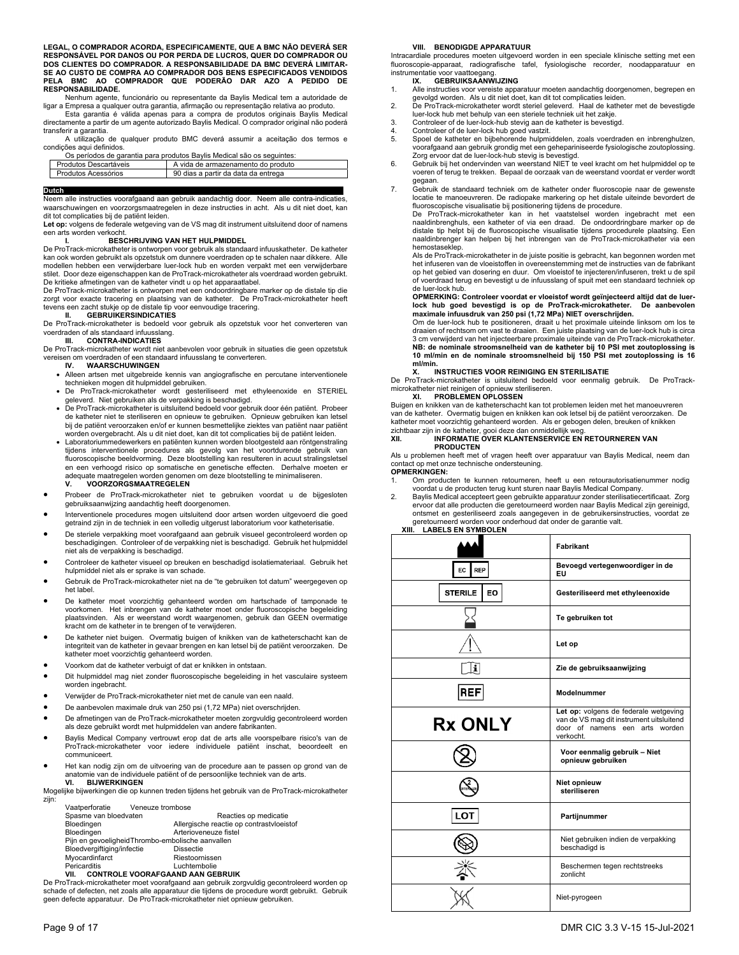**LEGAL, O COMPRADOR ACORDA, ESPECIFICAMENTE, QUE A BMC NÃO DEVERÁ SER**  RESPONSAVEL POR DANOS OU POR PERDA DE LUCROS, QUER DO COMPRADOR OU<br>DOS CLIENTES DO COMPRA DOR. A RESPONSABILIDADE DA BMC DEVERÁ LIMITAR-<br>SE AO CUSTO DE COMPRA AO COMPRADOR DOS BENS ESPECIFICADOS VENDIDOS<br>PELA - BMC - AO - **RESPONSABILIDADE.**

 Nenhum agente, funcionário ou representante da Baylis Medical tem a autoridade de ligar a Empresa a qualquer outra garantia, afirmação ou representação relativa ao produto.

 Esta garantia é válida apenas para a compra de produtos originais Baylis Medical directamente a partir de um agente autorizado Baylis Medical. O comprador original não poderá transferir a garantia.

 A utilização de qualquer produto BMC deverá assumir a aceitação dos termos e condições aqui definidos.

|                       | Os períodos de garantia para produtos Baylis Medical são os seguintes: |
|-----------------------|------------------------------------------------------------------------|
| Produtos Descartáveis | A vida de armazenamento do produto                                     |
| Produtos Acessórios   | 90 dias a partir da data da entrega                                    |

**Duteh**<br>Neem alle instructies voorafgaand aan gebruik aandachtig door. Neem alle contra-indicaties,<br>waarschuwingen en voorzorgsmaatregelen in deze instructies in acht. Als u dit niet doet, kan dit tot complicaties bij de patiënt leiden.

**Let op:** volgens de federale wetgeving van de VS mag dit instrument uitsluitend door of namens een arts worden verkocht.

## **I. BESCHRIJVING VAN HET HULPMIDDEL**

De ProTrack-microkatheter is ontworpen voor gebruik als standaard infuuskatheter. De katheter kan ook worden gebruikt als opzetstuk om dunnere voerdraden op te schalen naar dikkere. Alle modellen hebben een verwijderbare luer-lock hub en worden verpakt met een verwijderbare stilet. Door deze eigenschappen kan de ProTrack-microkatheter als voerdraad worden gebruikt. De kritieke afmetingen van de katheter vindt u op het apparaatlabel. De ProTrack-microkatheter is ontworpen met een ondoordringbare marker op de distale tip die

zorgt voor exacte tracering en plaatsing van de katheter. De ProTrack-microkatheter heeft tevens een zacht stukje op de distale tip voor eenvoudige tracering. **II. GEBRUIKERSINDICATIES** 

De ProTrack-microkatheter is bedoeld voor gebruik als opzetstuk voor het converteren van voerdraden of als standaard infuusslang.

## **III. CONTRA-INDICATIES**

De ProTrack-microkatheter wordt niet aanbevolen voor gebruik in situaties die geen opzetstuk vereisen om voerdraden of een standaard infuusslang te converteren.<br>
WAARSCHIJWINGEN

- **IV. WAARSCHUWINGEN**
- Alleen artsen met uitgebreide kennis van angiografische en percutane interventionele technieken mogen dit hulpmiddel gebruiken.
- De ProTrack-microkatheter wordt gesteriliseerd met ethyleenoxide en STERIEL geleverd. Niet gebruiken als de verpakking is beschadigd.
- De ProTrack-microkatheter is uitsluitend bedoeld voor gebruik door één patiënt. Probeer de katheter niet te steriliseren en opnieuw te gebruiken. Opnieuw gebruiken kan letsel bij de patiënt veroorzaken en/of er kunnen besmettelijke ziektes van patiënt naar patiënt worden overgebracht. Als u dit niet doet, kan dit tot complicaties bij de patiënt leiden.
- Laboratoriummedewerkers en patiënten kunnen worden blootgesteld aan röntgenstraling tijdens interventionele procedures als gevolg van het voortdurende gebruik van fluoroscopische beeldvorming. Deze blootstelling kan resulteren in acuut stralingsletsel en een verhoogd risico op somatische en genetische effecten. Derhalve moeten er adequate maatregelen worden genomen om deze blootstelling te minimaliseren. **V. VOORZORGSMAATREGELEN**
- Probeer de ProTrack-microkatheter niet te gebruiken voordat u de bijgesloten gebruiksaanwijzing aandachtig heeft doorgenomen.
- Interventionele procedures mogen uitsluitend door artsen worden uitgevoerd die goed getraind zijn in de techniek in een volledig uitgerust laboratorium voor katheterisati
- De steriele verpakking moet voorafgaand aan gebruik visueel gecontroleerd worden op beschadigingen. Controleer of de verpakking niet is beschadigd. Gebruik het hulpmiddel niet als de verpakking is beschadigd.
- Controleer de katheter visueel op breuken en beschadigd isolatiemateriaal. Gebruik het hulpmiddel niet als er sprake is van schade.
- Gebruik de ProTrack-microkatheter niet na de "te gebruiken tot datum" weergegeven op het label.
- De katheter moet voorzichtig gehanteerd worden om hartschade of tamponade te voorkomen. Het inbrengen van de katheter moet onder fluoroscopische begeleiding plaatsvinden. Als er weerstand wordt waargenomen, gebruik dan GEEN overmatige kracht om de katheter in te brengen of te verwijderen.
- De katheter niet buigen. Overmatig buigen of knikken van de katheterschacht kan de integriteit van de katheter in gevaar brengen en kan letsel bij de patiënt veroorzaken. De katheter moet voorzichtig gehanteerd worden.
- Voorkom dat de katheter verbuigt of dat er knikken in ontstaan.
- Dit hulpmiddel mag niet zonder fluoroscopische begeleiding in het vasculaire systeem worden ingebracht.
- Verwijder de ProTrack-microkatheter niet met de canule van een naald.
- De aanbevolen maximale druk van 250 psi (1,72 MPa) niet overschrijden.
- De afmetingen van de ProTrack-microkatheter moeten zorgvuldig gecontroleerd worden als deze gebruikt wordt met hulpmiddelen van andere fabrikanten.
- Baylis Medical Company vertrouwt erop dat de arts alle voorspelbare risico's van de ProTrack-microkatheter voor iedere individuele patiënt inschat, beoordeelt en communiceert.
- Het kan nodig zijn om de uitvoering van de procedure aan te passen op grond van de anatomie van de individuele patiënt of de persoonlijke techniek van de arts. **VI. BIJWERKINGEN**

Mogelijke bijwerkingen die op kunnen treden tijdens het gebruik van de ProTrack-microkatheter zijn:

| Vaatperforatie        | Veneuze trombose |                       |
|-----------------------|------------------|-----------------------|
| Spasme van bloedvaten |                  | Reacties op medicatie |

| Opasille vall bloedvalent                         | Reacues up illegicatie                   |
|---------------------------------------------------|------------------------------------------|
| Bloedingen                                        | Allergische reactie op contrastvloeistof |
| Bloedingen                                        | Arterioveneuze fistel                    |
| Pijn en gevoeligheid Thrombo-embolische aanvallen |                                          |
| Bloedvergiftiging/infectie                        | <b>Dissectie</b>                         |
| Mvocardinfarct                                    | Riestoornissen                           |
| Pericarditis                                      | Luchtembolie                             |
| <b>CONTROLE VOORAFGAAND AAN GEBRUIK</b><br>VII.   |                                          |
|                                                   |                                          |

De ProTrack-microkatheter moet voorafgaand aan gebruik zorgvuldig gecontroleerd worden op schade of defecten, net zoals alle apparatuur die tijdens de procedure wordt gebruikt. Gebruik geen defecte apparatuur. De ProTrack-microkatheter niet opnieuw gebruiken.

## **VIII. BENODIGDE APPARATUUR**

Intracardiale procedures moeten uitgevoerd worden in een speciale klinische setting met een fluoroscopie-apparaat, radiografische tafel, fysiologische recorder, noodapparatuur en instrumentatie voor vaattoegang. **IX. GEBRUIKSAANWIJZING** 

- 1. Alle instructies voor vereiste apparatuur moeten aandachtig doorgenomen, begrepen en gevolgd worden. Als u dit niet doet, kan dit tot complicaties leiden. 2. De ProTrack-microkatheter wordt steriel geleverd. Haal de katheter met de bevestigde
- luer-lock hub met behulp van een steriele techniek uit het zakje.
- 3. Controleer of de luer-lock-hub stevig aan de katheter is bevestigd.
- 4. Controleer of de luer-lock hub goed vastzit.<br>5. Spoel de katheter en bijbehorende hulpmi
- Spoel de katheter en bijbehorende hulpmiddelen, zoals voerdraden en inbrenghulzen, voorafgaand aan gebruik grondig met een gehepariniseerde fysiologische zoutoplossing. Zorg ervoor dat de luer-lock-hub stevig is bevestigd.
- 6. Gebruik bij het ondervinden van weerstand NIET te veel kracht om het hulpmiddel op te voeren of terug te trekken. Bepaal de oorzaak van de weerstand voordat er verder wordt
- gegaan. 7. Gebruik de standaard techniek om de katheter onder fluoroscopie naar de gewenste locatie te manoeuvreren. De radiopake markering op het distale uiteinde bevordert de fluoroscopische visualisatie bij positionering tijdens de procedure.
	- De ProTrack-microkatheter kan in het vaatstelsel worden ingebracht met een naaldinbrenghuls, een katheter of via een draad. De ondoordringbare marker op de distale tip helpt bij de fluoroscopische visualisatie tijdens procedurele plaatsing. Een naaldinbrenger kan helpen bij het inbrengen van de ProTrack-microkatheter via een hemostaseklep.

Als de ProTrack-microkatheter in de juiste positie is gebracht, kan begonnen worden met het infuseren van de vloeistoffen in overeenstemming met de instructies van de fabrikant op het gebied van dosering en duur. Om vloeistof te injecteren/infuseren, trekt u de spil of voerdraad terug en bevestigt u de infuusslang of spuit met een standaard techniek op de luer-lock hub.

## **OPMERKING: Controleer voordat er vloeistof wordt geïnjecteerd altijd dat de luer-lock hub goed bevestigd is op de ProTrack-microkatheter. De aanbevolen**

**maximale infuusdruk van 250 psi (1,72 MPa) NIET overschrijden.**<br>Om de luer-lock hub te positioneren, draait u het proximale uiteinde linksom om los te draaien of rechtsom om vast te draaien. Een juiste plaatsing van de luer-lock hub is circa 3 cm verwijderd van het injecteerbare proximale uiteinde van de ProTrack-microkatheter. **NB: de nominale stroomsnelheid van de katheter bij 10 PSI met zoutoplossing is 10 ml/min en de nominale stroomsnelheid bij 150 PSI met zoutoplossing is 16 ml/min.** 

## **X. INSTRUCTIES VOOR REINIGING EN STERILISATIE**

De ProTrack-microkatheter is uitsluitend bedoeld voor eenmalig gebruik. De ProTrack-microkatheter niet reinigen of opnieuw steriliseren.

**XI. PROBLEMEN OPLOSSEN**  Buigen en knikken van de katheterschacht kan tot problemen leiden met het manoeuvreren van de katheter. Overmatig buigen en knikken kan ook letsel bij de patiënt veroorzaken. De katheter moet voorzichtig gehanteerd worden. Als er gebogen delen, breuken of knikken zichtbaar zijn in de katheter, gooi deze dan onmiddellijk weg.

### **XII. INFORMATIE OVER KLANTENSERVICE EN RETOURNEREN VAN PRODUCTEN**

Als u problemen heeft met of vragen heeft over apparatuur van Baylis Medical, neem dan contact op met onze technische ondersteuning.

**OPMERKINGEN:** 

Om producten te kunnen retourneren, heeft u een retourautorisatienummer nodig voordat u de producten terug kunt sturen naar Baylis Medical Company. 2. Baylis Medical accepteert geen gebruikte apparatuur zonder sterilisatiecertificaat. Zorg

ervoor dat alle producten die geretourneerd worden naar Baylis Medical zijn gereinigd, ontsmet en gesteriliseerd zoals aangegeven in de gebruikersinstructies, voordat ze geretourneerd worden voor onderhoud dat onder de garantie valt.

## **XIII. LABELS EN SYMBOLEN**

|                       | Fabrikant                                                                         |
|-----------------------|-----------------------------------------------------------------------------------|
| REP<br>EC I           | Bevoegd vertegenwoordiger in de<br>EU                                             |
| <b>STERILE</b><br>EO. | Gesteriliseerd met ethyleenoxide                                                  |
|                       | Te gebruiken tot                                                                  |
|                       | Let op                                                                            |
| $\mathbf{i}$          | Zie de gebruiksaanwijzing                                                         |
| REF                   | Modelnummer                                                                       |
| <b>Rx ONLY</b>        | Let op: volgens de federale wetgeving<br>van de VS mag dit instrument uitsluitend |
|                       | door of namens een arts worden<br>verkocht.                                       |
|                       | Voor eenmalig gebruik - Niet<br>opnieuw gebruiken                                 |
|                       | Niet opnieuw<br>steriliseren                                                      |
| <b>LOT</b>            | Partijnummer                                                                      |
|                       | Niet gebruiken indien de verpakking<br>beschadigd is                              |
|                       | Beschermen tegen rechtstreeks<br>zonlicht                                         |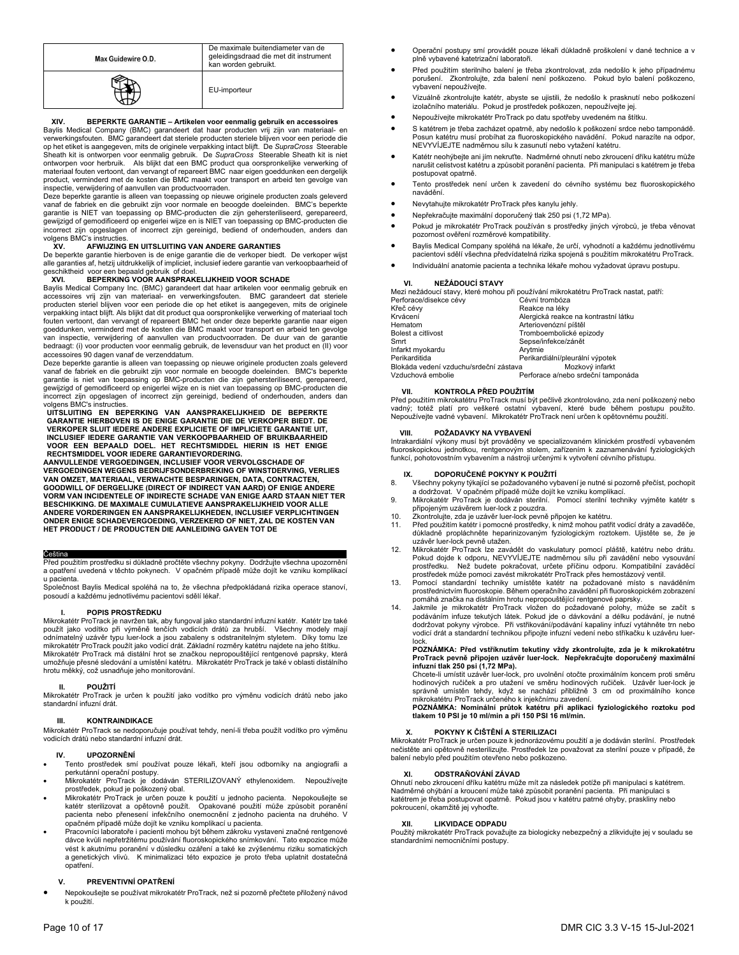| Max Guidewire O.D. | De maximale buitendiameter van de<br>geleidingsdraad die met dit instrument<br>kan worden gebruikt. |
|--------------------|-----------------------------------------------------------------------------------------------------|
|                    | EU-importeur                                                                                        |

## **XIV. BEPERKTE GARANTIE – Artikelen voor eenmalig gebruik en accessoires**

Baylis Medical Company (BMC) garandeert dat haar producten vrij zijn van materiaal- en verwerkingsfouten. BMC garandeert dat steriele producten steriele blijven voor een periode die op het etiket is aangegeven, mits de originele verpakking intact blijft. De *SupraCross* Steerable Sheath kit is ontworpen voor eenmalig gebruik. De *SupraCross* Steerable Sheath kit is niet ontworpen voor herbruik. Als blijkt dat een BMC product qua oorspronkelijke verwerking of materiaal fouten vertoont, dan vervangt of repareert BMC naar eigen goeddunken een dergelijk product, verminderd met de kosten die BMC maakt voor transport en arbeid ten gevolge van inspectie, verwijdering of aanvullen van productvoorraden.

Deze beperkte garantie is alleen van toepassing op nieuwe originele producten zoals geleverd vanaf de fabriek en die gebruikt zijn voor normale en beoogde doeleinden. BMC's beperkte garantie is NIET van toepassing op BMC-producten die zijn gehersteriliseerd, gerepareerd,<br>gewijzigd of gemodificeerd op enigerlei wijze en is NIET van toepassing op BMC-producten die<br>incorrect zijn opgeslagen of incorrect volgens BMC's instructies

## **XV. AFWIJZING EN UITSLUITING VAN ANDERE GARANTIES**

De beperkte garantie hierboven is de enige garantie die de verkoper biedt. De verkoper wijst alle garanties af, hetzij uitdrukkelijk of impliciet, inclusief iedere garantie van verkoopbaarheid of geschiktheid voor een bepaald gebruik of doel.

## **XVI. BEPERKING VOOR AANSPRAKELIJKHEID VOOR SCHADE**

Baylis Medical Company Inc. (BMC) garandeert dat haar artikelen voor eenmalig gebruik en accessoires vrij zijn van materiaal- en verwerkingsfouten. BMC garandeert dat steriele producten steriel blijven voor een periode die op het etiket is aangegeven, mits de originele verpakking intact blijft. Als blijkt dat dit product qua oorspronkelijke verwerking of materiaal toch fouten vertoont, dan vervangt of repareert BMC het onder deze beperkte garantie naar eigen goeddunken, verminderd met de kosten die BMC maakt voor transport en arbeid ten gevolge van inspectie, verwijdering of aanvullen van productvoorraden. De duur van de garantie bedraagt: (i) voor producten voor eenmalig gebruik, de levensduur van het product en (II) voor accessoires 90 dagen vanaf de verzenddatum.

Deze beperkte garantie is alleen van toepassing op nieuwe originele producten zoals geleverd vanaf de fabriek en die gebruikt zijn voor normale en beoogde doeleinden. BMC's beperkte<br>garantie is niet van toepassing op BMC-producten die zijn gehersteriliseerd, gerepareerd,<br>gewijzigd of gemodificeerd op enigerlei wi incorrect zijn opgeslagen of incorrect zijn gereinigd, bediend of onderhouden, anders dan volgens BMC's instructies.

**UITSLUITING EN BEPERKING VAN AANSPRAKELIJKHEID DE BEPERKTE GARANTIE HIERBOVEN IS DE ENIGE GARANTIE DIE DE VERKOPER BIEDT. DE**  VERKOPER SLUIT IEDERE ANDERE EXPLICIETE OF IMPLICIETE GARANTIE UIT,<br>INCLUSIEF IEDERE GARANTIE VAN VERKOOPBAARHEID OF BRUIKBAARHEID<br>VOOR EEN BEPAALD DOEL. HET RECHTSMIDDEL HIERIN IS HET ENIGE<br>RECHTSMIDDEL VOOR IEDERE GARANT

**VERGOEDINGEN WEGENS BEDRIJFSONDERBREKING OF WINSTDERVING, VERLIES VAN OMZET, MATERIAAL, VERWACHTE BESPARINGEN, DATA, CONTRACTEN, GOODWILL OF DERGELIJKE (DIRECT OF INDIRECT VAN AARD) OF ENIGE ANDERE VORM VAN INCIDENTELE OF INDIRECTE SCHADE VAN ENIGE AARD STAAN NIET TER BESCHIKKING. DE MAXIMALE CUMULATIEVE AANSPRAKELIJKHEID VOOR ALLE ANDERE VORDERINGEN EN AANSPRAKELIJKHEDEN, INCLUSIEF VERPLICHTINGEN ONDER ENIGE SCHADEVERGOEDING, VERZEKERD OF NIET, ZAL DE KOSTEN VAN HET PRODUCT / DE PRODUCTEN DIE AANLEIDING GAVEN TOT DE**

Čeština<br>Před použitím prostředku si důkladně pročtěte všechny pokyny. Dodržujte všechna upozornění a opatření uvedená v těchto pokynech. V opačném případě může dojít ke vzniku komplikací u pacienta

Společnost Baylis Medical spoléhá na to, že všechna předpokládaná rizika operace stanoví, posoudí a každému jednotlivému pacientovi sdělí lékař.

## **I. POPIS PROSTŘEDKU**

Mikrokatétr ProTrack je navržen tak, aby fungoval jako standardní infuzní katétr. Katétr lze také použít jako vodítko při výměně tenčích vodicích drátů za hrubší. Všechny modely mají odnímatelný uzávěr typu luer-lock a jsou zabaleny s odstranitelným styletem. Díky tomu lze mikrokatétr ProTrack použít jako vodicí drát. Základní rozměry katétru najdete na jeho štítku. Mikrokatétr ProTrack má distální hrot se značkou nepropouštějící rentgenové paprsky, která umožňuje přesné sledování a umístění katétru. Mikrokatétr ProTrack je také v oblasti distálního hrotu měkký, což usnadňuje jeho monitorování.

## **II. POUŽITÍ**

Mikrokatétr ProTrack je určen k použití jako vodítko pro výměnu vodicích drátů nebo jako standardní infuzní drát.

### **III. KONTRAINDIKACE**

Mikrokatétr ProTrack se nedoporučuje používat tehdy, není-li třeba použít vodítko pro výměnu vodicích drátů nebo standardní infuzní drát.

## **IV. UPOZORNĚNÍ**

- Tento prostředek smí používat pouze lékaři, kteří jsou odborníky na angiografii a .<br>perkutánní operační postupy.
- Mikrokatétr ProTrack je dodáván STERILIZOVANÝ ethylenoxidem. Nepoužívejte prostředek, pokud je poškozený obal.
- Mikrokatétr ProTrack je určen pouze k použití u jednoho pacienta. Nepokoušejte se<br>katétr sterilizovat a opětovně použít. Opakované použití může způsobit poranění<br>pacienta nebo přenesení infekčního onemocnění z jednoho paci opačném případě může dojít ke vzniku komplikací u pacienta.
- Pracovníci laboratoře i pacienti mohou být během zákroku vystaveni značné rentgenové dávce kvůli nepřetržitému používání fluoroskopického snímkování. Tato expozice může vést k akutnímu poranění v důsledku ozáření a také ke zvýšenému riziku somatických a genetických vlivů. K minimalizaci této expozice je proto třeba uplatnit dostatečná opatření.

## **V. PREVENTIVNÍ OPATŘENÍ**

 Nepokoušejte se používat mikrokatétr ProTrack, než si pozorně přečtete přiložený návod k použití.

- Operační postupy smí provádět pouze lékaři důkladně proškolení v dané technice a v plně vybavené katetrizační laboratoři.
- Před použitím sterilního balení je třeba zkontrolovat, zda nedošlo k jeho případnému porušení. Zkontrolujte, zda balení není poškozeno. Pokud bylo balení poškozeno, vybavení nepoužívejte.
- Vizuálně zkontrolujte katétr, abyste se ujistili, že nedošlo k prasknutí nebo poškození izolačního materiálu. Pokud je prostředek poškozen, nepoužívejte jej.
- Nepoužívejte mikrokatétr ProTrack po datu spotřeby uvedeném na štítku.
- S katétrem je třeba zacházet opatrně, aby nedošlo k poškození srdce nebo tamponádě. Posun katétru musí probíhat za fluoroskopického navádění. Pokud narazíte na odpor, NEVYVÍJEJTE nadměrnou sílu k zasunutí nebo vytažení katétru.
- Katétr neohýbejte ani jím nekruťte. Nadměrné ohnutí nebo zkroucení dříku katétru může narušit celistvost katétru a způsobit poranění pacienta. Při manipulaci s katétrem je třeba postupovat opatrně.
- Tento prostředek není určen k zavedení do cévního systému bez fluoroskopického navádění.
- Nevytahujte mikrokatétr ProTrack přes kanylu jehly.
- Nepřekračujte maximální doporučený tlak 250 psi (1,72 MPa).
- Pokud je mikrokatétr ProTrack používán s prostředky jiných výrobců, je třeba věnovat pozornost ověření rozměrové kompatibility.
- Baylis Medical Company spoléhá na lékaře, že určí, vyhodnotí a každému jednotlivému pacientovi sdělí všechna předvídatelná rizika spojená s použitím mikrokatétru ProTrack.
- Individuální anatomie pacienta a technika lékaře mohou vyžadovat úpravu postupu.

## **VI. NEŽÁDOUCÍ STAVY**

Mezi nežádoucí stavy, které mohou při používání mikrokatétru ProTrack nastat, patří: Perforace/disekce cévy Cévní trombóza<br>Křeč cévv Reakce na lékv Křeč cévy **Reakce na léky**<br>Krvácení **Reakce na léky Krvácení** Krvácení Alergická reakce na kontrastní látku Arteriovenózní píštěl Bolest a citlivost **Exercise Exercise Sensitive Contracts**<br>Sepse/infekce/zánět Sepse/infekce/zánět<br>Arvtmie Infarkt myokardu<br>Perikarditida Perikardiální/pleurální výpotek<br>a Mozkový infarkt Blokáda vedení vzduchu/srdeční zástava<br>Vzduchová embolie Perforace a/nebo srdeční tamponáda

## **VII. KONTROLA PŘED POUŽITÍM**

Před použitím mikrokatétru ProTrack musí být pečlivě zkontrolováno, zda není poškozený nebo vadný; totéž platí pro veškeré ostatní vybavení, které bude během postupu použito. Nepoužívejte vadné vybavení. Mikrokatétr ProTrack není určen k opětovnému použití.

## **VIII. POŽADAVKY NA VYBAVENÍ**

Intrakardiální výkony musí být prováděny ve specializovaném klinickém prostředí vybaveném fluoroskopickou jednotkou, rentgenovým stolem, zařízením k zaznamenávání fyziologických funkcí, pohotovostním vybavením a nástroji určenými k vytvoření cévního přístupu.

## **IX. DOPORUČENÉ POKYNY K POUŽITÍ**

- 8. Všechny pokyny týkající se požadovaného vybavení je nutné si pozorně přečíst, pochopit a dodržovat. V opačném případě může dojít ke vzniku komplikací.
- 9. Mikrokatétr ProTrack je dodáván sterilní. Pomocí sterilní techniky vyjměte katétr s připojeným uzávěrem luer-lock z pouzdra.
- 10. Zkontrolujte, zda je uzávěr luer-lock pevně připojen ke katétru.<br>11. Před použitím katétr i pomocné prostředky. k nimž mohou patř
- Před použitím katétr i pomocné prostředky, k nimž mohou patřit vodicí dráty a zavaděče, důkladně propláchněte heparinizovaným fyziologickým roztokem. Ujistěte se, že je uzávěr luer-lock pevně utažen.
- 12. Mikrokatétr ProTrack lze zavádět do vaskulatury pomocí pláště, katétru nebo drátu. Pokud dojde k odporu, NEVYVÍJEJTE nadměrnou sílu při zavádění nebo vysouvání prostředku. Než budete pokračovat, určete příčinu odporu. Kompatibilní zaváděcí prostředek může pomoci zavést mikrokatétr ProTrack přes hemostázový ventil.
- 13. Pomocí standardní techniky umístěte katétr na požadované místo s naváděním prostřednictvím fluoroskopie. Během operačního zavádění při fluoroskopickém zobrazení
- pomáhá značka na distálním hrotu nepropouštějící rentgenové paprsky.<br>14. Jakmile je mikrokatétr ProTrack vložen do požadované polohy, může se začít s<br>podáváním infuze tekutých látek. Pokud jde o dávkování a délku podávání, lock.

## **POZNÁMKA: Před vstříknutím tekutiny vždy zkontrolujte, zda je k mikrokatétru ProTrack pevně připojen uzávěr luer-lock. Nepřekračujte doporučený maximální**

**infuzní tlak 250 psi (1,72 MPa).**<br>Chcete-li umístit uzávěr luer-lock, pro uvolnění otočte proximálním koncem proti směru hodinových ručiček a pro utažení ve směru hodinových ručiček. Uzávěr luer-lock je správně umístěn tehdy, když se nachází přibližně 3 cm od proximálního konce mikrokatétru ProTrack určeného k injekčnímu zavedení.

**POZNÁMKA: Nominální průtok katétru při aplikaci fyziologického roztoku pod tlakem 10 PSI je 10 ml/min a při 150 PSI 16 ml/min.** 

## **X. POKYNY K ČIŠTĚNÍ A STERILIZACI**

Mikrokatétr ProTrack je určen pouze k jednorázovému použití a je dodáván sterilní. Prostředek nečistěte ani opětovně nesterilizujte. Prostředek lze považovat za sterilní pouze v případě, že balení nebylo před použitím otevřeno nebo poškozeno.

## **XI. ODSTRAŇOVÁNÍ ZÁVAD**

Ohnutí nebo zkroucení dříku katétru může mít za následek potíže při manipulaci s katétrem. Nadměrné ohýbání a kroucení může také způsobit poranění pacienta. Při manipulaci s katétrem je třeba postupovat opatrně. Pokud jsou v katétru patrné ohyby, praskliny nebo pokroucení, okamžitě jej vyhoďte.

## **LIKVIDACE ODPADU**

Použitý mikrokatétr ProTrack považujte za biologicky nebezpečný a zlikvidujte jej v souladu se standardními nemocničními postupy.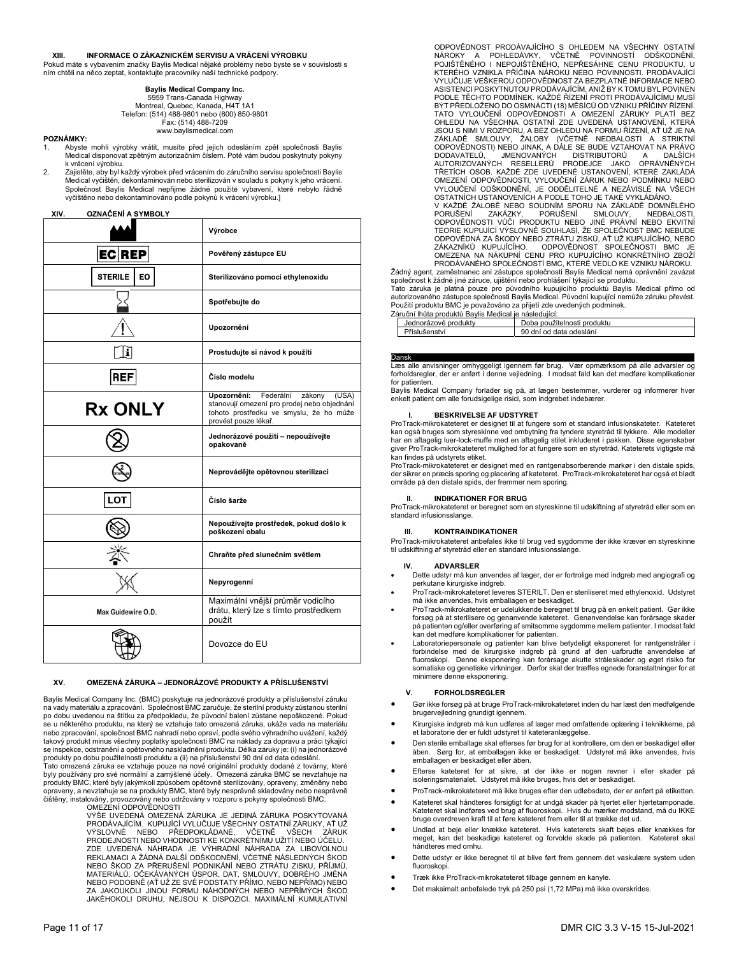## **XIII. INFORMACE O ZÁKAZNICKÉM SERVISU A VRÁCENÍ VÝROBKU**

Pokud máte s vybavením značky Baylis Medical nějaké problémy nebo byste se v souvislosti s ním chtěli na něco zeptat, kontaktujte pracovníky naší technické podpory.

## **Baylis Medical Company Inc.**

5959 Trans-Canada Highway Montreal, Quebec, Kanada, H4T 1A1 Telefon: (514) 488-9801 nebo (800) 850-9801 Fax: (514) 488-7209 www.baylismedical.com

## **POZNÁMKY:**

- 1. Abyste mohli výrobky vrátit, musíte před jejich odesláním zpět společnosti Baylis Medical disponovat zpětným autorizačním číslem. Poté vám budou poskytnuty pokyny k vrácení výrobku.
- 2. Zajistěte, aby byl každý výrobek před vrácením do záručního servisu společnosti Baylis Medical vyčištěn, dekontaminován nebo sterilizován v souladu s pokyny k jeho vrácení. Společnost Baylis Medical nepřijme žádné použité vybavení, které nebylo řádně vyčištěno nebo dekontaminováno podle pokynů k vrácení výrobku.]

## **XIV. OZNAČENÍ A SYMBOLY**

|                      | Výrobce                                                                                                                                                       |
|----------------------|---------------------------------------------------------------------------------------------------------------------------------------------------------------|
| <b>ECREP</b>         | Pověřený zástupce EU                                                                                                                                          |
| <b>STERILE</b><br>EO | Sterilizováno pomocí ethylenoxidu                                                                                                                             |
|                      | Spotřebujte do                                                                                                                                                |
|                      | Upozornění                                                                                                                                                    |
|                      | Prostudujte si návod k použití                                                                                                                                |
| REF                  | Číslo modelu                                                                                                                                                  |
| <b>Rx ONLY</b>       | Upozornění:<br>Federální<br>zákony<br>(USA)<br>stanovují omezení pro prodej nebo objednání<br>tohoto prostředku ve smyslu, že ho může<br>provést pouze lékař. |
|                      | Jednorázové použití – nepoužívejte<br>opakovaně                                                                                                               |
|                      | Neprovádějte opětovnou sterilizaci                                                                                                                            |
| LOT                  | Číslo šarže                                                                                                                                                   |
|                      | Nepoužívejte prostředek, pokud došlo k<br>poškození obalu                                                                                                     |
|                      | Chraňte před slunečním světlem                                                                                                                                |
|                      | Nepyrogenní                                                                                                                                                   |
| Max Guidewire O.D.   | Maximální vnější průměr vodicího<br>drátu, který lze s tímto prostředkem<br>použít                                                                            |
|                      | Dovozce do EU                                                                                                                                                 |

## **XV. OMEZENÁ ZÁRUKA – JEDNORÁZOVÉ PRODUKTY A PŘÍSLUŠENSTVÍ**

Baylis Medical Company Inc. (BMC) poskytuje na jednorázové produkty a příslušenství záruku na vady materiálu a zpracování. Společnost BMC zaručuje, že sterilní produkty zůstanou sterilní po dobu uvedenou na štítku za předpokladu, že původní balení zůstane nepoškozené. Pokud se u některého produktu, na který se vztahuje tato omezená záruka, ukáže vada na materiálu<br>nebo zpracování, společnost BMC nahradí nebo opraví, podle svého výhradního uvážení, každý takový produkt minus všechny poplatky společnosti BMC na náklady za dopravu a práci týkající se inspekce, odstranění a opětovného naskladnění produktu. Délka záruky je: (i) na jednorázové produkty po dobu použitelnosti produktu a (ii) na příslušenství 90 dní od data odeslání.

Tato omezená záruka se vztahuje pouze na nové originální produkty dodané z továrny, které<br>byly používány pro své normální a zamýšlené účely. Omezená záruka BMC se nevztahuje na<br>produkty BMC, které byly jakýmkoli způsobem o opraveny, a nevztahuje se na produkty BMC, které byly nesprávně skladovány nebo nesprávně čištěny, instalovány, provozovány nebo udržovány v rozporu s pokyny společnosti BMC.

OMEZENÍ ODPOVĚDNOSTI<br>VÝŠE UVEDENÁ OMEZENÁ ZÁRUKA JE JEDINÁ ZÁRUKA POSKYTOVANÁ PRODÁVAJÍCÍM. KUPUJÍCÍ VYLUČUJE VŠECHNY OSTATNÍ ZÁRUKY, AŤ UŽ VÝSLOVNÉ NEBO PŘEDPOKLÁDANÉ, VČETNĚ VŠECH ZÁRUK PRODEJNOSTI NEBO VHODNOSTI KE KONKRÉTNÍMU UŽITÍ NEBO ÚČELU. ZDE UVEDENÁ NÁHRADA JE VÝHRADNÍ NÁHRADA ZA LIBOVOLNOU REKLAMACI A ŽÁDNÁ DALŠÍ ODŠKODNĚNÍ, VČETNĚ NÁSLEDNÝCH ŠKOD NEBO ŠKOD ZA PŘERUŠENÍ PODNIKÁNÍ NEBO ZTRÁTU ZISKU, PŘÍJMŮ, MATERIÁLŮ, OČEKÁVANÝCH ÚSPOR, DAT, SMLOUVY, DOBRÉHO JMÉNA NEBO PODOBNĚ (AŤ UŽ ZE SVÉ PODSTATY PŘÍMO, NEBO NEPŘÍMO) NEBO ZA JAKOUKOLI JINOU FORMU NÁHODNÝCH NEBO NEPŘÍMÝCH ŠKOD<br>JAKÉHOKOLI DRUHU, NEJSOU K DISPOZICI. MAXIMÁLNÍ KUMULATIVNÍ ODPOVĚDNOST PRODÁVAJÍCÍHO S OHLEDEM NA VŠECHNY OSTATNÍ NAROKY A POHLEDAVKY, VČETNÉ POVINNOSTÍ ODŠKODNÉNI,<br>POJIŠTĚNÉHO I NEPOJIŠTĚNÉHO, NEPŘESÁHNE CENU PRODUKTU, U<br>KTERÉHO VZNIKLA PŘÍČÍNA NÁROKU NEBO POVINNOSTI. PRODÁVAJÍCÍ<br>VYLUČUJE VEŠKEROU ODPOVĚDNOSTZA BEZPLATNÉ INFORMACE NE ASISTENCI POSKYTNUTOU PRODÁVAJÍCÍM, ANIŽ BY K TOMU BYL POVINEN PODLE TĚCHTO PODMÍNEK. KAŽDÉ ŘÍZENÍ PROTI PRODÁVAJÍCÍMU MUSÍ BÝT PŘEDLOŽENO DO OSMNÁCTI (18) MĚSÍCŮ OD VZNIKU PŘÍČINY ŘÍZENÍ. TATO VYLOUČENÍ ODPOVĚDNOSTI A OMEZENÍ ZÁRUKY PLATÍ BEZ OHLEDU NA VŠECHNA OSTATNÍ ZDE UVEDENÁ USTANOVENÍ, KTERÁ JSOU S NIMI V ROZPORU, A BEZ OHLEDU NA FORMU ŘÍZENÍ, AŤ UŽ JE NA<br>ZÁKLADĚ – SMLOUVY, – ŽALOBY – (VČETNĚ – NEDBALOSTI – A – STRIKTNÍ<br>ODPOVĚDNOSTI) NEBO JINAK, A DÁLE SE BUDE VZTAHOVAT NA PRÁVO DODAVATELŮ, JMENOVANÝCH DISTRIBUTORŮ A DALŠÍCH<br>AUTORIZOVANÝCH RESELLERŮ PRODEJCE JAKO OPRÁVNĚNÝCH TŘETÍCH OSOB. KAŽDÉ ZDE UVEDENÉ USTANOVENÍ, KTERÉ ZAKLÁDÁ OMEZENÍ ODPOVĚDNOSTI, VYLOUČENÍ ZÁRUK NEBO PODMÍNKU NEBO VYLOUČENÍ ODŠKODNĚNÍ, JE ODDĚLITELNÉ A NEZÁVISLÉ NA VŠECH OSTATNÍCH USTANOVENÍCH A PODLE TOHO JE TAKÉ VYKLÁDÁNO. V KAŽDÉ ŽALOBĚ NEBO SOUDNÍM SPORU NA ZÁKLADĚ DOMNĚLÉHO<br>PORUŠENÍ – ZAKÁZKY, HPORUŠENÍ – SMLOUVY, NEDBALOSTI, PORUŠENÍ SMLOUVY, NEDBALOSTI,

ODPOVĚDNOSTI VŮČI PRODUKTU NEBO JINÉ PRÁVNÍ NEBO EKVITNÍ TEORIE KUPUJÍCÍ VÝSLOVNĚ SOUHLASÍ, ŽE SPOLEČNOST BMC NEBUDE ODPOVĚDNÁ ZA ŠKODY NEBO ZTRÁTU ZISKŮ, AŤ UŽ KUPUJÍCÍHO, NEBO<br>ZÁKAZNÍKŮ KUPUJÍCÍHO. ODPOVĚĎNOST SPOLEČNOSTI BMC<br>OMEZENA NA NÁKUPNÍ CENU PRO KUPUJÍCÍHO KONKRÉTNÍHO ZBOŽÍ PRODÁVANÉHO SPOLEČNOSTÍ BMC, KTERÉ VEDLO KE VZNIKU NÁROKU.

Žádný agent, zaměstnanec ani zástupce společnosti Baylis Medical nemá oprávnění zavázat společnost k žádné jiné záruce, ujištění nebo prohlášení týkající se produktu.

Tato záruka je platná pouze pro původního kupujícího produktů Baylis Medical přímo od autorizovaného zástupce společnosti Baylis Medical. Původní kupující nemůže záruku převést. Použití produktu BMC je považováno za přijetí zde uvedených podmínek.

| Záruční Ihůta produktů Bavlis Medical je následuiící: |                             |
|-------------------------------------------------------|-----------------------------|
| Jednorázové produkty                                  | Doba použitelnosti produktu |
| Příslušenství                                         | 90 dní od data odeslání     |

## Dansk**\_\_\_\_\_\_\_\_\_\_\_\_\_\_\_ \_\_\_\_\_\_\_\_**

Læs alle anvisninger omhyggeligt igennem før brug. Vær opmærksom på alle advarsler og forholdsregler, der er anført i denne vejledning. I modsat fald kan det medføre komplikationer for patienten.

Baylis Medical Company forlader sig på, at lægen bestemmer, vurderer og informerer hver enkelt patient om alle forudsigelige risici, som indgrebet indebærer.

## **I. BESKRIVELSE AF UDSTYRET**

ProTrack-mikrokateteret er designet til at fungere som et standard infusionskateter. Kateteret kan også bruges som styreskinne ved ombytning fra tyndere styretråd til tykkere. Alle modeller har en aftagelig luer-lock-muffe med en aftagelig stilet inkluderet i pakken. Disse egenskaber giver ProTrack-mikrokateteret mulighed for at fungere som en styretråd. Kateterets vigtigste må kan findes på udstyrets etiket.

ProTrack-mikrokateteret er designet med en røntgenabsorberende markør i den distale spids, der sikrer en præcis sporing og placering af kateteret. ProTrack-mikrokateteret har også et blødt område på den distale spids, der fremmer nem sporing.

### **II. INDIKATIONER FOR BRUG**

ProTrack-mikrokateteret er beregnet som en styreskinne til udskiftning af styretråd eller som en standard infusionsslange.

## **III. KONTRAINDIKATIONER**

ProTrack-mikrokateteret anbefales ikke til brug ved sygdomme der ikke kræver en styreskinne til udskiftning af styretråd eller en standard infusionsslange.

### **ADVARSLER**

- Dette udstyr må kun anvendes af læger, der er fortrolige med indgreb med angiografi og perkutane kirurgiske indgreb.
- ProTrack-mikrokateteret leveres STERILT. Den er steriliseret med ethylenoxid. Udstyret må ikke anvendes, hvis emballagen er beskadiget.
- ProTrack-mikrokateteret er udelukkende beregnet til brug på en enkelt patient. Gør ikke forsøg på at sterilisere og genanvende kateteret. Genanvendelse kan forårsage skader på patienten og/eller overføring af smitsomme sygdomme mellem patienter. I modsat fald kan det medføre komplikationer for patienten.
- Laboratoriepersonale og patienter kan blive betydeligt eksponeret for røntgenstråler i forbindelse med de kirurgiske indgreb på grund af den uafbrudte anvendelse af fluoroskopi. Denne eksponering kan forårsage akutte stråleskader og øget risiko for somatiske og genetiske virkninger. Derfor skal der træffes egnede foranstaltninger for at minimere denne eksponering.

### **V. FORHOLDSREGLER**

- Gør ikke forsøg på at bruge ProTrack-mikrokateteret inden du har læst den medfølgende brugervejledning grundigt igennem.
- Kirurgiske indgreb må kun udføres af læger med omfattende oplæring i teknikkerne, på et laboratorie der er fuldt udstyret til kateteranlæggelse.
- Den sterile emballage skal efterses før brug for at kontrollere, om den er beskadiget eller åben. Sørg for, at emballagen ikke er beskadiget. Udstyret må ikke anvendes, hvis emballagen er beskadiget eller åben.
- Efterse kateteret for at sikre, at der ikke er nogen revner i eller skader på isoleringsmaterialet. Udstyret må ikke bruges, hvis det er beskadiget.
- ProTrack-mikrokateteret må ikke bruges efter den udløbsdato, der er anført på etiketten. Kateteret skal håndteres forsigtigt for at undgå skader på hjertet eller hjertetamponade. Kateteret skal indføres ved brug af fluoroskopi. Hvis du mærker modstand, må du IKKE bruge overdreven kraft til at føre kateteret frem eller til at trække det ud.
- Undlad at bøje eller knække kateteret. Hvis kateterets skaft bøjes eller knækkes for meget, kan det beskadige kateteret og forvolde skade på patienten. Kateteret skal håndteres med omhu.
- Dette udstyr er ikke beregnet til at blive ført frem gennem det vaskulære system uden fluoroskopi.
- Træk ikke ProTrack-mikrokateteret tilbage gennem en kanyle.
- Det maksimalt anbefalede tryk på 250 psi (1,72 MPa) må ikke overskrides.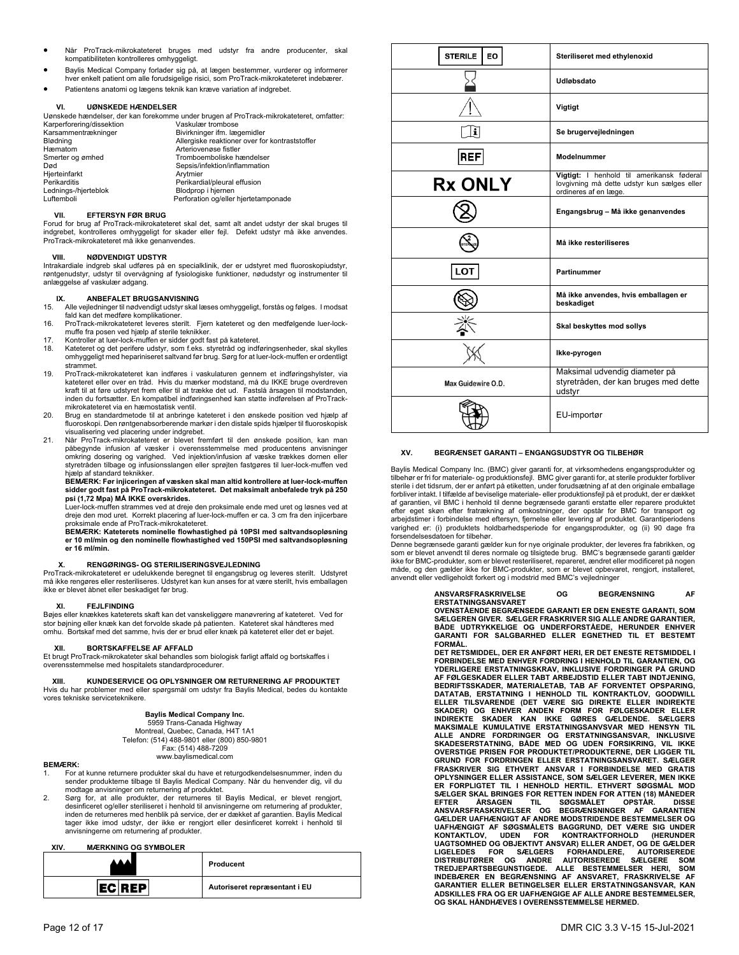- Når ProTrack-mikrokateteret bruges med udstyr fra andre producenter, skal kompatibiliteten kontrolleres omhyggeligt.
- Baylis Medical Company forlader sig på, at lægen bestemmer, vurderer og informerer hver enkelt patient om alle forudsigelige risici, som ProTrack-mikrokateteret indebærer.
- Patientens anatomi og lægens teknik kan kræve variation af indgrebet.

## **VI. UØNSKEDE HÆNDELSER**

| Uønskede hændelser, der kan forekomme under brugen af ProTrack-mikrokateteret, omfatter: |                                                |  |
|------------------------------------------------------------------------------------------|------------------------------------------------|--|
| Karperforering/dissektion                                                                | Vaskulær trombose                              |  |
| Karsammentrækninger                                                                      | Bivirkninger ifm. lægemidler                   |  |
| Blødning                                                                                 | Allergiske reaktioner over for kontraststoffer |  |
| Hæmatom                                                                                  | Arteriovenøse fistler                          |  |
| Smerter og ømhed                                                                         | Tromboemboliske hændelser                      |  |
| Død                                                                                      | Sepsis/infektion/inflammation                  |  |
| Hierteinfarkt                                                                            | Arvtmier                                       |  |
| Perikarditis                                                                             | Perikardial/pleural effusion                   |  |
| Lednings-/hjerteblok                                                                     | Blodprop i hjernen                             |  |
| Luftemboli                                                                               | Perforation og/eller hjertetamponade           |  |

## **VII. EFTERSYN FØR BRUG**

Forud for brug af ProTrack-mikrokateteret skal det, samt alt andet udstyr der skal bruges til indgrebet, kontrolleres omhyggeligt for skader eller fejl. Defekt udstyr må ikke anvendes. ProTrack-mikrokateteret må ikke genanvendes.

## **VIII. NØDVENDIGT UDSTYR**

Intrakardiale indgreb skal udføres på en specialklinik, der er udstyret med fluoroskopiudstyr, røntgenudstyr, udstyr til overvågning af fysiologiske funktioner, nødudstyr og instrumenter til anlæggelse af vaskulær adgang.

## **IX. ANBEFALET BRUGSANVISNING**

- 15. Alle vejledninger til nødvendigt udstyr skal læses omhyggeligt, forstås og følges. I modsat fald kan det medføre komplikationer.
- 16. ProTrack-mikrokateteret leveres sterilt. Fjern kateteret og den medfølgende luer-lockmuffe fra posen ved hjælp af sterile teknikker.
- 17. Kontroller at luer-lock-muffen er sidder godt fast på kateteret.
- 18. Kateteret og det perifere udstyr, som f.eks. styretråd og indføringsenheder, skal skylles omhyggeligt med hepariniseret saltvand før brug. Sørg for at luer-lock-muffen er ordentligt strammet.
- 19. ProTrack-mikrokateteret kan indføres i vaskulaturen gennem et indføringshylster, via kateteret eller over en tråd. Hvis du mærker modstand, må du IKKE bruge overdreven kraft til at føre udstyret frem eller til at trække det ud. Fastslå årsagen til modstanden, inden du fortsætter. En kompatibel indføringsenhed kan støtte indførelsen af ProTrackmikrokateteret via en hæmostatisk ventil.
- 20. Brug en standardmetode til at anbringe kateteret i den ønskede position ved hjælp af fluoroskopi. Den røntgenabsorberende markør i den distale spids hjælper til fluoroskopisk visualisering ved placering under indgrebet.
- 21. Når ProTrack-mikrokateteret er blevet fremført til den ønskede position, kan man påbegynde infusion af væsker i overensstemmelse med producentens anvisninger omkring dosering og varighed. Ved injektion/infusion af væske trækkes dornen eller styretråden tilbage og infusionsslangen eller sprøjten fastgøres til luer-lock-muffen ved hjælp af standard teknikker.

## **BEMÆRK: Før injiceringen af væsken skal man altid kontrollere at luer-lock-muffen sidder godt fast på ProTrack-mikrokateteret. Det maksimalt anbefalede tryk på 250 psi (1,72 Mpa) MÅ IKKE overskrides.**

Luer-lock-muffen strammes ved at dreje den proksimale ende med uret og løsnes ved at dreje den mod uret. Korrekt placering af luer-lock-muffen er ca. 3 cm fra den injicerbare proksimale ende af ProTrack-mikrokateteret.

**BEMÆRK: Kateterets nominelle flowhastighed på 10PSI med saltvandsopløsning er 10 ml/min og den nominelle flowhastighed ved 150PSI med saltvandsopløsning er 16 ml/min.** 

## **X. RENGØRINGS- OG STERILISERINGSVEJLEDNING**

ProTrack-mikrokateteret er udelukkende beregnet til engangsbrug og leveres sterilt. Udstyret må ikke rengøres eller resteriliseres. Udstyret kan kun anses for at være sterilt, hvis emballagen ikke er blevet åbnet eller beskadiget før brug.

## **FEJLFINDING**

Bøjes eller knækkes kateterets skaft kan det vanskeliggøre manøvrering af kateteret. Ved for stor bøjning eller knæk kan det forvolde skade på patienten. Kateteret skal håndteres med omhu. Bortskaf med det samme, hvis der er brud eller knæk på kateteret eller det er bøjet.

## **XII. BORTSKAFFELSE AF AFFALD**

Et brugt ProTrack-mikrokateter skal behandles som biologisk farligt affald og bortskaffes i overensstemmelse med hospitalets standardprocedurer.

## **XIII. KUNDESERVICE OG OPLYSNINGER OM RETURNERING AF PRODUKTET**

Hvis du har problemer med eller spørgsmål om udstyr fra Baylis Medical, bedes du kontakte vores tekniske serviceteknikere.

## **Baylis Medical Company Inc.**

5959 Trans-Canada Highway Montreal, Quebec, Canada, H4T 1A1 Telefon: (514) 488-9801 eller (800) 850-9801 Fax: (514) 488-7209 www.baylismedical.com

## **BEMÆRK:**

- 1. For at kunne returnere produkter skal du have et returgodkendelsesnummer, inden du sender produkterne tilbage til Baylis Medical Company. Når du henvender dig, vil du modtage anvisninger om returnering af produktet.
- 2. Sørg for, at alle produkter, der returneres til Baylis Medical, er blevet rengjort, desinficeret og/eller steriliseret i henhold til anvisningerne om returnering af produkter, inden de returneres med henblik på service, der er dækket af garantien. Baylis Medical tager ikke imod udstyr, der ikke er rengjort eller desinficeret korrekt i henhold til anvisningerne om returnering af produkter.

## **XIV. MÆRKNING OG SYMBOLER**

|              | Producent                     |
|--------------|-------------------------------|
| <b>ECREP</b> | Autoriseret repræsentant i EU |

| <b>STERILE</b><br>EO. | Steriliseret med ethylenoxid                                                                                      |
|-----------------------|-------------------------------------------------------------------------------------------------------------------|
|                       | Udløbsdato                                                                                                        |
|                       | Vigtigt                                                                                                           |
| i                     | Se brugervejledningen                                                                                             |
| <b>REF</b>            | Modelnummer                                                                                                       |
| <b>Rx ONLY</b>        | Vigtigt: I henhold til amerikansk føderal<br>lovgivning må dette udstyr kun sælges eller<br>ordineres af en læge. |
|                       | Engangsbrug - Må ikke genanvendes                                                                                 |
|                       | Må ikke resteriliseres                                                                                            |
| LOT                   | Partinummer                                                                                                       |
|                       | Må ikke anvendes, hvis emballagen er<br>beskadiget                                                                |
|                       | Skal beskyttes mod sollys                                                                                         |
|                       | Ikke-pyrogen                                                                                                      |
| Max Guidewire O.D.    | Maksimal udvendig diameter på<br>styretråden, der kan bruges med dette<br>udstyr                                  |
|                       | EU-importør                                                                                                       |

## **XV. BEGRÆNSET GARANTI – ENGANGSUDSTYR OG TILBEHØR**

Baylis Medical Company Inc. (BMC) giver garanti for, at virksomhedens engangsprodukter og tilbehør er fri for materiale- og produktionsfejl. BMC giver garanti for, at sterile produkter forbliver sterile i det tidsrum, der er anført på etiketten, under forudsætning af at den originale emballage forbliver intakt. I tilfælde af beviselige materiale- eller produktionsfejl på et produkt, der er dækket af garantien, vil BMC i henhold til denne begrænsede garanti erstatte eller reparere produktet efter eget skøn efter fratrækning af omkostninger, der opstår for BMC for transport og arbejdstimer i forbindelse med eftersyn, fjernelse eller levering af produktet. Garantiperiodens varighed er: (i) produktets holdbarhedsperiode for engangsprodukter, og (ii) 90 dage fra forsendelsesdatoen for tilbehør.

Denne begrænsede garanti gælder kun for nye originale produkter, der leveres fra fabrikken, og som er blevet anvendt til deres normale og tilsigtede brug. BMC's begrænsede garanti gælder<br>ikke for BMC-produkter, som er blevet resteriliseret, repareret, ændret eller modificeret på nogen måde, og den gælder ikke for BMC-produkter, som er blevet opbevaret, rengjort, installeret, anvendt eller vedligeholdt forkert og i modstrid med BMC's vejledninger

### **ANSVARSFRASKRIVELSE OG BEGRÆNSNING AF ERSTATNINGSANSVARET**

**OVENSTÅENDE BEGRÆNSEDE GARANTI ER DEN ENESTE GARANTI, SOM SÆLGEREN GIVER. SÆLGER FRASKRIVER SIG ALLE ANDRE GARANTIER, BÅDE UDTRYKKELIGE OG UNDERFORSTÅEDE, HERUNDER ENHVER GARANTI FOR SALGBARHED ELLER EGNETHED TIL ET BESTEMT FORMÅL.** 

**DET RETSMIDDEL, DER ER ANFØRT HERI, ER DET ENESTE RETSMIDDEL I FORBINDELSE MED ENHVER FORDRING I HENHOLD TIL GARANTIEN, OG YDERLIGERE ERSTATNINGSKRAV, INKLUSIVE FORDRINGER PÅ GRUND AF FØLGESKADER ELLER TABT ARBEJDSTID ELLER TABT INDTJENING, BEDRIFTSSKADER, MATERIALETAB, TAB AF FORVENTET OPSPARING, DATATAB, ERSTATNING I HENHOLD TIL KONTRAKTLOV, GOODWILL**  ELLER TILSVARENDE (DET VÆRE SIG DIREKTE ELLER INDIREKTE<br>SKADER) OG ENHVER ANDEN FORM FOR FØLGESKADER ELLER<br>INDIREKTE SKADER KAN IKKE GØRES GÆLDENDE. SÆLGERS<br>MAKSIMALE KUMULATIVE ERSTATNINGSANVSVAR MED HENSYN TIL **ALLE ANDRE FORDRINGER OG ERSTATNINGSANSVAR, INKLUSIVE SKADESERSTATNING, BÅDE MED OG UDEN FORSIKRING, VIL IKKE OVERSTIGE PRISEN FOR PRODUKTET/PRODUKTERNE, DER LIGGER TIL GRUND FOR FORDRINGEN ELLER ERSTATNINGSANSVARET. SÆLGER FRASKRIVER SIG ETHVERT ANSVAR I FORBINDELSE MED GRATIS OPLYSNINGER ELLER ASSISTANCE, SOM SÆLGER LEVERER, MEN IKKE ER FORPLIGTET TIL I HENHOLD HERTIL. ETHVERT SØGSMÅL MOD SÆLGER SKAL BRINGES FOR RETTEN INDEN FOR ATTEN (18) MÅNEDER**  EFTER ARSAGEN TIL SØGSMÅLET OPSTÅR. DISSE<br>ANSVARSFRASKRIVELSER OG BEGRÆNSNINGER AF GARANTIEN<br>GÆLDER UAFHÆNGIGT AF ANDRE MODSTRIDENDE BESTEMMELSER OG **UAFHÆNGIGT AF SØGSMÅLETS BAGGRUND, DET VÆRE SIG UNDER KONTAKTLOV, UDEN FOR KONTRAKTFORHOLD (HERUNDER UAGTSOMHED OG OBJEKTIVT ANSVAR) ELLER ANDET, OG DE GÆLDER LIGELEDES FOR SÆLGERS FORHANDLERE, AUTORISEREDE DISTRIBUTØRER OG ANDRE AUTORISEREDE SÆLGERE SOM TREDJEPARTSBEGUNSTIGEDE. ALLE BESTEMMELSER HERI, SOM INDEBÆRER EN BEGRÆNSNING AF ANSVARET, FRASKRIVELSE AF GARANTIER ELLER BETINGELSER ELLER ERSTATNINGSANSVAR, KAN ADSKILLES FRA OG ER UAFHÆNGIGE AF ALLE ANDRE BESTEMMELSER, OG SKAL HÅNDHÆVES I OVERENSSTEMMELSE HERMED.**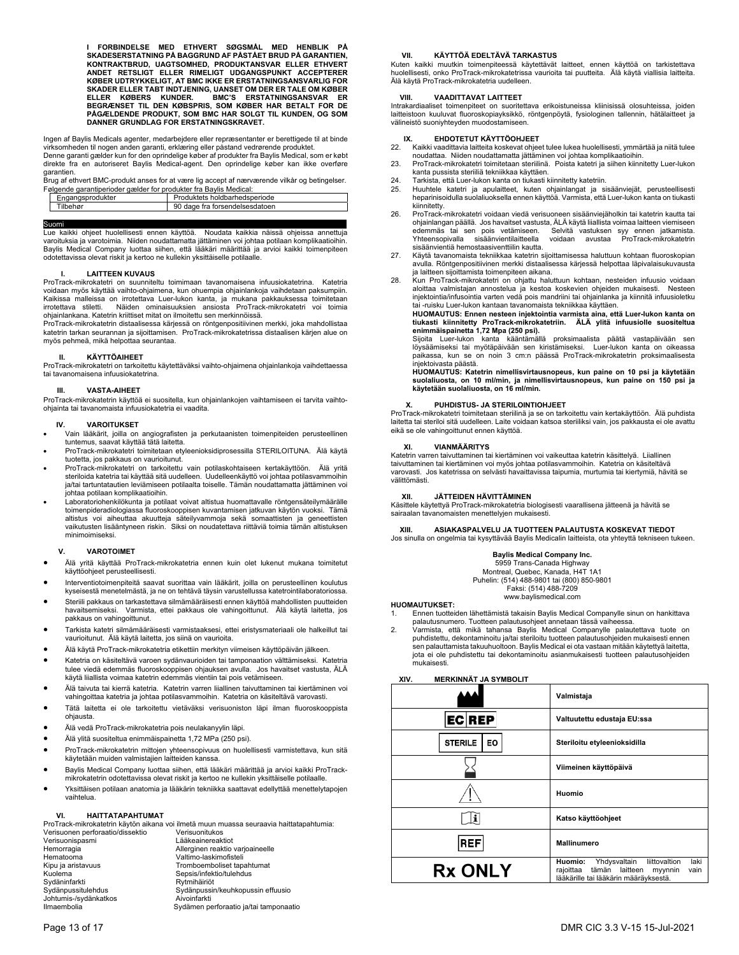**I FORBINDELSE MED ETHVERT SØGSMÅL MED HENBLIK PÅ**  SKADESERSTATNING PÅ BAGGRUND AF PÅSTÅET BRUD PÅ GARANTIEN,<br>KONTRAKTBRUD, UAGTSOMHED, PRODUKTANSVAR ELLER ETHVERT<br>ANDET RETSLIGT ELLER RIMELIGT UDGANGSPUNKT ACCEPTERER<br>KØBER UDTRYKKELIGT, AT BMC IKKE ER ERSTATNINGSANSVARLIG **SKADER ELLER TABT INDTJENING, UANSET OM DER ER TALE OM KØBER**  ELLER KØBERS KUNDER. BMC'S ERSTATNINGSANSVAR ER<br>BEGRÆNSET TIL DEN KØBSPRIS, SOM KØBER HAR BETALT FOR DE<br>PÅGÆLDENDE PRODUKT, SOM BMC HAR SOLGT TIL KUNDEN, OG SOM<br>DANNER GRUNDLAG FOR ERSTATNINGSKRAVET.

Ingen af Baylis Medicals agenter, medarbejdere eller repræsentanter er berettigede til at binde<br>virksomheden til nogen anden garanti, erklæring eller påstand vedrørende produktet.<br>Denne garanti gælder kun for den oprindeli

direkte fra en autoriseret Baylis Medical-agent. Den oprindelige køber kan ikke overføre garantien.

Brug af ethvert BMC-produkt anses for at være lig accept af nærværende vilkår og betingelser. Følgende garantiperioder gælder for produkter fra Baylis Medical:

| Engangsprodukter | Produktets holdbarhedsperiode                  |
|------------------|------------------------------------------------|
| Tilbehør         | 90<br><sup>า</sup> dage fra forsendelsesdatoen |
|                  |                                                |

## Suomi**\_\_\_\_\_\_\_\_\_\_\_\_\_\_\_ \_\_\_\_\_\_\_\_**

Lue kaikki ohjeet huolellisesti ennen käyttöä. Noudata kaikkia näissä ohjeissa annettuja varoituksia ja varotoimia. Niiden noudattamatta jättäminen voi johtaa potilaan komplikaatioihin. Baylis Medical Company luottaa siihen, että lääkäri määrittää ja arvioi kaikki toimenpiteen odotettavissa olevat riskit ja kertoo ne kullekin yksittäiselle potilaalle.

## **I. LAITTEEN KUVAUS**

ProTrack-mikrokatetri on suunniteltu toimimaan tavanomaisena infuusiokatetrina. Katetria voidaan myös käyttää vaihto-ohjaimena, kun ohuempia ohjainlankoja vaihdetaan paksumpiin. Kaikissa malleissa on irrotettava Luer-lukon kanta, ja mukana pakkauksessa toimitetaan irrotettava stiletti. Näiden ominaisuuksien ansiosta ProTrack-mikrokatetri voi toimia ohjainlankana. Katetrin kriittiset mitat on ilmoitettu sen merkinnöissä.

ProTrack-mikrokatetrin distaalisessa kärjessä on röntgenpositiivinen merkki, joka mahdollistaa katetrin tarkan seurannan ja sijoittamisen. ProTrack-mikrokatetrissa distaalisen kärjen alue on myös pehmeä, mikä helpottaa seurantaa.

## **II. KÄYTTÖAIHEET**

ProTrack-mikrokatetri on tarkoitettu käytettäväksi vaihto-ohjaimena ohjainlankoja vaihdettaessa tai tavanomaisena infuusiokatetrina.

## **III. VASTA-AIHEET**

ProTrack-mikrokatetrin käyttöä ei suositella, kun ohjainlankojen vaihtamiseen ei tarvita vaihto-ohjainta tai tavanomaista infuusiokatetria ei vaadita.

### **IV. VAROITUKSET**

- Vain lääkärit, joilla on angiografisten ja perkutaanisten toimenpiteiden perusteellinen tuntemus, saavat käyttää tätä laitetta.
- ProTrack-mikrokatetri toimitetaan etyleenioksidiprosessilla STERILOITUNA. Älä käytä tuotetta, jos pakkaus on vaurioitunut.
- ProTrack-mikrokatetri on tarkoitettu vain potilaskohtaiseen kertakäyttöön. Älä yritä steriloida katetria tai käyttää sitä uudelleen. Uudelleenkäyttö voi johtaa potilasvammoihin ja/tai tartuntatautien leviämiseen potilaalta toiselle. Tämän noudattamatta jättäminen voi johtaa potilaan komplikaatioihin.
- Laboratoriohenkilökunta ja potilaat voivat altistua huomattavalle röntgensäteilymäärälle toimenpideradiologiassa fluoroskooppisen kuvantamisen jatkuvan käytön vuoksi. Tämä altistus voi aiheuttaa akuutteja säteilyvammoja sekä somaattisten ja geneettisten vaikutusten lisääntyneen riskin. Siksi on noudatettava riittäviä toimia tämän altistuksen minimoimiseksi.

## **V. VAROTOIMET**

- Älä yritä käyttää ProTrack-mikrokatetria ennen kuin olet lukenut mukana toimitetut käyttöohjeet perusteellisesti.
- Interventiotoimenpiteitä saavat suorittaa vain lääkärit, joilla on perusteellinen koulutus kyseisestä menetelmästä, ja ne on tehtävä täysin varustellussa katetrointilaboratoriossa.
- Steriili pakkaus on tarkastettava silmämääräisesti ennen käyttöä mahdollisten puutteiden havaitsemiseksi. Varmista, ettei pakkaus ole vahingoittunut. Älä käytä laitetta, jos pakkaus on vahingoittunut.
- Tarkista katetri silmämääräisesti varmistaaksesi, ettei eristysmateriaali ole halkeillut tai vaurioitunut. Älä käytä laitetta, jos siinä on vaurioita.
- Älä käytä ProTrack-mikrokatetria etikettiin merkityn viimeisen käyttöpäivän jälkeen.
- Katetria on käsiteltävä varoen sydänvaurioiden tai tamponaation välttämiseksi. Katetria tulee viedä edemmäs fluoroskooppisen ohjauksen avulla. Jos havaitset vastusta, ÄLÄ käytä liiallista voimaa katetrin edemmäs vientiin tai pois vetämiseen.
- Älä taivuta tai kierrä katetria. Katetrin varren liiallinen taivuttaminen tai kiertäminen voi vahingoittaa katetria ja johtaa potilasvammoihin. Katetria on käsiteltävä varovasti.
- Tätä laitetta ei ole tarkoitettu vietäväksi verisuoniston läpi ilman fluoroskooppista ohjausta.
- Älä vedä ProTrack-mikrokatetria pois neulakanyylin läpi.
- Älä ylitä suositeltua enimmäispainetta 1,72 MPa (250 psi).
- ProTrack-mikrokatetrin mittojen yhteensopivuus on huolellisesti varmistettava, kun sitä käytetään muiden valmistajien laitteiden kanssa.
- Baylis Medical Company luottaa siihen, että lääkäri määrittää ja arvioi kaikki ProTrackmikrokatetrin odotettavissa olevat riskit ja kertoo ne kullekin yksittäiselle potilaalle.
- Yksittäisen potilaan anatomia ja lääkärin tekniikka saattavat edellyttää menettelytapojen vaihtelua.

## **VI. HAITTATAPAHTUMAT**

|                                  | ProTrack-mikrokatetrin käytön aikana voi ilmetä muun muassa seuraavia haittatapahtumia: |
|----------------------------------|-----------------------------------------------------------------------------------------|
| Verisuonen perforaatio/dissektio | Verisuonitukos                                                                          |
| Verisuonispasmi                  | Lääkeainereaktiot                                                                       |
| Hemorragia                       | Allerginen reaktio varjoaineelle                                                        |
| Hematooma                        | Valtimo-laskimofisteli                                                                  |
| Kipu ja aristavuus               | Tromboemboliset tapahtumat                                                              |
| Kuolema                          | Sepsis/infektio/tulehdus                                                                |
| Sydäninfarkti                    | Rytmihäiriöt                                                                            |
| Sydänpussitulehdus               | Sydänpussin/keuhkopussin effuusio                                                       |
| Johtumis-/sydänkatkos            | Aivoinfarkti                                                                            |
| Ilmaembolia                      | Sydämen perforaatio ja/tai tamponaatio                                                  |

## **VII. KÄYTTÖÄ EDELTÄVÄ TARKASTUS**

Kuten kaikki muutkin toimenpiteessä käytettävät laitteet, ennen käyttöä on tarkistettava huolellisesti, onko ProTrack-mikrokatetrissa vaurioita tai puutteita. Älä käytä viallisia laitteita. Älä käytä ProTrack-mikrokatetria uudelleen.

## **VIII. VAADITTAVAT LAITTEET**

Intrakardiaaliset toimenpiteet on suoritettava erikoistuneissa kliinisissä olosuhteissa, joiden laitteistoon kuuluvat fluoroskopiayksikkö, röntgenpöytä, fysiologinen tallennin, hätälaitteet ja välineistö suoniyhteyden muodostamiseen.

## **IX. EHDOTETUT KÄYTTÖOHJEET**

- 22. Kaikki vaadittavia laitteita koskevat ohjeet tulee lukea huolellisesti, ymmärtää ja niitä tulee noudattaa. Niiden noudattamatta jättäminen voi johtaa komplikaatioihin.
- 23. ProTrack-mikrokatetri toimitetaan steriilinä. Poista katetri ja siihen kiinnitetty Luer-lukon kanta pussista steriiliä tekniikkaa käyttäen.
- 
- 24. Tarkista, että Luer-lukon kanta on tiukasti kiinnitetty katetriin.<br>25. Huuhtele- katetri- ja apulaitteet, kuten-ohjainlangat ja sisäänviejät, perusteellisesti<br>– heparinisoidulla suolaliuoksella ennen käyttöä. Varm kiinnitetty.
- 26. ProTrack-mikrokatetri voidaan viedä verisuoneen sisäänviejäholkin tai katetrin kautta tai ohjainlangan päällä. Jos havaitset vastusta, ÄLÄ käytä liiallista voimaa laitteen viemiseen<br>edemmäs tai sen pois vetämiseen. Selvitä vastuksen syy ennen jatkamista.<br>Yhteensopivalla sisäänvientilaitteella voidaan avust edemmäs tai sen pois vetämiseen. Selvitä vastuksen syy ennen jatkamista. Yhteensopivalla sisäänvientilaitteella voidaan avustaa ProTrack-mikrokatetrin sisäänvientiä hemostaasiventtiilin kautta.
- 27. Käytä tavanomaista tekniikkaa katetrin sijoittamisessa haluttuun kohtaan fluoroskopian avulla. Röntgenpositiivinen merkki distaalisessa kärjessä helpottaa läpivalaisukuvausta ja laitteen sijoittamista toimenpiteen aikana.
- 28. Kun ProTrack-mikrokatetri on ohjattu haluttuun kohtaan, nesteiden infuusio voidaan aloittaa valmistajan annostelua ja kestoa koskevien ohjeiden mukaisesti. Nesteen injektointia/infusointia varten vedä pois mandriini tai ohjainlanka ja kiinnitä infuusioletku tai -ruisku Luer-lukon kantaan tavanomaista tekniikkaa käyttäen.

**HUOMAUTUS: Ennen nesteen injektointia varmista aina, että Luer-lukon kanta on tiukasti kiinnitetty ProTrack-mikrokatetriin. ÄLÄ ylitä infuusiolle suositeltua enimmäispainetta 1,72 Mpa (250 psi).** 

Sijoita Luer-lukon kanta kääntämällä proksimaalista päätä vastapäivään sen löysäämiseksi tai myötäpäivään sen kiristämiseksi. Luer-lukon kanta on oikeassa paikassa, kun se on noin 3 cm:n päässä ProTrack-mikrokatetrin proksimaalisesta .<br>iniektoivasta päästä.

**HUOMAUTUS: Katetrin nimellisvirtausnopeus, kun paine on 10 psi ja käytetään suolaliuosta, on 10 ml/min, ja nimellisvirtausnopeus, kun paine on 150 psi ja käytetään suolaliuosta, on 16 ml/min.** 

## **X. PUHDISTUS- JA STERILOINTIOHJEET**

ProTrack-mikrokatetri toimitetaan steriilinä ja se on tarkoitettu vain kertakäyttöön. Älä puhdista laitetta tai steriloi sitä uudelleen. Laite voidaan katsoa steriiliksi vain, jos pakkausta ei ole avattu eikä se ole vahingoittunut ennen käyttöä.

### **XI. VIANMÄÄRITYS**

Katetrin varren taivuttaminen tai kiertäminen voi vaikeuttaa katetrin käsittelyä. Liiallinen taivuttaminen tai kiertäminen voi myös johtaa potilasvammoihin. Katetria on käsiteltävä varovasti. Jos katetrissa on selvästi havaittavissa taipumia, murtumia tai kiertymiä, hävitä se välittömästi.

## **XII. JÄTTEIDEN HÄVITTÄMINEN**

Käsittele käytettyä ProTrack-mikrokatetria biologisesti vaarallisena jätteenä ja hävitä se sairaalan tavanomaisten menettelyjen mukaisesti.

## **XIII. ASIAKASPALVELU JA TUOTTEEN PALAUTUSTA KOSKEVAT TIEDOT**

Jos sinulla on ongelmia tai kysyttävää Baylis Medicalin laitteista, ota yhteyttä tekniseen tukeen.

## **Baylis Medical Company Inc.**

5959 Trans-Canada Highway Montreal, Quebec, Kanada, H4T 1A1 Puhelin: (514) 488-9801 tai (800) 850-9801

Faksi: (514) 488-7209 www.baylismedical.com

## **HUOMAUTUKSET:**

- 1. Ennen tuotteiden lähettämistä takaisin Baylis Medical Companylle sinun on hankittava palautusnumero. Tuotteen palautusohjeet annetaan tässä vaiheessa.
- .<br>Varmista, että mikä tahansa Baylis Medical Companylle palautettava tuote on puhdistettu, dekontaminoitu ja/tai steriloitu tuotteen palautusohjeiden mukaisesti ennen sen palauttamista takuuhuoltoon. Baylis Medical ei ota vastaan mitään käytettyä laitetta, jota ei ole puhdistettu tai dekontaminoitu asianmukaisesti tuotteen palautusohjeiden mukaisesti.

## **XIV. MERKINNÄT JA SYMBOLIT**

|                      | Valmistaja                                                                                                                                     |
|----------------------|------------------------------------------------------------------------------------------------------------------------------------------------|
| EC REP               | Valtuutettu edustaja EU:ssa                                                                                                                    |
| <b>STERILE</b><br>EO | Steriloitu etyleenioksidilla                                                                                                                   |
|                      | Viimeinen käyttöpäivä                                                                                                                          |
|                      | Huomio                                                                                                                                         |
| i                    | Katso käyttöohjeet                                                                                                                             |
| <b>REF</b>           | Mallinumero                                                                                                                                    |
| <b>Rx ONLY</b>       | liittovaltion<br>Huomio:<br>laki<br>Yhdysvaltain<br>laitteen<br>rajoittaa<br>tämän<br>myynnin<br>vain<br>lääkärille tai lääkärin määräyksestä. |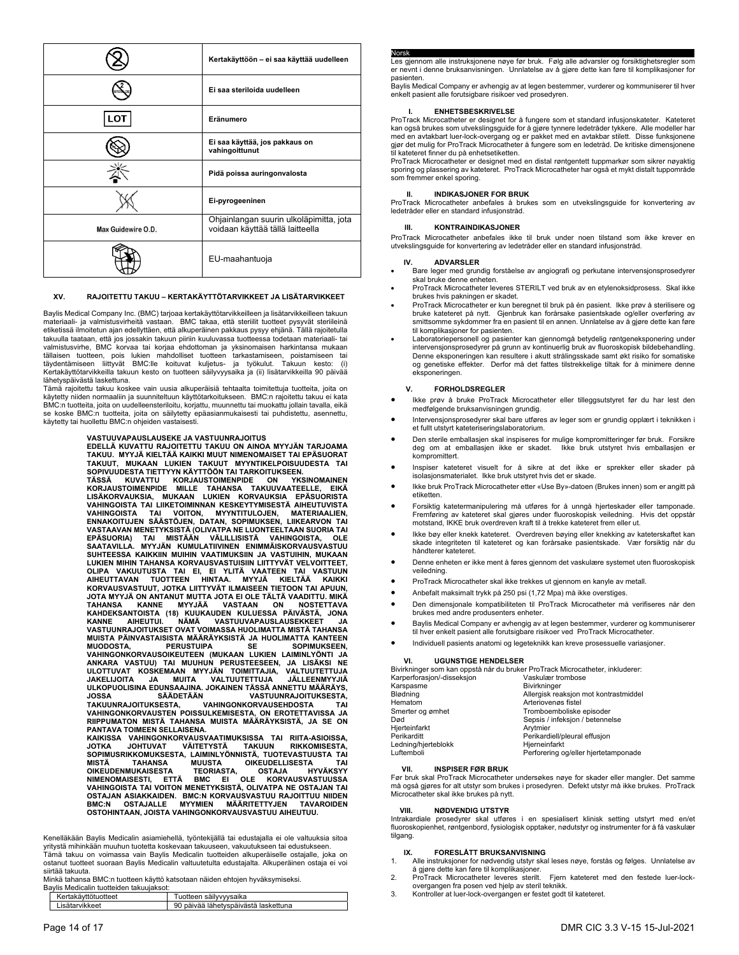|                    | Kertakäyttöön – ei saa käyttää uudelleen                                    |
|--------------------|-----------------------------------------------------------------------------|
|                    | Ei saa steriloida uudelleen                                                 |
| LOT                | Eränumero                                                                   |
|                    | Ei saa käyttää, jos pakkaus on<br>vahingoittunut                            |
|                    | Pidä poissa auringonvalosta                                                 |
|                    | Ei-pyrogeeninen                                                             |
| Max Guidewire O.D. | Ohjainlangan suurin ulkoläpimitta, jota<br>voidaan käyttää tällä laitteella |
|                    | EU-maahantuoja                                                              |

## **XV. RAJOITETTU TAKUU – KERTAKÄYTTÖTARVIKKEET JA LISÄTARVIKKEET**

Baylis Medical Company Inc. (BMC) tarjoaa kertakäyttötarvikkeilleen ja lisätarvikkeilleen takuun materiaali- ja valmistusvirheitä vastaan. BMC takaa, että steriilit tuotteet pysyvät steriileinä etiketissä ilmoitetun ajan edellyttäen, että alkuperäinen pakkaus pysyy ehjänä. Tällä rajoitetulla takuulla taataan, että jos jossakin takuun piiriin kuuluvassa tuotteessa todetaan materiaali- tai valmistusvirhe, BMC korvaa tai korjaa ehdottoman ja yksinomaisen harkintansa mukaan tällaisen tuotteen, pois lukien mahdolliset tuotteen tarkastamiseen, poistamiseen tai täydentämiseen liittyvät BMC:lle koituvat kuljetus- ja työkulut. Takuun kesto: (i) Kertakäyttötarvikkeilla takuun kesto on tuotteen säilyvyysaika ja (ii) lisätarvikkeilla 90 päivää lähetyspäivästä laskettuna.

Tämä rajoitettu takuu koskee vain uusia alkuperäisiä tehtaalta toimitettuja tuotteita, joita on käytetty niiden normaaliin ja suunniteltuun käyttötarkoitukseen. BMC:n rajoitettu takuu ei kata BMC:n tuotteita, joita on uudelleensteriloitu, korjattu, muunnettu tai muokattu jollain tavalla, eikä se koske BMC:n tuotteita, joita on säilytetty epäasianmukaisesti tai puhdistettu, asennettu, käytetty tai huollettu BMC:n ohjeiden vastaisesti.

VASTUUVAPAUSLAUSEKE JA VASTUUNRAJOITUS<br>EDELLÄ KUVATTU RAJOITETTU TAKUU ON AINOA MYYJÄN TARJOAMA<br>TAKUU. MYYJÄ KIELTÄÄ KAIKKI MUUT NIMENOMAISET TAI EPÄSUORAT<br>TAKUUT, MUKAAN LUKIEN TAKUUT MYYNTIKELPOISUUDESTA TAI<br>SOPIVUUDESTA TÄSSÄ KUVATTU KORJAUSTOIMENPIDE ON YKSINOMAINEN<br>KORJAUSTOIMENPIDE MILLE TAHANSA TAKUUVAATEELLE, EIKÄ<br>LISÄKORVAUKSIA, MUKAAN LUKIEN KORVAUKSIA EPÄSUORISTA<br>VAHINGOISTA TAI LIIKETOIMINNAN KESKEYTYMISESTÄ AIHEUTUVISTA<br>VAHINGOI ENNAKOITUJEN SÄÄSTÖJEN, DATAN, SOPIMUKSEN, LIIKEARVON TAI<br>VASTAAVAN MENETYKSISTÄ (OLIVATPA NE LUONTEELTAAN SUORIA TAI<br>EPÄSUORIA) – TAI – MISTÄÄN – VÄLILLISISTÄ – VAHINGOISTA, – OLE<br>SAATAVILLA. – MYYJÄN – KUMULATIIVINEN – E **SUHTEESSA KAIKKIIN MUIHIN VAATIMUKSIIN JA VASTUIHIN, MUKAAN LUKIEN MIHIN TAHANSA KORVAUSVASTUISIIN LIITTYVÄT VELVOITTEET,**  OLIPA VAKUUTUSTA TAI EI, EI YLITÄ VAATEEN TAI VASTUUN<br>AIHEUTTAVAN TUOTTEEN HINTAA. MYYJÄ KIELTÄÄ KALITÄÄ<br>KORVAUSVASTUUT,JOTKA LIITTYVÄTILMAISEEN TIETOONTAIAPUUN, JOTA MYYJÄ ON ANTANUT MUTTA JOTA EI OLE TÄLTÄ VAADITTU. MIKÄ<br>TAHANSA – KANNE – MYYJÄÄ – VASTAAN – ON – NOSTETTAVA<br>KAHDEKSANTOISTA (18) KUUKAUDEN KULUESSA PÄIVÄSTÄ, JONA<br>KANNE – AIHEUTUI. – NÄMÄ – VASTUUVAPAUSLAUSEKKEET<br>VAS **MUISTA PÄINVASTAISISTA MÄÄRÄYKSISTÄ JA HUOLIMATTA KANTEEN**  MUODOSTA, PERUSTUIPA SE SOPIMUKSEEN,<br>VAHINGONKORVAUSOIKEUTEEN (MUKAAN LUKIEN LAIMINLYÖNTI JA<br>ANKARA VASTUU) TAI MUUHUN PERUSTEESEEN, JA LISÄKSI JE<br>ULOTTUVAT KOSKEMAAN MYYJÄN TOIMITTAJIA, VALTUUTETTUJA<br>JAKELIJOITA JA MUITA **JOSSA SÄÄDETÄÄN VASTUUNRAJOITUKSESTA, TAKUUNRAJOITUKSESTA, VAHINGONKORVAUSEHDOSTA TAI VAHINGONKORVAUSTEN POISSULKEMISESTA, ON EROTETTAVISSA JA RIIPPUMATON MISTÄ TAHANSA MUISTA MÄÄRÄYKSISTÄ, JA SE ON PANTAVA TOIMEEN SELLAISENA.**  KAIKISSA VAHINGONKORVAUSVAATIMUKSISSA TAI RIITA-ASIOISSA,<br>JOTKA JOHTUVAT VÄITETYSTÄ TAKUUN RIKUUN RIKKOMISESTA,<br>SOPIMUSRIKKOMUKSESTA, LAIMINLYÖNNISTÄ, TUOTEVASTUUSTA TAI

MISTÄ – TAHANSA – MUUSTA – OIKEUDELLISESTA – TAI<br>OIKEUDENMUKAISESTA – TEORIASTA, – OSTAJA – HYVÄKSYY<br>NIMENOMAISESTI, ETTÄ – BMC – EI OLE – KORVAUSVASTUUSSA<br>VAHINGOISTA TAI VOITON MENETYKSISTÄ, OLIVATPA NE OSTAJAN TAI **OSTAJAN ASIAKKAIDEN. BMC:N KORVAUSVASTUU RAJOITTUU NIIDEN BMC:N OSTAJALLE MYYMIEN MÄÄRITETTYJEN TAVAROIDEN OSTOHINTAAN, JOISTA VAHINGONKORVAUSVASTUU AIHEUTUU.** 

Kenelläkään Baylis Medicalin asiamiehellä, työntekijällä tai edustajalla ei ole valtuuksia sitoa yritystä mihinkään muuhun tuotetta koskevaan takuuseen, vakuutukseen tai edustukseen. Tämä takuu on voimassa vain Baylis Medicalin tuotteiden alkuperäiselle ostajalle, joka on ostanut tuotteet suoraan Baylis Medicalin valtuutetulta edustajalta. Alkuperäinen ostaja ei voi siirtää takuuta.

Minkä tahansa BMC:n tuotteen käyttö katsotaan näiden ehtojen hyväksymiseksi. Baylis Medicalin tuotteiden takuujaksot:

| Kertakäyttötuotteet | Tuotteen säilyvyysaika               |
|---------------------|--------------------------------------|
| Lisätarvikkeet      | 90 päivää lähetyspäivästä laskettuna |

Norsk<br>Les gjennom alle instruksjonene nøye før bruk. Følg alle advarsler og forsiktighetsregler som er nevnt i denne bruksanvisningen. Unnlatelse av å gjøre dette kan føre til komplikasjoner for pasienten.

Baylis Medical Company er avhengig av at legen bestemmer, vurderer og kommuniserer til hver enkelt pasient alle forutsigbare risikoer ved prosedyren.

## **I. ENHETSBESKRIVELSE**

ProTrack Microcatheter er designet for å fungere som et standard infusjonskateter. Kateteret kan også brukes som utvekslingsguide for å gjøre tynnere ledetråder tykkere. Alle modeller har med en avtakbart luer-lock-overgang og er pakket med en avtakbar stilett. Disse funksjonene gjør det mulig for ProTrack Microcatheter å fungere som en ledetråd. De kritiske dimensjonene til kateteret finner du på enhetsetiketten.

ProTrack Microcatheter er designet med en distal røntgentett tuppmarkør som sikrer nøyaktig sporing og plassering av kateteret. ProTrack Microcatheter har også et mykt distalt tuppområde som fremmer enkel sporing.

## **II. INDIKASJONER FOR BRUK**

ProTrack Microcatheter anbefales å brukes som en utvekslingsguide for konvertering av ledetråder eller en standard infusjonstråd.

## **III. KONTRAINDIKASJONER**

ProTrack Microcatheter anbefales ikke til bruk under noen tilstand som ikke krever en utvekslingsguide for konvertering av ledetråder eller en standard infusjonstråd.

## **IV. ADVARSLER**

- Bare leger med grundig forståelse av angiografi og perkutane intervensjonsprosedyrer skal bruke denne enheten.
- ProTrack Microcatheter leveres STERILT ved bruk av en etylenoksidprosess. Skal ikke brukes hvis pakningen er skadet.
- ProTrack Microcatheter er kun beregnet til bruk på én pasient. Ikke prøv å sterilisere og bruke kateteret på nytt. Gjenbruk kan forårsake pasientskade og/eller overføring av smittsomme sykdommer fra en pasient til en annen. Unnlatelse av å gjøre dette kan føre til komplikasjoner for pasienten.
- Laboratoriepersonell og pasienter kan gjennomgå betydelig røntgeneksponering under intervensjonsprosedyrer på grunn av kontinuerlig bruk av fluoroskopisk bildebehandling. Denne eksponeringen kan resultere i akutt strålingsskade samt økt risiko for somatiske og genetiske effekter. Derfor må det fattes tilstrekkelige tiltak for å minimere denne eksponeringen.

## **V. FORHOLDSREGLER**

- Ikke prøv å bruke ProTrack Microcatheter eller tilleggsutstyret før du har lest den medfølgende bruksanvisningen grundig.
- Intervensjonsprosedyrer skal bare utføres av leger som er grundig opplært i teknikken i et fullt utstyrt kateteriseringslaboratorium.
- Den sterile emballasjen skal inspiseres for mulige kompromitteringer før bruk. Forsikre deg om at emballasjen ikke er skadet. Ikke bruk utstyret hvis emballasjen er kompromittert.
- Inspiser kateteret visuelt for å sikre at det ikke er sprekker eller skader på isolasjonsmaterialet. Ikke bruk utstyret hvis det er skade.
- Ikke bruk ProTrack Microcatheter etter «Use By»-datoen (Brukes innen) som er angitt på etiketten.
- Forsiktig katetermanipulering må utføres for å unngå hjerteskader eller tamponade. Fremføring av kateteret skal gjøres under fluoroskopisk veiledning. Hvis det oppstår motstand, IKKE bruk overdreven kraft til å trekke kateteret frem eller ut.
- Ikke bøy eller knekk kateteret. Overdreven bøying eller knekking av kateterskaftet kan skade integriteten til kateteret og kan forårsake pasientskade. Vær forsiktig når du håndterer kateteret.
- Denne enheten er ikke ment å føres gjennom det vaskulære systemet uten fluoroskopisk veiledning.
- ProTrack Microcatheter skal ikke trekkes ut gjennom en kanyle av metall.
- Anbefalt maksimalt trykk på 250 psi (1,72 Mpa) må ikke overstiges.
- Den dimensjonale kompatibiliteten til ProTrack Microcatheter må verifiseres når den brukes med andre produsenters enheter.
- Baylis Medical Company er avhengig av at legen bestemmer, vurderer og kommuniserer til hver enkelt pasient alle forutsigbare risikoer ved ProTrack Microcatheter.
- Individuell pasients anatomi og legeteknikk kan kreve prosessuelle variasjoner.

## **VI. UGUNSTIGE HENDELSER**

| Bivirkninger som kan oppstå når du bruker ProTrack Microcatheter, inkluderer: |                                       |  |
|-------------------------------------------------------------------------------|---------------------------------------|--|
| Karperforasjon/-disseksjon                                                    | Vaskulær trombose                     |  |
| Karspasme                                                                     | <b>Bivirkninger</b>                   |  |
| Blødning                                                                      | Allergisk reaksjon mot kontrastmiddel |  |
| Hematom                                                                       | Arteriovenøs fistel                   |  |
| Smerter og ømhet                                                              | Tromboemboliske episoder              |  |
| Død                                                                           | Sepsis / infeksjon / betennelse       |  |
| Hjerteinfarkt                                                                 | Arytmier                              |  |
| Perikarditt                                                                   | Perikardiell/pleural effusjon         |  |
| Ledning/hjerteblokk                                                           | Hjerneinfarkt                         |  |
| Luftemboli                                                                    | Perforering og/eller hjertetamponade  |  |

## **VII. INSPISER FØR BRUK**

Før bruk skal ProTrack Microcatheter undersøkes nøye for skader eller mangler. Det samme må også gjøres for alt utstyr som brukes i prosedyren. Defekt utstyr må ikke brukes. ProTrack Microcatheter skal ikke brukes på nytt.

## **VIII. NØDVENDIG UTSTYR**

Intrakardiale prosedyrer skal utføres i en spesialisert klinisk setting utstyrt med en/et fluoroskopienhet, røntgenbord, fysiologisk opptaker, nødutstyr og instrumenter for å få vaskulær tilgang.

## **FORESLÅTT BRUKSANVISNING**

- 1. Alle instruksjoner for nødvendig utstyr skal leses nøye, forstås og følges. Unnlatelse av å gjøre dette kan føre til komplikasjoner.
- 2. ProTrack Microcatheter leveres sterilt. Fjern kateteret med den festede luer-lockovergangen fra posen ved hjelp av steril teknikk.
- 3. Kontroller at luer-lock-overgangen er festet godt til kateteret.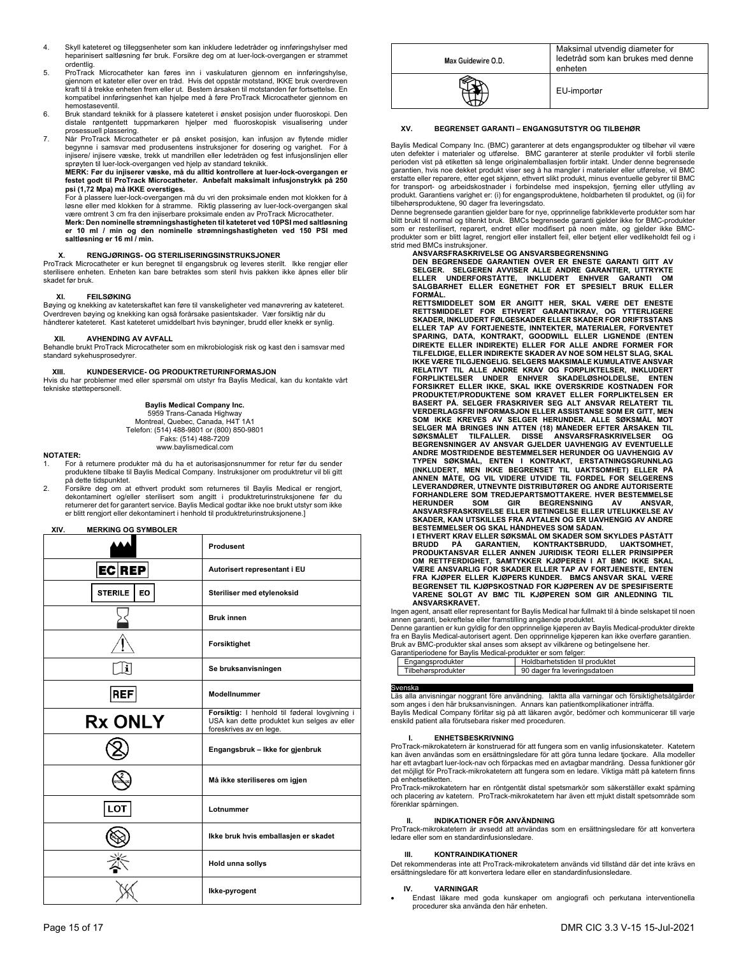- 4. Skyll kateteret og tilleggsenheter som kan inkludere ledetråder og innføringshylser med heparinisert saltløsning før bruk. Forsikre deg om at luer-lock-overgangen er strammet ordentlig.
- 5. ProTrack Microcatheter kan føres inn i vaskulaturen gjennom en innføringshylse, gjennom et kateter eller over en tråd. Hvis det oppstår motstand, IKKE bruk overdreven kraft til å trekke enheten frem eller ut. Bestem årsaken til motstanden før fortsettelse. En kompatibel innføringsenhet kan hjelpe med å føre ProTrack Microcatheter gjennom en hemostaseventil.
- 6. Bruk standard teknikk for å plassere kateteret i ønsket posisjon under fluoroskopi. Den distale røntgentett tuppmarkøren hjelper med fluoroskopisk visualisering under prosessuell plassering.
- 7. Når ProTrack Microcatheter er på ønsket posisjon, kan infusjon av flytende midler<br>begynne i samsvar med produsentens instruksjoner for dosering og varighet. For å<br>injisere/ injisere væske, trekk ut mandrillen eller lede sprøyten til luer-lock-overgangen ved hjelp av standard teknikk.

## **MERK: Før du injiserer væske, må du alltid kontrollere at luer-lock-overgangen er festet godt til ProTrack Microcatheter. Anbefalt maksimalt infusjonstrykk på 250 psi (1,72 Mpa) må IKKE overstiges.**

For å plassere luer-lock-overgangen må du vri den proksimale enden mot klokken for å løsne eller med klokken for å stramme. Riktig plassering av luer-lock-overgangen skal være omtrent 3 cm fra den injiserbare proksimale enden av ProTrack Microcatheter.

**Merk: Den nominelle strømningshastigheten til kateteret ved 10PSI med saltløsning er 10 ml / min og den nominelle strømningshastigheten ved 150 PSI med saltløsning er 16 ml / min.** 

## **X. RENGJØRINGS- OG STERILISERINGSINSTRUKSJONER**

ProTrack Microcatheter er kun beregnet til engangsbruk og leveres sterilt. Ikke rengjør eller sterilisere enheten. Enheten kan bare betraktes som steril hvis pakken ikke åpnes eller blir skadet før bruk.

## **XI. FEILSØKING**

Bøying og knekking av kateterskaftet kan føre til vanskeligheter ved manøvrering av kateteret. Overdreven bøying og knekking kan også forårsake pasientskader. Vær forsiktig når du håndterer kateteret. Kast kateteret umiddelbart hvis bøyninger, brudd eller knekk er synlig.

**XII. AVHENDING AV AVFALL**  Behandle brukt ProTrack Microcatheter som en mikrobiologisk risk og kast den i samsvar med standard sykehusprosedyrer.

## **XIII. KUNDESERVICE- OG PRODUKTRETURINFORMASJON**

Hvis du har problemer med eller spørsmål om utstyr fra Baylis Medical, kan du kontakte vårt tekniske støttepersonell.

## **Baylis Medical Company Inc.**

5959 Trans-Canada Highway Montreal, Quebec, Canada, H4T 1A1 Telefon: (514) 488-9801 or (800) 850-9801 Faks: (514) 488-7209 www.baylismedical.com

### **NOTATER:**

- 1. For å returnere produkter må du ha et autorisasjonsnummer for retur før du sender produktene tilbake til Baylis Medical Company. Instruksjoner om produktretur vil bli gitt på dette tidspunktet.
- 2. Forsikre deg om at ethvert produkt som returneres til Baylis Medical er rengjort, dekontaminert og/eller sterilisert som angitt i produktreturinstruksjonene før du returnerer det for garantert service. Baylis Medical godtar ikke noe brukt utstyr som ikke er blitt rengjort eller dekontaminert i henhold til produktreturinstruksjonene.]

## **XIV. MERKING OG SYMBOLER**

|                      | Produsent                                                                                                               |
|----------------------|-------------------------------------------------------------------------------------------------------------------------|
| <b>ECREP</b>         | Autorisert representant i EU                                                                                            |
| <b>STERILE</b><br>EO | Steriliser med etylenoksid                                                                                              |
|                      | <b>Bruk innen</b>                                                                                                       |
|                      | Forsiktighet                                                                                                            |
| i.                   | Se bruksanvisningen                                                                                                     |
| <b>REF</b>           | Modellnummer                                                                                                            |
| <b>Rx ONLY</b>       | Forsiktig: I henhold til føderal lovgivning i<br>USA kan dette produktet kun selges av eller<br>foreskrives av en lege. |
|                      | Engangsbruk - Ikke for gjenbruk                                                                                         |
|                      | Må ikke steriliseres om igjen                                                                                           |
| LOT                  | Lotnummer                                                                                                               |
|                      | Ikke bruk hvis emballasjen er skadet                                                                                    |
|                      | Hold unna sollys                                                                                                        |
|                      | Ikke-pyrogent                                                                                                           |

| Max Guidewire O.D. | Maksimal utvendig diameter for<br>ledetråd som kan brukes med denne<br>enheten |
|--------------------|--------------------------------------------------------------------------------|
|                    | EU-importør                                                                    |

## **XV. BEGRENSET GARANTI – ENGANGSUTSTYR OG TILBEHØR**

Baylis Medical Company Inc. (BMC) garanterer at dets engangsprodukter og tilbehør vil være<br>uten defekter i materialer og utførelse. BMC garanterer at sterile produkter vil forbli sterile<br>perioden vist på etiketten så len garantien, hvis noe dekket produkt viser seg å ha mangler i materialer eller utførelse, vil BMC erstatte eller reparere, etter eget skjønn, ethvert slikt produkt, minus eventuelle gebyrer til BMC for transport- og arbeidskostnader i forbindelse med inspeksjon, fjerning eller utfylling av produkt. Garantiens varighet er: (i) for engangsproduktene, holdbarheten til produktet, og (ii) for tilbehørsproduktene, 90 dager fra leveringsdato.

Denne begrensede garantien gjelder bare for nye, opprinnelige fabrikkleverte produkter som har blitt brukt til normal og tiltenkt bruk. BMCs begrensede garanti gjelder ikke for BMC-produkter som er resterilisert, reparert, endret eller modifisert på noen måte, og gjelder ikke BMCprodukter som er blitt lagret, rengjort eller installert feil, eller betjent eller vedlikeholdt feil og i strid med BMCs instruksjoner.

**ANSVARSFRASKRIVELSE OG ANSVARSBEGRENSNING DEN BEGRENSEDE GARANTIEN OVER ER ENESTE GARANTI GITT AV SELGER. SELGEREN AVVISER ALLE ANDRE GARANTIER, UTTRYKTE ELLER UNDERFORSTÅTTE, INKLUDERT ENHVER GARANTI OM SALGBARHET ELLER EGNETHET FOR ET SPESIELT BRUK ELLER FORMÅL.** 

**RETTSMIDDELET SOM ER ANGITT HER, SKAL VÆRE DET ENESTE RETTSMIDDELET FOR ETHVERT GARANTIKRAV, OG YTTERLIGERE SKADER, INKLUDERT FØLGESKADER ELLER SKADER FOR DRIFTSSTANS ELLER TAP AV FORTJENESTE, INNTEKTER, MATERIALER, FORVENTET SPARING, DATA, KONTRAKT, GOODWILL ELLER LIGNENDE (ENTEN DIREKTE ELLER INDIREKTE) ELLER FOR ALLE ANDRE FORMER FOR TILFELDIGE, ELLER INDIREKTE SKADER AV NOE SOM HELST SLAG, SKAL**  IKKE VÆRE TILGJENGELIG. SELGERS MAKSIMALE KUMULATIVE ANSVAR<br>RELATIVT TIL ALLE ANDRE KRAV OG FORPLIKTELSER, INKLUDERT<br>FORPLIKTELSER – UNDER – ENHVER – SKADELØSHOLDELSE, ENTEN<br>FORSIKRET ELLER IKKE, SKAL IKKE OVERSKRIDE KOSTN **PRODUKTET/PRODUKTENE SOM KRAVET ELLER FORPLIKTELSEN ER BASERT PÅ. SELGER FRASKRIVER SEG ALT ANSVAR RELATERT TIL VERDERLAGSFRI INFORMASJON ELLER ASSISTANSE SOM ER GITT, MEN**  SOM IKKE KREVES AV SELGER HERUNDER. ALLE SØKSMAL MOT<br>SELGER MÅ BRINGES INN ATTEN (18) MÅNEDER EFTER ÅRSAKEN TIL<br>SØKSMÅLET TILFALLER. DISSE ANSVARSFRASKRIVELSER<br>BEGRENSNINGER AV ANSVAR GJELDER UAVHENGIG AV EVENTUELLE<br>ANDRE **TYPEN SØKSMÅL, ENTEN I KONTRAKT, ERSTATNINGSGRUNNLAG (INKLUDERT, MEN IKKE BEGRENSET TIL UAKTSOMHET) ELLER PÅ ANNEN MÅTE, OG VIL VIDERE UTVIDE TIL FORDEL FOR SELGERENS LEVERANDØRER, UTNEVNTE DISTRIBUTØRER OG ANDRE AUTORISERTE FORHANDLERE SOM TREDJEPARTSMOTTAKERE. HVER BESTEMMELSE HERUNDER SOM GIR BEGRENSNING AV ANSVAR, ANSVARSFRASKRIVELSE ELLER BETINGELSE ELLER UTELUKKELSE AV SKADER, KAN UTSKILLES FRA AVTALEN OG ER UAVHENGIG AV ANDRE**  BESTEMMELSER OG SKAL HÅNDHEVES SOM SÅDAN.<br>I ETHVERT KRAV ELLER SØKSMÅL OM SKADER SOM SKYLDES PÅSTÅTT<br>BRUDD – PÅ GARANTIEN, – KONTRAKTSBRUDD, – UAKTSOMHET,<br>PRODUKTANSVAR ELLER ANNEN JURIDISK TEORI ELLER PRINSIPPER<br>OM RETTFE **VARENE SOLGT AV BMC TIL KJØPEREN SOM GIR ANLEDNING TIL ANSVARSKRAVET.**

Ingen agent, ansatt eller representant for Baylis Medical har fullmakt til å binde selskapet til noen annen garanti, bekreftelse eller framstilling angående produktet. Denne garantien er kun gyldig for den opprinnelige kjøperen av Baylis Medical-produkter direkte

fra en Baylis Medical-autorisert agent. Den opprinnelige kjøperen kan ikke overføre garantien. Bruk av BMC-produkter skal anses som aksept av vilkårene og betingelsene her.

| Garantiperiodene for Bavlis Medical-produkter er som følger: |                    |                                |  |
|--------------------------------------------------------------|--------------------|--------------------------------|--|
|                                                              | Engangsprodukter   | Holdbarhetstiden til produktet |  |
|                                                              | Tilbehørsprodukter | 90 dager fra leveringsdatoen   |  |

Svenska<br>Läs alla anvisningar noggrant före användning. laktta alla varningar och försiktighetsåtgärder som anges i den här bruksanvisningen. Annars kan patientkomplikationer inträffa. Baylis Medical Company förlitar sig på att läkaren avgör, bedömer och kommunicerar till varje

enskild patient alla förutsebara risker med proceduren.

## **I. ENHETSBESKRIVNING**

ProTrack-mikrokatetern är konstruerad för att fungera som en vanlig infusionskateter. Katetern kan även användas som en ersättningsledare för att göra tunna ledare tjockare. Alla modeller har ett avtagbart luer-lock-nav och förpackas med en avtagbar mandräng. Dessa funktioner gör det möjligt för ProTrack-mikrokatetern att fungera som en ledare. Viktiga mått på katetern finns på enhetsetiketten.

ProTrack-mikrokatetern har en röntgentät distal spetsmarkör som säkerställer exakt spårning och placering av katetern. ProTrack-mikrokatetern har även ett mjukt distalt spetsområde som förenklar spårningen.

## **II. INDIKATIONER FÖR ANVÄNDNING**

ProTrack-mikrokatetern är avsedd att användas som en ersättningsledare för att konvertera ledare eller som en standardinfusionsledare.

## **III. KONTRAINDIKATIONER**

Det rekommenderas inte att ProTrack-mikrokatetern används vid tillstånd där det inte krävs en ersättningsledare för att konvertera ledare eller en standardinfusionsledare.

## **IV. VARNINGAR**

 Endast läkare med goda kunskaper om angiografi och perkutana interventionella procedurer ska använda den här enheten.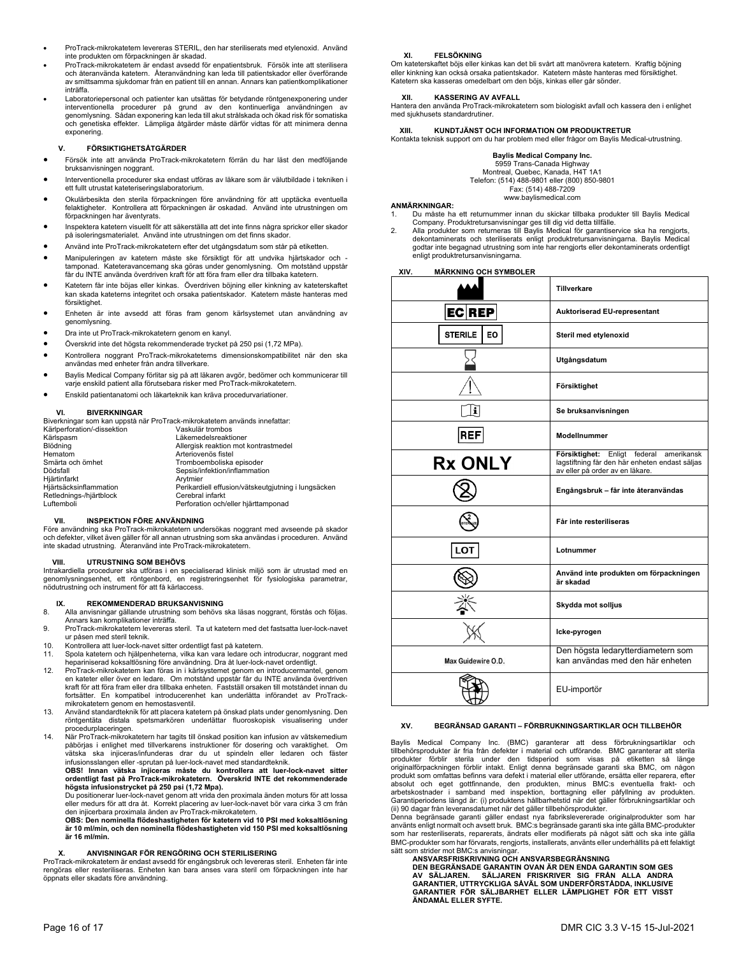- ProTrack-mikrokatetern levereras STERIL, den har steriliserats med etylenoxid. Använd inte produkten om förpackningen är skadad.
- ProTrack-mikrokatetern är endast avsedd för enpatientsbruk. Försök inte att sterilisera och återanvända katetern. Återanvändning kan leda till patientskador eller överförande av smittsamma sjukdomar från en patient till en annan. Annars kan patientkomplikationer inträffa.
- Laboratoriepersonal och patienter kan utsättas för betydande röntgenexponering under interventionella procedurer på grund av den kontinuerliga användningen av genomlysning. Sådan exponering kan leda till akut strålskada och ökad risk för somatiska och genetiska effekter. Lämpliga åtgärder måste därför vidtas för att minimera denna exponering.

## **V. FÖRSIKTIGHETSÅTGÄRDER**

- Försök inte att använda ProTrack-mikrokatetern förrän du har läst den medföljande bruksanvisningen noggrant.
- Interventionella procedurer ska endast utföras av läkare som är välutbildade i tekniken i ett fullt utrustat kateteriseringslaboratorium.
- Okulärbesikta den sterila förpackningen före användning för att upptäcka eventuella felaktigheter. Kontrollera att förpackningen är oskadad. Använd inte utrustningen om förpackningen har äventyrats.
- Inspektera katetern visuellt för att säkerställa att det inte finns några sprickor eller skador på isoleringsmaterialet. Använd inte utrustningen om det finns skador.
- Använd inte ProTrack-mikrokatetern efter det utgångsdatum som står på etiketten.
- Manipuleringen av katetern måste ske försiktigt för att undvika hjärtskador och tamponad. Kateteravancemang ska göras under genomlysning. Om motstånd uppstår får du INTE använda överdriven kraft för att föra fram eller dra tillbaka katetern.
- Katetern får inte böjas eller kinkas. Överdriven böjning eller kinkning av kateterskaftet kan skada kateterns integritet och orsaka patientskador. Katetern måste hanteras med försiktighet.
- Enheten är inte avsedd att föras fram genom kärlsystemet utan användning av genomlysning.
- Dra inte ut ProTrack-mikrokatetern genom en kanyl.
- Överskrid inte det högsta rekommenderade trycket på 250 psi (1,72 MPa).
- Kontrollera noggrant ProTrack-mikrokateterns dimensionskompatibilitet när den ska användas med enheter från andra tillverkare.
- Baylis Medical Company förlitar sig på att läkaren avgör, bedömer och kommunicerar till varje enskild patient alla förutsebara risker med ProTrack-mikrokatetern.
- Enskild patientanatomi och läkarteknik kan kräva procedurvariationer.

## **VI. BIVERKNINGAR**

|                             | Biverkningar som kan uppstå när ProTrack-mikrokatetern används innefattar: |
|-----------------------------|----------------------------------------------------------------------------|
| Kärlperforation/-dissektion | Vaskulär trombos                                                           |
| Kärlspasm                   | Läkemedelsreaktioner                                                       |
| Blödning                    | Allergisk reaktion mot kontrastmedel                                       |
| Hematom                     | Arteriovenös fistel                                                        |
| Smärta och ömhet            | Tromboemboliska episoder                                                   |
| Dödsfall                    | Sepsis/infektion/inflammation                                              |
| Hjärtinfarkt                | Arvtmier                                                                   |
| Hjärtsäcksinflammation      | Perikardiell effusion/vätskeutgjutning i lungsäcken                        |
| Retlednings-/hjärtblock     | Cerebral infarkt                                                           |
| Luftemboli                  | Perforation och/eller hiärttamponad                                        |

## **VII. INSPEKTION FÖRE ANVÄNDNING**

Före användning ska ProTrack-mikrokatetern undersökas noggrant med avseende på skador och defekter, vilket även gäller för all annan utrustning som ska användas i proceduren. Använd inte skadad utrustning. Återanvänd inte ProTrack-mikrokatetern.

## **VIII. UTRUSTNING SOM BEHÖVS**

Intrakardiella procedurer ska utföras i en specialiserad klinisk miljö som är utrustad med en genomlysningsenhet, ett röntgenbord, en registreringsenhet för fysiologiska parametrar, nödutrustning och instrument för att få kärlaccess.

## **REKOMMENDERAD BRUKSANVISNING**

- 8. Alla anvisningar gällande utrustning som behövs ska läsas noggrant, förstås och följas. Annars kan komplikationer inträffa.
- 9. ProTrack-mikrokatetern levereras steril. Ta ut katetern med det fastsatta luer-lock-navet ur påsen med steril teknik.
- 10. Kontrollera att luer-lock-navet sitter ordentligt fast på katetern.<br>11. Spola katetern och hiälpenheterna, vilka kan vara ledare och
- 11. Spola katetern och hjälpenheterna, vilka kan vara ledare och introducrar, noggrant med hepariniserad koksaltlösning före användning. Dra åt luer-lock-navet ordentligt.
- 12. ProTrack-mikrokatetern kan föras in i kärlsystemet genom en introducermantel, genom en kateter eller över en ledare. Om motstånd uppstår får du INTE använda överdriven kraft för att föra fram eller dra tillbaka enheten. Fastställ orsaken till motståndet innan du fortsätter. En kompatibel introducerenhet kan underlätta införandet av ProTrackmikrokatetern genom en hemostasventil.
- 13. Använd standardteknik för att placera katetern på önskad plats under genomlysning. Den röntgentäta distala spetsmarkören underlättar fluoroskopisk visualisering under procedurplaceringen.
- 14. När ProTrack-mikrokatetern har tagits till önskad position kan infusion av vätskemedium påbörjas i enlighet med tillverkarens instruktioner för dosering och varaktighet. vätska ska injiceras/infunderas drar du ut spindeln eller ledaren och fäster

infusionsslangen eller -sprutan på luer-lock-navet med standardteknik.<br>OBS! Innan vätska injiceras måste du kontrollera att luer-lock-navet sitter<br>ordentligt fast på ProTrack-mikrokatetern. Överskrid INTE det **högsta infusionstrycket på 250 psi (1,72 Mpa).** 

Du positionerar luer-lock-navet genom att vrida den proximala änden moturs för att lossa eller medurs för att dra åt. Korrekt placering av luer-lock-navet bör vara cirka 3 cm från den injicerbara proximala änden av ProTrack-mikrokatetern.

**OBS: Den nominella flödeshastigheten för katetern vid 10 PSI med koksaltlösning är 10 ml/min, och den nominella flödeshastigheten vid 150 PSI med koksaltlösning är 16 ml/min.** 

## **X. ANVISNINGAR FÖR RENGÖRING OCH STERILISERING**

ProTrack-mikrokatetern är endast avsedd för engångsbruk och levereras steril. Enheten får inte rengöras eller resteriliseras. Enheten kan bara anses vara steril om förpackningen inte har öppnats eller skadats före användning.

## **XI. FELSÖKNING**

Om kateterskaftet böjs eller kinkas kan det bli svårt att manövrera katetern. Kraftig böjning eller kinkning kan också orsaka patientskador. Katetern måste hanteras med försiktighet. Katetern ska kasseras omedelbart om den böjs, kinkas eller går sönder.

## **XII. KASSERING AV AVFALL**

Hantera den använda ProTrack-mikrokatetern som biologiskt avfall och kassera den i enlighet med sjukhusets standardrutiner.

**XIII. KUNDTJÄNST OCH INFORMATION OM PRODUKTRETUR**  Kontakta teknisk support om du har problem med eller frågor om Baylis Medical-utrustning.

## **Baylis Medical Company Inc.**

5959 Trans-Canada Highway

Montreal, Quebec, Kanada, H4T 1A1

Telefon: (514) 488-9801 eller (800) 850-9801 Fax: (514) 488-7209

www.baylismedical.com

## **ANMÄRKNINGAR:**

- 1. Du måste ha ett returnummer innan du skickar tillbaka produkter till Baylis Medical Company. Produktretursanvisningar ges till dig vid detta tillfälle.
- 2. Alla produkter som returneras till Baylis Medical för garantiservice ska ha rengjorts, dekontaminerats och steriliserats enligt produktretursanvisningarna. Baylis Medical godtar inte begagnad utrustning som inte har rengjorts eller dekontaminerats ordentligt enligt produktretursanvisningarna.

## **XIV. MÄRKNING OCH SYMBOLER**

|                      | <b>Tillverkare</b>                                                                                                              |
|----------------------|---------------------------------------------------------------------------------------------------------------------------------|
| <b>ECREP</b>         | Auktoriserad EU-representant                                                                                                    |
| <b>STERILE</b><br>EO | Steril med etylenoxid                                                                                                           |
|                      | Utgångsdatum                                                                                                                    |
|                      | Försiktighet                                                                                                                    |
| i                    | Se bruksanvisningen                                                                                                             |
| <b>REF</b>           | Modellnummer                                                                                                                    |
| <b>Rx ONLY</b>       | Försiktighet: Enligt federal<br>amerikansk<br>lagstiftning får den här enheten endast säljas<br>av eller på order av en läkare. |
|                      | Engångsbruk - får inte återanvändas                                                                                             |
|                      | Får inte resteriliseras                                                                                                         |
| <b>LOT</b>           | Lotnummer                                                                                                                       |
|                      | Använd inte produkten om förpackningen<br>är skadad                                                                             |
|                      | Skydda mot solljus                                                                                                              |
|                      | Icke-pyrogen                                                                                                                    |
| Max Guidewire O.D.   | Den högsta ledarytterdiametern som<br>kan användas med den här enheten                                                          |
|                      | EU-importör                                                                                                                     |

## **XV. BEGRÄNSAD GARANTI – FÖRBRUKNINGSARTIKLAR OCH TILLBEHÖR**

Baylis Medical Company Inc. (BMC) garanterar att dess förbrukningsartiklar och tillbehörsprodukter är fria från defekter i material och utförande. BMC garanterar att sterila produkter förblir sterila under den tidsperiod som visas på etiketten så länge originalförpackningen förblir intakt. Enligt denna begränsade garanti ska BMC, om någon produkt som omfattas befinns vara defekt i material eller utförande, ersätta eller reparera, efter absolut och eget gottfinnande, den produkten, minus BMC:s eventuella frakt- och arbetskostnader i samband med inspektion, borttagning eller påfyllning av produkten. Garantiperiodens längd är: (i) produktens hållbarhetstid när det gäller förbrukningsartiklar och (ii) 90 dagar från leveransdatumet när det gäller tillbehörsprodukter.

Denna begränsade garanti gäller endast nya fabrikslevererade originalprodukter som har<br>använts enligt normalt och avsett bruk. BMC:s begränsade garanti ska inte gälla BMC-produkter<br>som har resteriliserats, reparerats, ändr BMC-produkter som har förvarats, rengjorts, installerats, använts eller underhållits på ett felaktigt sätt som strider mot BMC:s anvisningar.

## **ANSVARSFRISKRIVNING OCH ANSVARSBEGRÄNSNING**

DEN BEGRÄNSADE GARANTIN OVAN ÄR DEN ENDA GARANTIN SOM GES<br>AV SÄLJAREN. SÄLJAREN FRISKRIVER SIG FRÅN ALLA ANDRA<br>GARANTIER, UTTRYCKLIGA SÅVÄL SOM UNDERFÖRSTÅDDA, INKLUSIVE<br>GARANTIER FÖR SÄLJBARHET ELLER LÄMPLI **ÄNDAMÅL ELLER SYFTE.**